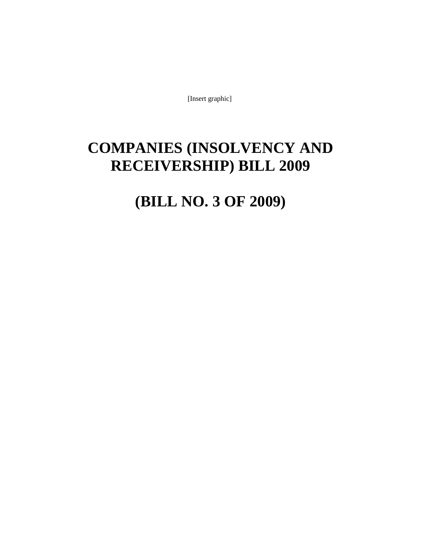[Insert graphic]

# **COMPANIES (INSOLVENCY AND RECEIVERSHIP) BILL 2009**

# **(BILL NO. 3 OF 2009)**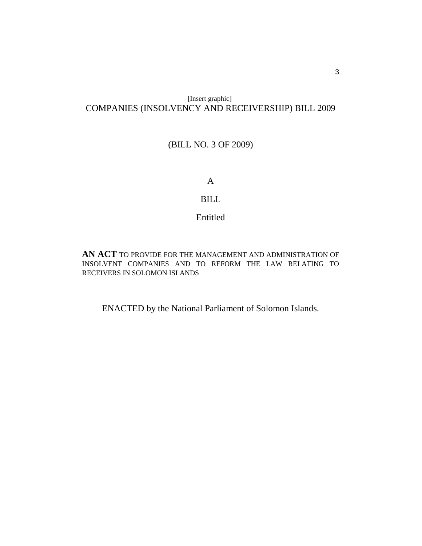# [Insert graphic] COMPANIES (INSOLVENCY AND RECEIVERSHIP) BILL 2009

# (BILL NO. 3 OF 2009)

A

# BILL

Entitled

**AN ACT** TO PROVIDE FOR THE MANAGEMENT AND ADMINISTRATION OF INSOLVENT COMPANIES AND TO REFORM THE LAW RELATING TO RECEIVERS IN SOLOMON ISLANDS

ENACTED by the National Parliament of Solomon Islands.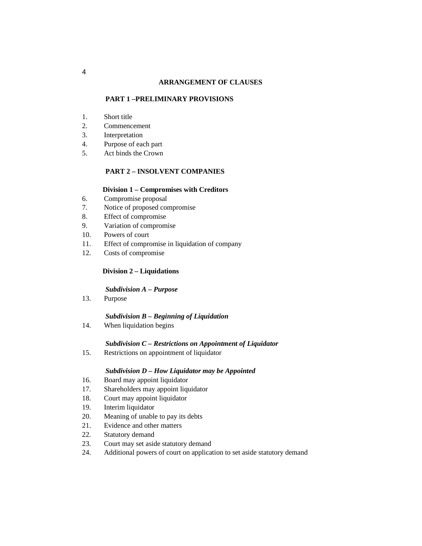#### **ARRANGEMENT OF CLAUSES**

## **PART 1 –PRELIMINARY PROVISIONS**

- 1. Short title
- 2. Commencement
- 3. Interpretation
- 4. Purpose of each part
- 5. Act binds the Crown

## **PART 2 – INSOLVENT COMPANIES**

## **Division 1 – Compromises with Creditors**

- 6. Compromise proposal
- 7. Notice of proposed compromise
- 8. Effect of compromise
- 9. Variation of compromise
- 10. Powers of court
- 11. Effect of compromise in liquidation of company
- 12. Costs of compromise

## **Division 2 – Liquidations**

#### *Subdivision A – Purpose*

13. Purpose

## *Subdivision B – Beginning of Liquidation*

14. When liquidation begins

## *Subdivision C – Restrictions on Appointment of Liquidator*

15. Restrictions on appointment of liquidator

### *Subdivision D – How Liquidator may be Appointed*

- 16. Board may appoint liquidator
- 17. Shareholders may appoint liquidator
- 18. Court may appoint liquidator
- 19. Interim liquidator
- 20. Meaning of unable to pay its debts
- 21. Evidence and other matters
- 22. Statutory demand
- 23. Court may set aside statutory demand
- 24. Additional powers of court on application to set aside statutory demand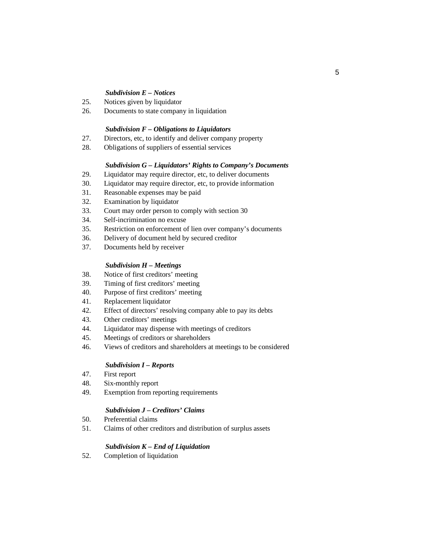## *Subdivision E – Notices*

- 25. Notices given by liquidator
- 26. Documents to state company in liquidation

## *Subdivision F – Obligations to Liquidators*

- 27. Directors, etc, to identify and deliver company property
- 28. Obligations of suppliers of essential services

### *Subdivision G – Liquidators' Rights to Company's Documents*

- 29. Liquidator may require director, etc, to deliver documents
- 30. Liquidator may require director, etc, to provide information
- 31. Reasonable expenses may be paid
- 32. Examination by liquidator
- 33. Court may order person to comply with section 30
- 34. Self-incrimination no excuse
- 35. Restriction on enforcement of lien over company's documents
- 36. Delivery of document held by secured creditor
- 37. Documents held by receiver

#### *Subdivision H – Meetings*

- 38. Notice of first creditors' meeting
- 39. Timing of first creditors' meeting
- 40. Purpose of first creditors' meeting
- 41. Replacement liquidator
- 42. Effect of directors' resolving company able to pay its debts
- 43. Other creditors' meetings
- 44. Liquidator may dispense with meetings of creditors
- 45. Meetings of creditors or shareholders
- 46. Views of creditors and shareholders at meetings to be considered

## *Subdivision I – Reports*

- 47. First report
- 48. Six-monthly report
- 49. Exemption from reporting requirements

## *Subdivision J – Creditors' Claims*

- 50. Preferential claims
- 51. Claims of other creditors and distribution of surplus assets

#### *Subdivision K – End of Liquidation*

52. Completion of liquidation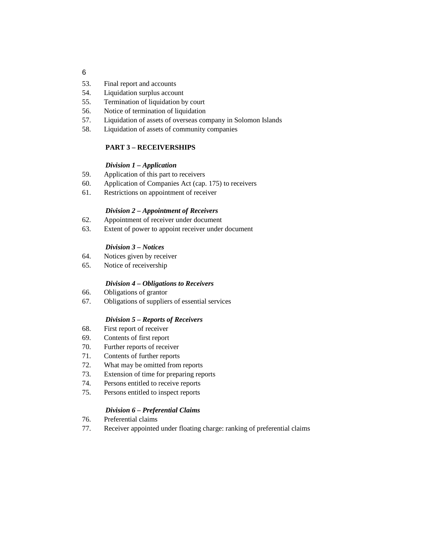- 53. Final report and accounts
- 54. Liquidation surplus account
- 55. Termination of liquidation by court
- 56. Notice of termination of liquidation
- 57. Liquidation of assets of overseas company in Solomon Islands
- 58. Liquidation of assets of community companies

# **PART 3 – RECEIVERSHIPS**

# *Division 1 – Application*

- 59. Application of this part to receivers
- 60. Application of Companies Act (cap. 175) to receivers
- 61. Restrictions on appointment of receiver

# *Division 2 – Appointment of Receivers*

- 62. Appointment of receiver under document
- 63. Extent of power to appoint receiver under document

# *Division 3 – Notices*

- 64. Notices given by receiver
- 65. Notice of receivership

# *Division 4 – Obligations to Receivers*

- 66. Obligations of grantor
- 67. Obligations of suppliers of essential services

# *Division 5 – Reports of Receivers*

- 68. First report of receiver
- 69. Contents of first report
- 70. Further reports of receiver
- 71. Contents of further reports
- 72. What may be omitted from reports
- 73. Extension of time for preparing reports
- 74. Persons entitled to receive reports
- 75. Persons entitled to inspect reports

# *Division 6 – Preferential Claims*

- 76. Preferential claims
- 77. Receiver appointed under floating charge: ranking of preferential claims

6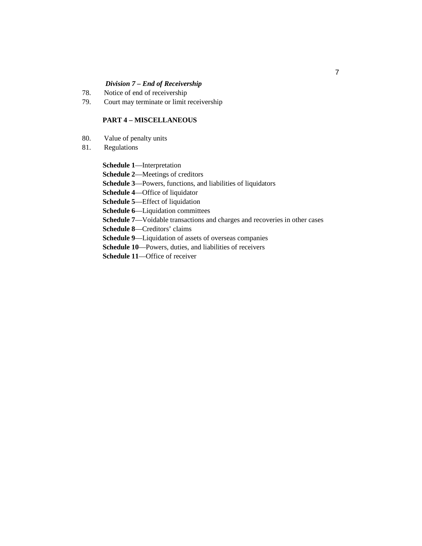# *Division 7 – End of Receivership*

- 78. Notice of end of receivership
- 79. Court may terminate or limit receivership

## **PART 4 – MISCELLANEOUS**

- 80. Value of penalty units
- 81. Regulations

**Schedule 1**—Interpretation

**Schedule 2**—Meetings of creditors

**Schedule 3**—Powers, functions, and liabilities of liquidators

**Schedule 4**—Office of liquidator

**Schedule 5**—Effect of liquidation

**Schedule 6**—Liquidation committees

**Schedule 7**—Voidable transactions and charges and recoveries in other cases

**Schedule 8**—Creditors' claims

**Schedule 9**—Liquidation of assets of overseas companies

**Schedule 10**—Powers, duties, and liabilities of receivers

**Schedule 11**—Office of receiver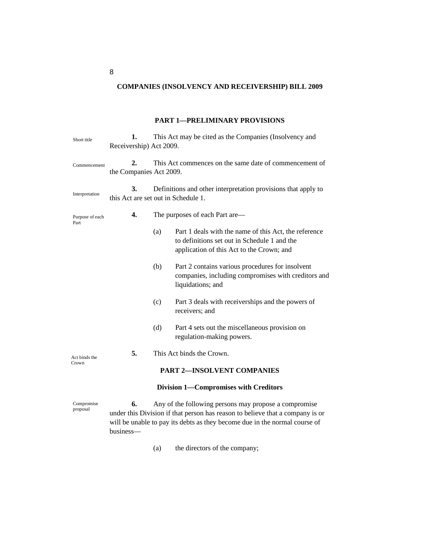# **COMPANIES (INSOLVENCY AND RECEIVERSHIP) BILL 2009**

## **PART 1—PRELIMINARY PROVISIONS**

| Short title             | 1.<br>Receivership) Act 2009.                                                                                                                                                                                              | This Act may be cited as the Companies (Insolvency and                                               |                                                                                                                                                    |  |  |  |  |
|-------------------------|----------------------------------------------------------------------------------------------------------------------------------------------------------------------------------------------------------------------------|------------------------------------------------------------------------------------------------------|----------------------------------------------------------------------------------------------------------------------------------------------------|--|--|--|--|
| Commencement            | 2.<br>the Companies Act 2009.                                                                                                                                                                                              | This Act commences on the same date of commencement of                                               |                                                                                                                                                    |  |  |  |  |
| Interpretation          | 3.                                                                                                                                                                                                                         | Definitions and other interpretation provisions that apply to<br>this Act are set out in Schedule 1. |                                                                                                                                                    |  |  |  |  |
| Purpose of each<br>Part | 4.                                                                                                                                                                                                                         |                                                                                                      | The purposes of each Part are—                                                                                                                     |  |  |  |  |
|                         |                                                                                                                                                                                                                            | (a)                                                                                                  | Part 1 deals with the name of this Act, the reference<br>to definitions set out in Schedule 1 and the<br>application of this Act to the Crown; and |  |  |  |  |
|                         |                                                                                                                                                                                                                            | (b)                                                                                                  | Part 2 contains various procedures for insolvent<br>companies, including compromises with creditors and<br>liquidations; and                       |  |  |  |  |
|                         |                                                                                                                                                                                                                            | (c)                                                                                                  | Part 3 deals with receiverships and the powers of<br>receivers; and                                                                                |  |  |  |  |
|                         |                                                                                                                                                                                                                            | (d)                                                                                                  | Part 4 sets out the miscellaneous provision on<br>regulation-making powers.                                                                        |  |  |  |  |
| Act binds the           | 5.                                                                                                                                                                                                                         | This Act binds the Crown.                                                                            |                                                                                                                                                    |  |  |  |  |
| Crown                   | <b>PART 2-INSOLVENT COMPANIES</b>                                                                                                                                                                                          |                                                                                                      |                                                                                                                                                    |  |  |  |  |
|                         |                                                                                                                                                                                                                            |                                                                                                      | Division 1-Compromises with Creditors                                                                                                              |  |  |  |  |
| Compromise<br>proposal  | 6.<br>Any of the following persons may propose a compromise<br>under this Division if that person has reason to believe that a company is or<br>will be unable to pay its debts as they become due in the normal course of |                                                                                                      |                                                                                                                                                    |  |  |  |  |

(a) the directors of the company;

8

business—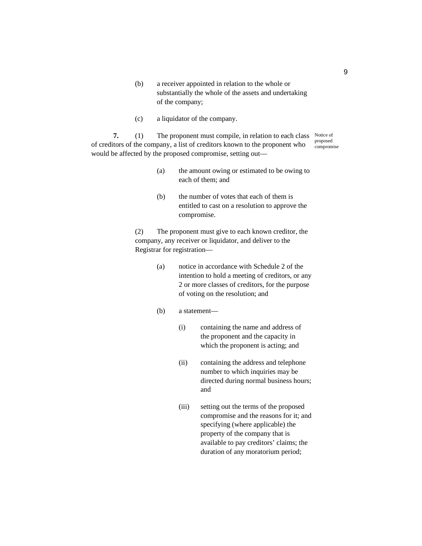- (b) a receiver appointed in relation to the whole or substantially the whole of the assets and undertaking of the company;
- (c) a liquidator of the company.

**7.** (1) The proponent must compile, in relation to each class Notice of of creditors of the company, a list of creditors known to the proponent who would be affected by the proposed compromise, setting out proposed compromise

- (a) the amount owing or estimated to be owing to each of them; and
- (b) the number of votes that each of them is entitled to cast on a resolution to approve the compromise.

(2) The proponent must give to each known creditor, the company, any receiver or liquidator, and deliver to the Registrar for registration—

> (a) notice in accordance with Schedule 2 of the intention to hold a meeting of creditors, or any 2 or more classes of creditors, for the purpose of voting on the resolution; and

### (b) a statement—

- (i) containing the name and address of the proponent and the capacity in which the proponent is acting; and
- (ii) containing the address and telephone number to which inquiries may be directed during normal business hours; and
- (iii) setting out the terms of the proposed compromise and the reasons for it; and specifying (where applicable) the property of the company that is available to pay creditors' claims; the duration of any moratorium period;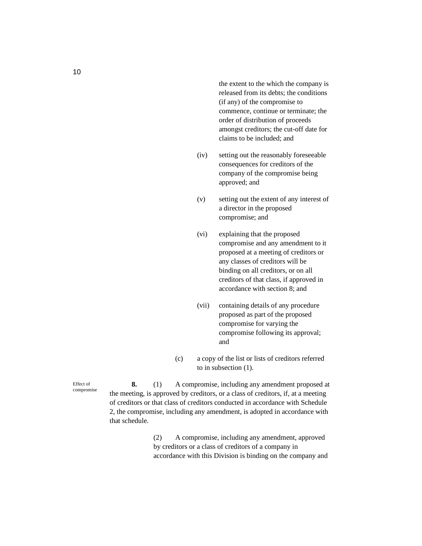the extent to the which the company is released from its debts; the conditions (if any) of the compromise to commence, continue or terminate; the order of distribution of proceeds amongst creditors; the cut-off date for claims to be included; and

- (iv) setting out the reasonably foreseeable consequences for creditors of the company of the compromise being approved; and
- (v) setting out the extent of any interest of a director in the proposed compromise; and
- (vi) explaining that the proposed compromise and any amendment to it proposed at a meeting of creditors or any classes of creditors will be binding on all creditors, or on all creditors of that class, if approved in accordance with section 8; and
- (vii) containing details of any procedure proposed as part of the proposed compromise for varying the compromise following its approval; and
- (c) a copy of the list or lists of creditors referred to in subsection (1).

**8.** (1) A compromise, including any amendment proposed at the meeting, is approved by creditors, or a class of creditors, if, at a meeting of creditors or that class of creditors conducted in accordance with Schedule 2, the compromise, including any amendment, is adopted in accordance with that schedule.

> (2) A compromise, including any amendment, approved by creditors or a class of creditors of a company in accordance with this Division is binding on the company and

Effect of compromise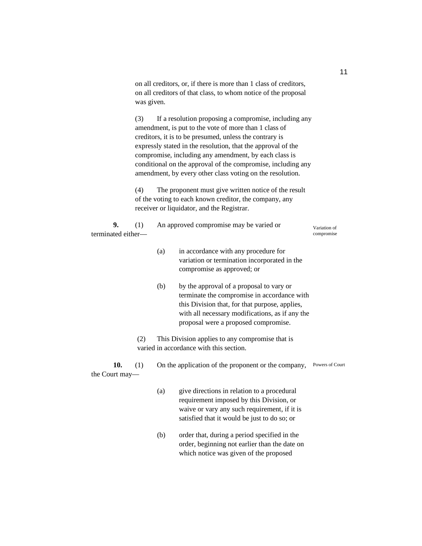|                          | on all creditors, or, if there is more than 1 class of creditors,<br>on all creditors of that class, to whom notice of the proposal<br>was given. |                                                                                                                                                                                                                                                                                                                                                                                                                                 |                                                                                                                                                                                                                                      |                            |  |  |  |
|--------------------------|---------------------------------------------------------------------------------------------------------------------------------------------------|---------------------------------------------------------------------------------------------------------------------------------------------------------------------------------------------------------------------------------------------------------------------------------------------------------------------------------------------------------------------------------------------------------------------------------|--------------------------------------------------------------------------------------------------------------------------------------------------------------------------------------------------------------------------------------|----------------------------|--|--|--|
|                          | (3)                                                                                                                                               | If a resolution proposing a compromise, including any<br>amendment, is put to the vote of more than 1 class of<br>creditors, it is to be presumed, unless the contrary is<br>expressly stated in the resolution, that the approval of the<br>compromise, including any amendment, by each class is<br>conditional on the approval of the compromise, including any<br>amendment, by every other class voting on the resolution. |                                                                                                                                                                                                                                      |                            |  |  |  |
|                          | (4)                                                                                                                                               | The proponent must give written notice of the result<br>of the voting to each known creditor, the company, any<br>receiver or liquidator, and the Registrar.                                                                                                                                                                                                                                                                    |                                                                                                                                                                                                                                      |                            |  |  |  |
| 9.<br>terminated either- | (1)                                                                                                                                               |                                                                                                                                                                                                                                                                                                                                                                                                                                 | An approved compromise may be varied or                                                                                                                                                                                              | Variation of<br>compromise |  |  |  |
|                          |                                                                                                                                                   | (a)                                                                                                                                                                                                                                                                                                                                                                                                                             | in accordance with any procedure for<br>variation or termination incorporated in the<br>compromise as approved; or                                                                                                                   |                            |  |  |  |
|                          |                                                                                                                                                   | (b)                                                                                                                                                                                                                                                                                                                                                                                                                             | by the approval of a proposal to vary or<br>terminate the compromise in accordance with<br>this Division that, for that purpose, applies,<br>with all necessary modifications, as if any the<br>proposal were a proposed compromise. |                            |  |  |  |
|                          | This Division applies to any compromise that is<br>(2)<br>varied in accordance with this section.                                                 |                                                                                                                                                                                                                                                                                                                                                                                                                                 |                                                                                                                                                                                                                                      |                            |  |  |  |
| 10.<br>the Court may-    | (1)                                                                                                                                               |                                                                                                                                                                                                                                                                                                                                                                                                                                 | On the application of the proponent or the company,                                                                                                                                                                                  | Powers of Court            |  |  |  |
|                          |                                                                                                                                                   | (a)                                                                                                                                                                                                                                                                                                                                                                                                                             | give directions in relation to a procedural<br>requirement imposed by this Division, or<br>waive or vary any such requirement, if it is<br>satisfied that it would be just to do so; or                                              |                            |  |  |  |
|                          |                                                                                                                                                   | (b)                                                                                                                                                                                                                                                                                                                                                                                                                             | order that, during a period specified in the<br>order, beginning not earlier than the date on<br>which notice was given of the proposed                                                                                              |                            |  |  |  |

11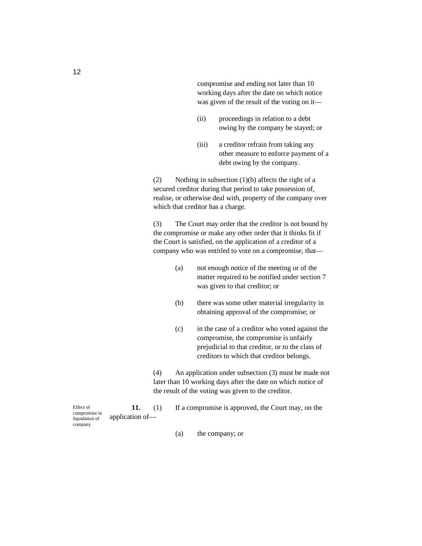compromise and ending not later than 10 working days after the date on which notice was given of the result of the voting on it—

- (ii) proceedings in relation to a debt owing by the company be stayed; or
- (iii) a creditor refrain from taking any other measure to enforce payment of a debt owing by the company.

(2) Nothing in subsection  $(1)(b)$  affects the right of a secured creditor during that period to take possession of, realise, or otherwise deal with, property of the company over which that creditor has a charge.

(3) The Court may order that the creditor is not bound by the compromise or make any other order that it thinks fit if the Court is satisfied, on the application of a creditor of a company who was entitled to vote on a compromise, that—

- (a) not enough notice of the meeting or of the matter required to be notified under section 7 was given to that creditor; or
- (b) there was some other material irregularity in obtaining approval of the compromise; or
- (c) in the case of a creditor who voted against the compromise, the compromise is unfairly prejudicial to that creditor, or to the class of creditors to which that creditor belongs.

(4) An application under subsection (3) must be made not later than 10 working days after the date on which notice of the result of the voting was given to the creditor.

11. (1) If a compromise is approved, the Court may, on the application of—

(a) the company; or

Effect of compromise in liquidation of company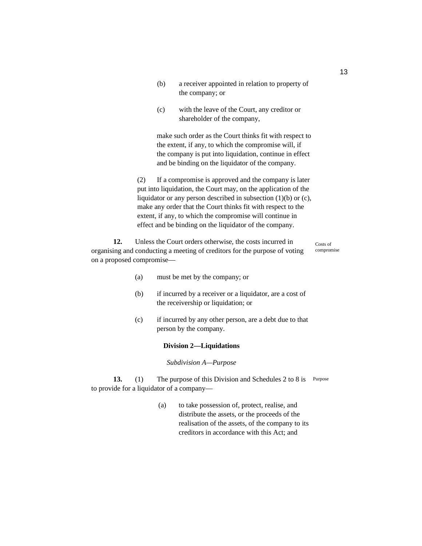- (b) a receiver appointed in relation to property of the company; or
- (c) with the leave of the Court, any creditor or shareholder of the company,

make such order as the Court thinks fit with respect to the extent, if any, to which the compromise will, if the company is put into liquidation, continue in effect and be binding on the liquidator of the company.

(2) If a compromise is approved and the company is later put into liquidation, the Court may, on the application of the liquidator or any person described in subsection (1)(b) or (c), make any order that the Court thinks fit with respect to the extent, if any, to which the compromise will continue in effect and be binding on the liquidator of the company.

**12.** Unless the Court orders otherwise, the costs incurred in organising and conducting a meeting of creditors for the purpose of voting on a proposed compromise—

Costs of compromise

- (a) must be met by the company; or
- (b) if incurred by a receiver or a liquidator, are a cost of the receivership or liquidation; or
- (c) if incurred by any other person, are a debt due to that person by the company.

#### **Division 2—Liquidations**

*Subdivision A—Purpose* 

**13.** (1) The purpose of this Division and Schedules 2 to 8 is Purpose to provide for a liquidator of a company—

> (a) to take possession of, protect, realise, and distribute the assets, or the proceeds of the realisation of the assets, of the company to its creditors in accordance with this Act; and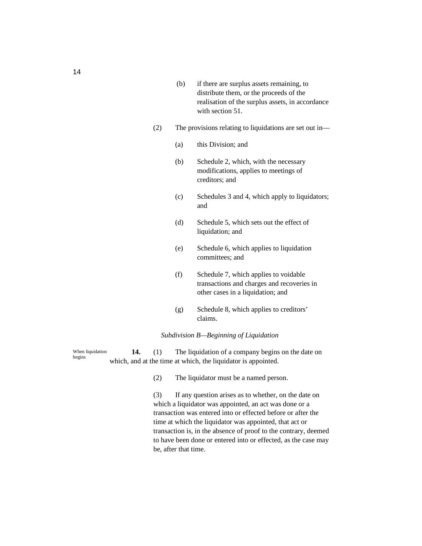- (b) if there are surplus assets remaining, to distribute them, or the proceeds of the realisation of the surplus assets, in accordance with section 51.
- (2) The provisions relating to liquidations are set out in—
	- (a) this Division; and
	- (b) Schedule 2, which, with the necessary modifications, applies to meetings of creditors; and
	- (c) Schedules 3 and 4, which apply to liquidators; and
	- (d) Schedule 5, which sets out the effect of liquidation; and
	- (e) Schedule 6, which applies to liquidation committees; and
	- (f) Schedule 7, which applies to voidable transactions and charges and recoveries in other cases in a liquidation; and
	- (g) Schedule 8, which applies to creditors' claims.

### *Subdivision B—Beginning of Liquidation*

**14.** (1) The liquidation of a company begins on the date on which, and at the time at which, the liquidator is appointed. When liquidation begins

(2) The liquidator must be a named person.

(3) If any question arises as to whether, on the date on which a liquidator was appointed, an act was done or a transaction was entered into or effected before or after the time at which the liquidator was appointed, that act or transaction is, in the absence of proof to the contrary, deemed to have been done or entered into or effected, as the case may be, after that time.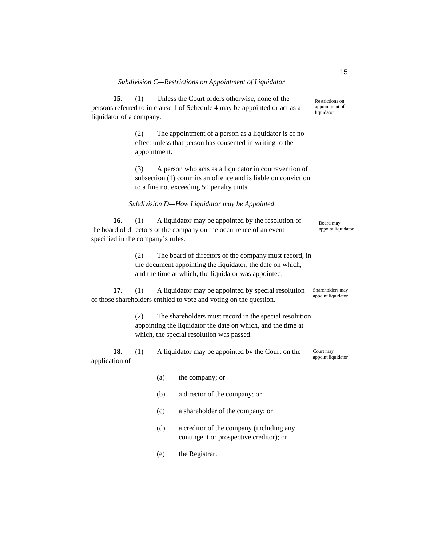**15.** (1) Unless the Court orders otherwise, none of the persons referred to in clause 1 of Schedule 4 may be appointed or act as a liquidator of a company.

> (2) The appointment of a person as a liquidator is of no effect unless that person has consented in writing to the appointment.

(3) A person who acts as a liquidator in contravention of subsection (1) commits an offence and is liable on conviction to a fine not exceeding 50 penalty units.

*Subdivision D—How Liquidator may be Appointed* 

**16.** (1) A liquidator may be appointed by the resolution of the board of directors of the company on the occurrence of an event specified in the company's rules.

> (2) The board of directors of the company must record, in the document appointing the liquidator, the date on which, and the time at which, the liquidator was appointed.

**17.** (1) A liquidator may be appointed by special resolution of those shareholders entitled to vote and voting on the question. Shareholders may appoint liquidator

> (2) The shareholders must record in the special resolution appointing the liquidator the date on which, and the time at which, the special resolution was passed.

**18.** (1) A liquidator may be appointed by the Court on the application of appoint liquidator

- (a) the company; or
- (b) a director of the company; or
- (c) a shareholder of the company; or
- (d) a creditor of the company (including any contingent or prospective creditor); or
- (e) the Registrar.

Restrictions on appointment of liquidator

15

Board may appoint liquidator

Court may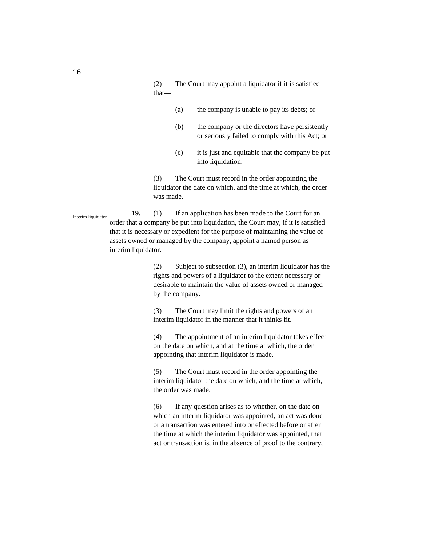(2) The Court may appoint a liquidator if it is satisfied that—

- (a) the company is unable to pay its debts; or
- (b) the company or the directors have persistently or seriously failed to comply with this Act; or
- (c) it is just and equitable that the company be put into liquidation.

(3) The Court must record in the order appointing the liquidator the date on which, and the time at which, the order was made.

**19.** (1) If an application has been made to the Court for an order that a company be put into liquidation, the Court may, if it is satisfied that it is necessary or expedient for the purpose of maintaining the value of assets owned or managed by the company, appoint a named person as interim liquidator. Interim liquidator

> (2) Subject to subsection (3), an interim liquidator has the rights and powers of a liquidator to the extent necessary or desirable to maintain the value of assets owned or managed by the company.

(3) The Court may limit the rights and powers of an interim liquidator in the manner that it thinks fit.

(4) The appointment of an interim liquidator takes effect on the date on which, and at the time at which, the order appointing that interim liquidator is made.

(5) The Court must record in the order appointing the interim liquidator the date on which, and the time at which, the order was made.

(6) If any question arises as to whether, on the date on which an interim liquidator was appointed, an act was done or a transaction was entered into or effected before or after the time at which the interim liquidator was appointed, that act or transaction is, in the absence of proof to the contrary,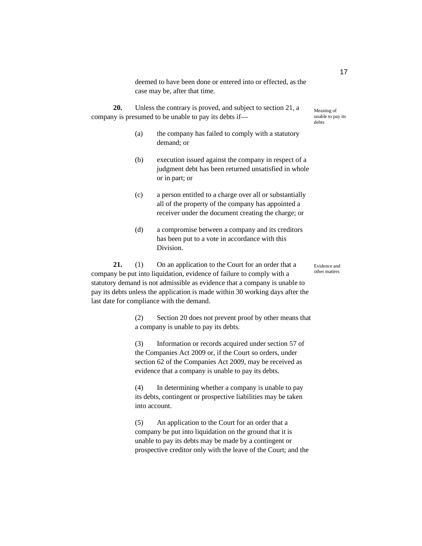deemed to have been done or entered into or effected, as the case may be, after that time.

**20.** Unless the contrary is proved, and subject to section 21, a company is presumed to be unable to pay its debts if—

- (a) the company has failed to comply with a statutory demand; or
- (b) execution issued against the company in respect of a judgment debt has been returned unsatisfied in whole or in part; or
- (c) a person entitled to a charge over all or substantially all of the property of the company has appointed a receiver under the document creating the charge; or
- (d) a compromise between a company and its creditors has been put to a vote in accordance with this Division.

21. (1) On an application to the Court for an order that a company be put into liquidation, evidence of failure to comply with a statutory demand is not admissible as evidence that a company is unable to pay its debts unless the application is made within 30 working days after the last date for compliance with the demand.

> (2) Section 20 does not prevent proof by other means that a company is unable to pay its debts.

(3) Information or records acquired under section 57 of the Companies Act 2009 or, if the Court so orders, under section 62 of the Companies Act 2009, may be received as evidence that a company is unable to pay its debts.

(4) In determining whether a company is unable to pay its debts, contingent or prospective liabilities may be taken into account.

(5) An application to the Court for an order that a company be put into liquidation on the ground that it is unable to pay its debts may be made by a contingent or prospective creditor only with the leave of the Court; and the

Meaning of unable to pay its debts

Evidence and other matters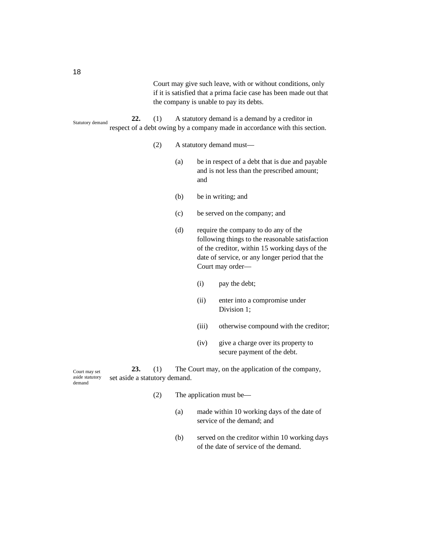Court may give such leave, with or without conditions, only if it is satisfied that a prima facie case has been made out that the company is unable to pay its debts.

**22.** (1) A statutory demand is a demand by a creditor in respect of a debt owing by a company made in accordance with this section. Statutory demand

- (2) A statutory demand must—
	- (a) be in respect of a debt that is due and payable and is not less than the prescribed amount; and
	- (b) be in writing; and
	- (c) be served on the company; and
	- (d) require the company to do any of the following things to the reasonable satisfaction of the creditor, within 15 working days of the date of service, or any longer period that the Court may order—
		- (i) pay the debt;
		- (ii) enter into a compromise under Division 1;
		- (iii) otherwise compound with the creditor;
		- (iv) give a charge over its property to secure payment of the debt.

**23.** (1) The Court may, on the application of the company, set aside a statutory demand. Court may set aside statutory demand

- (2) The application must be—
	- (a) made within 10 working days of the date of service of the demand; and
	- (b) served on the creditor within 10 working days of the date of service of the demand.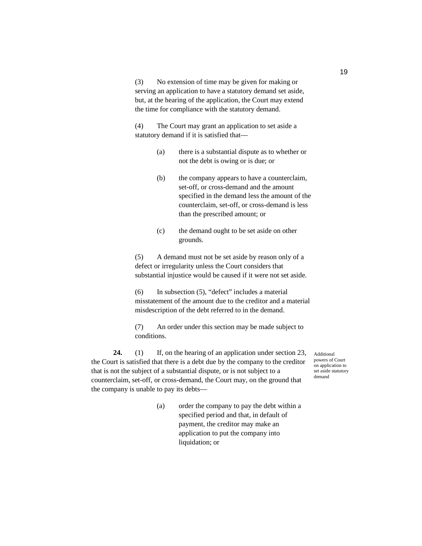(3) No extension of time may be given for making or serving an application to have a statutory demand set aside, but, at the hearing of the application, the Court may extend the time for compliance with the statutory demand.

(4) The Court may grant an application to set aside a statutory demand if it is satisfied that—

- (a) there is a substantial dispute as to whether or not the debt is owing or is due; or
- (b) the company appears to have a counterclaim, set-off, or cross-demand and the amount specified in the demand less the amount of the counterclaim, set-off, or cross-demand is less than the prescribed amount; or
- (c) the demand ought to be set aside on other grounds.

(5) A demand must not be set aside by reason only of a defect or irregularity unless the Court considers that substantial injustice would be caused if it were not set aside.

(6) In subsection (5), "defect" includes a material misstatement of the amount due to the creditor and a material misdescription of the debt referred to in the demand.

(7) An order under this section may be made subject to conditions.

**24.** (1) If, on the hearing of an application under section 23, the Court is satisfied that there is a debt due by the company to the creditor that is not the subject of a substantial dispute, or is not subject to a counterclaim, set-off, or cross-demand, the Court may, on the ground that the company is unable to pay its debts—

> (a) order the company to pay the debt within a specified period and that, in default of payment, the creditor may make an application to put the company into liquidation; or

Additional powers of Court on application to set aside statutory demand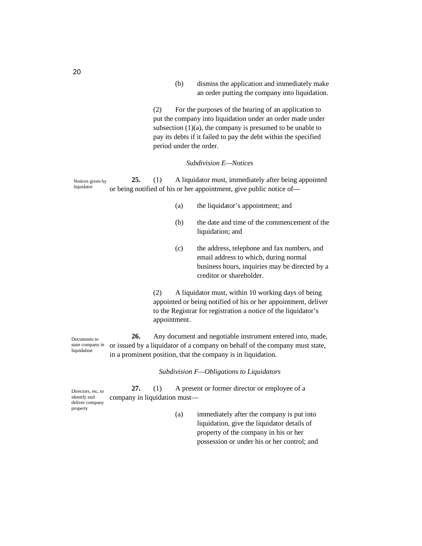(b) dismiss the application and immediately make an order putting the company into liquidation.

(2) For the purposes of the hearing of an application to put the company into liquidation under an order made under subsection  $(1)(a)$ , the company is presumed to be unable to pay its debts if it failed to pay the debt within the specified period under the order.

#### *Subdivision E—Notices*

**25.** (1) A liquidator must, immediately after being appointed or being notified of his or her appointment, give public notice of— Notices given by liquidator

- (a) the liquidator's appointment; and
- (b) the date and time of the commencement of the liquidation; and
- (c) the address, telephone and fax numbers, and email address to which, during normal business hours, inquiries may be directed by a creditor or shareholder.

(2) A liquidator must, within 10 working days of being appointed or being notified of his or her appointment, deliver to the Registrar for registration a notice of the liquidator's appointment.

**26.** Any document and negotiable instrument entered into, made, or issued by a liquidator of a company on behalf of the company must state, in a prominent position, that the company is in liquidation. state company in

#### *Subdivision F—Obligations to Liquidators*

**27.** (1) A present or former director or employee of a company in liquidation must— Directors, etc, to identify and deliver company property

(a) immediately after the company is put into liquidation, give the liquidator details of property of the company in his or her possession or under his or her control; and

Documents to

liquidation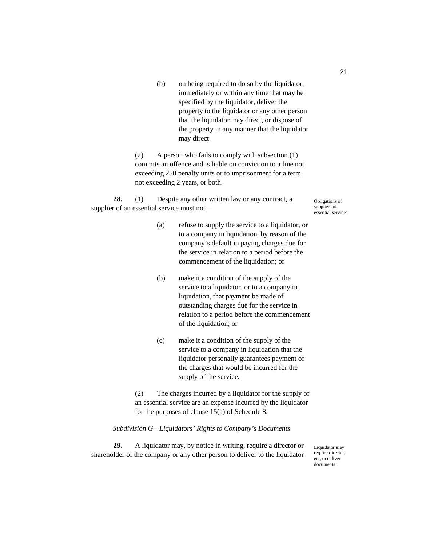(b) on being required to do so by the liquidator, immediately or within any time that may be specified by the liquidator, deliver the property to the liquidator or any other person that the liquidator may direct, or dispose of the property in any manner that the liquidator may direct.

(2) A person who fails to comply with subsection (1) commits an offence and is liable on conviction to a fine not exceeding 250 penalty units or to imprisonment for a term not exceeding 2 years, or both.

**28.** (1) Despite any other written law or any contract, a supplier of an essential service must not—

Obligations of suppliers of essential services

- (a) refuse to supply the service to a liquidator, or to a company in liquidation, by reason of the company's default in paying charges due for the service in relation to a period before the commencement of the liquidation; or
- (b) make it a condition of the supply of the service to a liquidator, or to a company in liquidation, that payment be made of outstanding charges due for the service in relation to a period before the commencement of the liquidation; or
- (c) make it a condition of the supply of the service to a company in liquidation that the liquidator personally guarantees payment of the charges that would be incurred for the supply of the service.

(2) The charges incurred by a liquidator for the supply of an essential service are an expense incurred by the liquidator for the purposes of clause 15(a) of Schedule 8.

## *Subdivision G—Liquidators' Rights to Company's Documents*

**29.** A liquidator may, by notice in writing, require a director or shareholder of the company or any other person to deliver to the liquidator

Liquidator may require director, etc, to deliver documents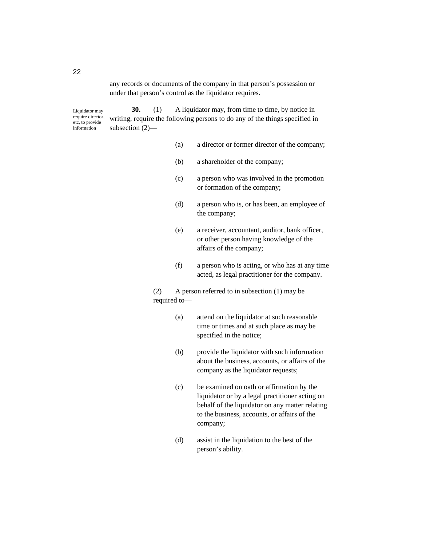any records or documents of the company in that person's possession or under that person's control as the liquidator requires.

**30.** (1) A liquidator may, from time to time, by notice in writing, require the following persons to do any of the things specified in subsection (2)— Liquidator may require director, etc, to provide information

- (a) a director or former director of the company;
- (b) a shareholder of the company;
- (c) a person who was involved in the promotion or formation of the company;
- (d) a person who is, or has been, an employee of the company;
- (e) a receiver, accountant, auditor, bank officer, or other person having knowledge of the affairs of the company;
- (f) a person who is acting, or who has at any time acted, as legal practitioner for the company.

(2) A person referred to in subsection (1) may be required to—

- (a) attend on the liquidator at such reasonable time or times and at such place as may be specified in the notice;
- (b) provide the liquidator with such information about the business, accounts, or affairs of the company as the liquidator requests;
- (c) be examined on oath or affirmation by the liquidator or by a legal practitioner acting on behalf of the liquidator on any matter relating to the business, accounts, or affairs of the company;
- (d) assist in the liquidation to the best of the person's ability.

22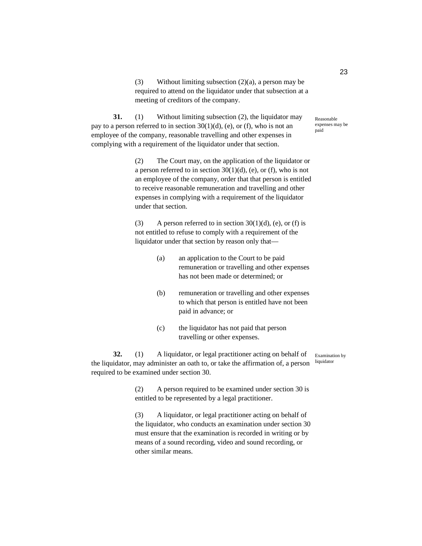(3) Without limiting subsection (2)(a), a person may be required to attend on the liquidator under that subsection at a meeting of creditors of the company.

**31.** (1) Without limiting subsection (2), the liquidator may pay to a person referred to in section  $30(1)(d)$ , (e), or (f), who is not an employee of the company, reasonable travelling and other expenses in complying with a requirement of the liquidator under that section.

> (2) The Court may, on the application of the liquidator or a person referred to in section 30(1)(d), (e), or (f), who is not an employee of the company, order that that person is entitled to receive reasonable remuneration and travelling and other expenses in complying with a requirement of the liquidator under that section.

(3) A person referred to in section  $30(1)(d)$ , (e), or (f) is not entitled to refuse to comply with a requirement of the liquidator under that section by reason only that—

- (a) an application to the Court to be paid remuneration or travelling and other expenses has not been made or determined; or
- (b) remuneration or travelling and other expenses to which that person is entitled have not been paid in advance; or
- (c) the liquidator has not paid that person travelling or other expenses.

**32.** (1) A liquidator, or legal practitioner acting on behalf of the liquidator, may administer an oath to, or take the affirmation of, a person required to be examined under section 30.

Examination by liquidator

(2) A person required to be examined under section 30 is entitled to be represented by a legal practitioner.

(3) A liquidator, or legal practitioner acting on behalf of the liquidator, who conducts an examination under section 30 must ensure that the examination is recorded in writing or by means of a sound recording, video and sound recording, or other similar means.

23

Reasonable expenses may be paid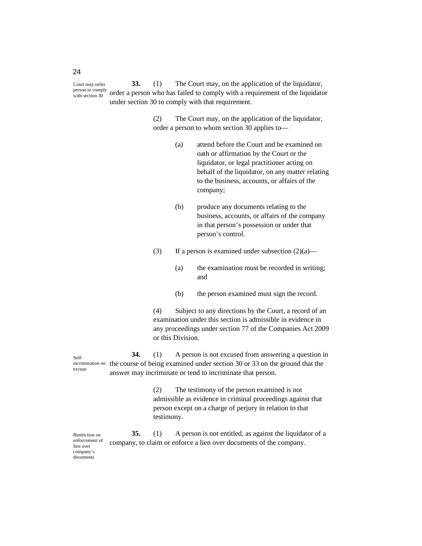**33.** (1) The Court may, on the application of the liquidator, order a person who has failed to comply with a requirement of the liquidator under section 30 to comply with that requirement. Court may order person to comply with section 30

> (2) The Court may, on the application of the liquidator, order a person to whom section 30 applies to—

- (a) attend before the Court and be examined on oath or affirmation by the Court or the liquidator, or legal practitioner acting on behalf of the liquidator, on any matter relating to the business, accounts, or affairs of the company;
- (b) produce any documents relating to the business, accounts, or affairs of the company in that person's possession or under that person's control.
- (3) If a person is examined under subsection  $(2)(a)$ 
	- (a) the examination must be recorded in writing; and
	- (b) the person examined must sign the record.

(4) Subject to any directions by the Court, a record of an examination under this section is admissible in evidence in any proceedings under section 77 of the Companies Act 2009 or this Division.

**34.** (1) A person is not excused from answering a question in incrimination no the course of being examined under section 30 or 33 on the ground that the answer may incriminate or tend to incriminate that person. Selfexcuse

> (2) The testimony of the person examined is not admissible as evidence in criminal proceedings against that person except on a charge of perjury in relation to that testimony.

**35.** (1) A person is not entitled, as against the liquidator of a company, to claim or enforce a lien over documents of the company. Restriction on enforcement of lien over company's documents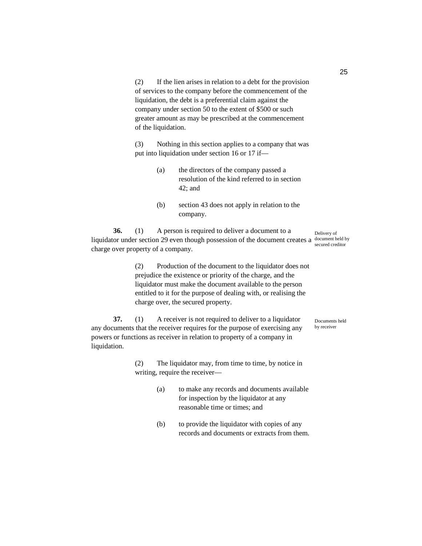(2) If the lien arises in relation to a debt for the provision of services to the company before the commencement of the liquidation, the debt is a preferential claim against the company under section 50 to the extent of \$500 or such greater amount as may be prescribed at the commencement of the liquidation.

(3) Nothing in this section applies to a company that was put into liquidation under section 16 or 17 if—

- (a) the directors of the company passed a resolution of the kind referred to in section 42; and
- (b) section 43 does not apply in relation to the company.

**36.** (1) A person is required to deliver a document to a liquidator under section 29 even though possession of the document creates a charge over property of a company.

> (2) Production of the document to the liquidator does not prejudice the existence or priority of the charge, and the liquidator must make the document available to the person entitled to it for the purpose of dealing with, or realising the charge over, the secured property.

**37.** (1) A receiver is not required to deliver to a liquidator any documents that the receiver requires for the purpose of exercising any powers or functions as receiver in relation to property of a company in

> (2) The liquidator may, from time to time, by notice in writing, require the receiver—

liquidation.

- (a) to make any records and documents available for inspection by the liquidator at any reasonable time or times; and
- (b) to provide the liquidator with copies of any records and documents or extracts from them.

Delivery of document held by secured creditor

Documents held by receiver

25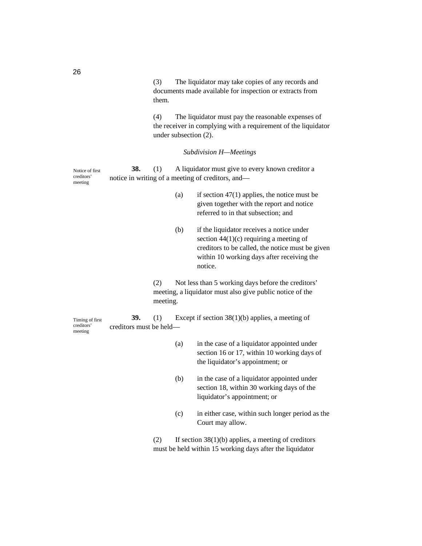(3) The liquidator may take copies of any records and documents made available for inspection or extracts from them.

(4) The liquidator must pay the reasonable expenses of the receiver in complying with a requirement of the liquidator under subsection (2).

# *Subdivision H—Meetings*

| Notice of first<br>creditors'<br>meeting | 38.                            | (1)             | A liquidator must give to every known creditor a<br>notice in writing of a meeting of creditors, and-           |                                                                                                                                                                                                     |  |  |
|------------------------------------------|--------------------------------|-----------------|-----------------------------------------------------------------------------------------------------------------|-----------------------------------------------------------------------------------------------------------------------------------------------------------------------------------------------------|--|--|
|                                          |                                |                 | (a)                                                                                                             | if section $47(1)$ applies, the notice must be<br>given together with the report and notice<br>referred to in that subsection; and                                                                  |  |  |
|                                          |                                |                 | (b)                                                                                                             | if the liquidator receives a notice under<br>section $44(1)(c)$ requiring a meeting of<br>creditors to be called, the notice must be given<br>within 10 working days after receiving the<br>notice. |  |  |
|                                          |                                | (2)<br>meeting. | Not less than 5 working days before the creditors'<br>meeting, a liquidator must also give public notice of the |                                                                                                                                                                                                     |  |  |
| Timing of first<br>creditors'<br>meeting | 39.<br>creditors must be held— | (1)             |                                                                                                                 | Except if section $38(1)(b)$ applies, a meeting of                                                                                                                                                  |  |  |
|                                          |                                |                 | (a)                                                                                                             | in the case of a liquidator appointed under<br>section 16 or 17, within 10 working days of<br>the liquidator's appointment; or                                                                      |  |  |
|                                          |                                |                 | (b)                                                                                                             | in the case of a liquidator appointed under<br>section 18, within 30 working days of the<br>liquidator's appointment; or                                                                            |  |  |
|                                          |                                |                 | (c)                                                                                                             | in either case, within such longer period as the<br>Court may allow.                                                                                                                                |  |  |
|                                          |                                | (2)             |                                                                                                                 | If section $38(1)(b)$ applies, a meeting of creditors                                                                                                                                               |  |  |

must be held within 15 working days after the liquidator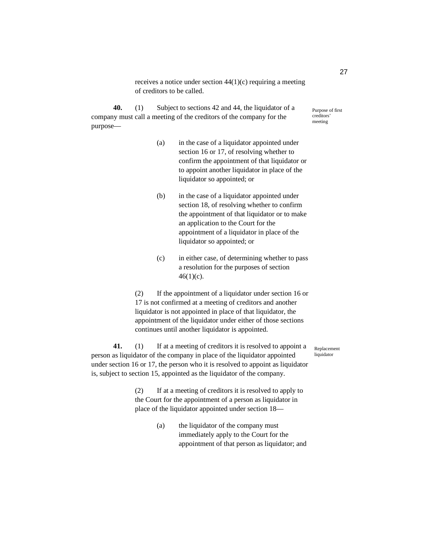receives a notice under section 44(1)(c) requiring a meeting of creditors to be called.

**40.** (1) Subject to sections 42 and 44, the liquidator of a company must call a meeting of the creditors of the company for the purpose—

- (a) in the case of a liquidator appointed under section 16 or 17, of resolving whether to confirm the appointment of that liquidator or to appoint another liquidator in place of the liquidator so appointed; or
- (b) in the case of a liquidator appointed under section 18, of resolving whether to confirm the appointment of that liquidator or to make an application to the Court for the appointment of a liquidator in place of the liquidator so appointed; or
- (c) in either case, of determining whether to pass a resolution for the purposes of section  $46(1)(c)$ .

(2) If the appointment of a liquidator under section 16 or 17 is not confirmed at a meeting of creditors and another liquidator is not appointed in place of that liquidator, the appointment of the liquidator under either of those sections continues until another liquidator is appointed.

**41.** (1) If at a meeting of creditors it is resolved to appoint a person as liquidator of the company in place of the liquidator appointed under section 16 or 17, the person who it is resolved to appoint as liquidator is, subject to section 15, appointed as the liquidator of the company.

Replacement liquidator

(2) If at a meeting of creditors it is resolved to apply to the Court for the appointment of a person as liquidator in place of the liquidator appointed under section 18—

> (a) the liquidator of the company must immediately apply to the Court for the appointment of that person as liquidator; and

27

Purpose of first creditors' meeting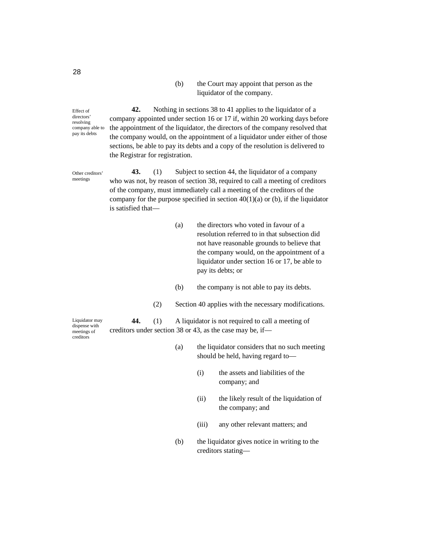## (b) the Court may appoint that person as the liquidator of the company.

Effect of directors' resolving company able to pay its debts

**42.** Nothing in sections 38 to 41 applies to the liquidator of a company appointed under section 16 or 17 if, within 20 working days before the appointment of the liquidator, the directors of the company resolved that the company would, on the appointment of a liquidator under either of those sections, be able to pay its debts and a copy of the resolution is delivered to the Registrar for registration.

**43.** (1) Subject to section 44, the liquidator of a company who was not, by reason of section 38, required to call a meeting of creditors of the company, must immediately call a meeting of the creditors of the company for the purpose specified in section  $40(1)(a)$  or (b), if the liquidator is satisfied that— Other creditors' meetings

- (a) the directors who voted in favour of a resolution referred to in that subsection did not have reasonable grounds to believe that the company would, on the appointment of a liquidator under section 16 or 17, be able to pay its debts; or
- (b) the company is not able to pay its debts.
- (2) Section 40 applies with the necessary modifications.

Liquidator may dispense with meetings of creditors

**44.** (1) A liquidator is not required to call a meeting of creditors under section 38 or 43, as the case may be, if—

- (a) the liquidator considers that no such meeting should be held, having regard to—
	- (i) the assets and liabilities of the company; and
	- (ii) the likely result of the liquidation of the company; and
	- (iii) any other relevant matters; and
- (b) the liquidator gives notice in writing to the creditors stating—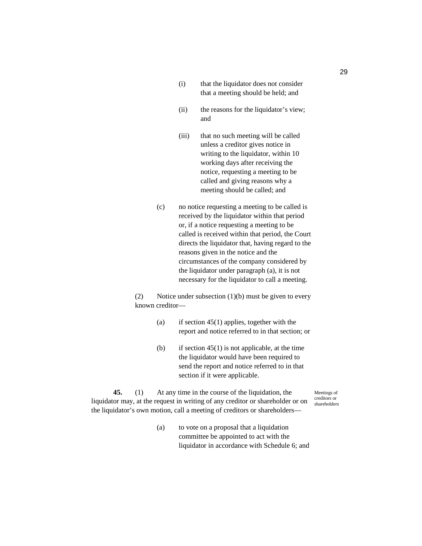- (i) that the liquidator does not consider that a meeting should be held; and
- (ii) the reasons for the liquidator's view; and
- (iii) that no such meeting will be called unless a creditor gives notice in writing to the liquidator, within 10 working days after receiving the notice, requesting a meeting to be called and giving reasons why a meeting should be called; and
- (c) no notice requesting a meeting to be called is received by the liquidator within that period or, if a notice requesting a meeting to be called is received within that period, the Court directs the liquidator that, having regard to the reasons given in the notice and the circumstances of the company considered by the liquidator under paragraph (a), it is not necessary for the liquidator to call a meeting.

(2) Notice under subsection  $(1)(b)$  must be given to every known creditor—

- (a) if section  $45(1)$  applies, together with the report and notice referred to in that section; or
- (b) if section  $45(1)$  is not applicable, at the time the liquidator would have been required to send the report and notice referred to in that section if it were applicable.

**45.** (1) At any time in the course of the liquidation, the liquidator may, at the request in writing of any creditor or shareholder or on the liquidator's own motion, call a meeting of creditors or shareholders—

Meetings of creditors or shareholders

(a) to vote on a proposal that a liquidation committee be appointed to act with the liquidator in accordance with Schedule 6; and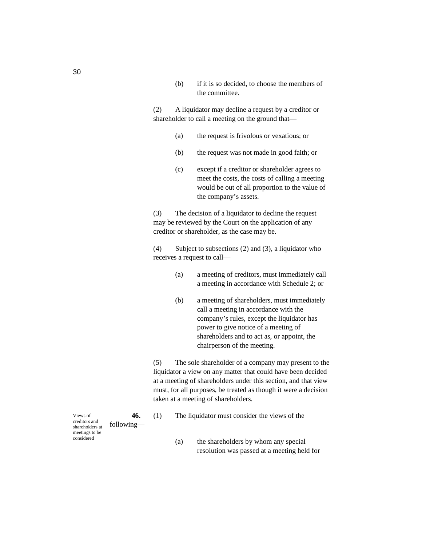(b) if it is so decided, to choose the members of the committee.

(2) A liquidator may decline a request by a creditor or shareholder to call a meeting on the ground that—

- (a) the request is frivolous or vexatious; or
- (b) the request was not made in good faith; or
- (c) except if a creditor or shareholder agrees to meet the costs, the costs of calling a meeting would be out of all proportion to the value of the company's assets.

(3) The decision of a liquidator to decline the request may be reviewed by the Court on the application of any creditor or shareholder, as the case may be.

(4) Subject to subsections (2) and (3), a liquidator who receives a request to call—

- (a) a meeting of creditors, must immediately call a meeting in accordance with Schedule 2; or
- (b) a meeting of shareholders, must immediately call a meeting in accordance with the company's rules, except the liquidator has power to give notice of a meeting of shareholders and to act as, or appoint, the chairperson of the meeting.

(5) The sole shareholder of a company may present to the liquidator a view on any matter that could have been decided at a meeting of shareholders under this section, and that view must, for all purposes, be treated as though it were a decision taken at a meeting of shareholders.

- **46.** (1) The liquidator must consider the views of the
	- (a) the shareholders by whom any special resolution was passed at a meeting held for

following— Views of creditors and shareholders at meetings to be considered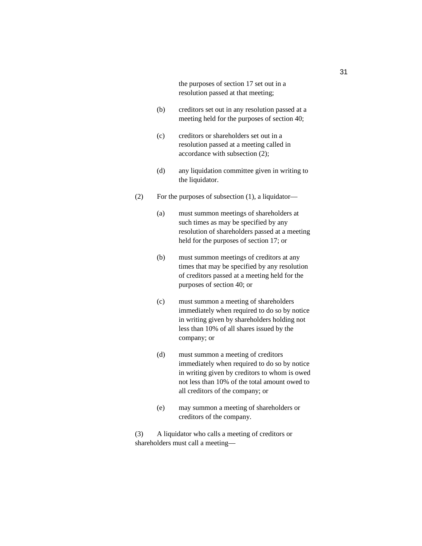the purposes of section 17 set out in a resolution passed at that meeting;

- (b) creditors set out in any resolution passed at a meeting held for the purposes of section 40;
- (c) creditors or shareholders set out in a resolution passed at a meeting called in accordance with subsection (2);
- (d) any liquidation committee given in writing to the liquidator.
- (2) For the purposes of subsection (1), a liquidator—
	- (a) must summon meetings of shareholders at such times as may be specified by any resolution of shareholders passed at a meeting held for the purposes of section 17; or
	- (b) must summon meetings of creditors at any times that may be specified by any resolution of creditors passed at a meeting held for the purposes of section 40; or
	- (c) must summon a meeting of shareholders immediately when required to do so by notice in writing given by shareholders holding not less than 10% of all shares issued by the company; or
	- (d) must summon a meeting of creditors immediately when required to do so by notice in writing given by creditors to whom is owed not less than 10% of the total amount owed to all creditors of the company; or
	- (e) may summon a meeting of shareholders or creditors of the company.

(3) A liquidator who calls a meeting of creditors or shareholders must call a meeting—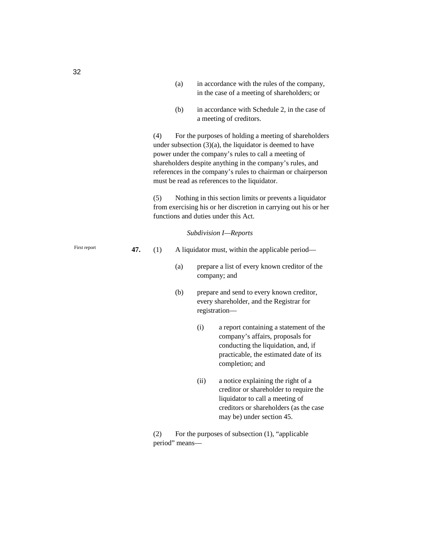|              |                                                                                                                                                                                                                                                                                                                                                                    |                                                                                                                                                                            | (a) |                                                  | in accordance with the rules of the company,<br>in the case of a meeting of shareholders; or                                                                                           |  |  |  |
|--------------|--------------------------------------------------------------------------------------------------------------------------------------------------------------------------------------------------------------------------------------------------------------------------------------------------------------------------------------------------------------------|----------------------------------------------------------------------------------------------------------------------------------------------------------------------------|-----|--------------------------------------------------|----------------------------------------------------------------------------------------------------------------------------------------------------------------------------------------|--|--|--|
|              |                                                                                                                                                                                                                                                                                                                                                                    |                                                                                                                                                                            | (b) |                                                  | in accordance with Schedule 2, in the case of<br>a meeting of creditors.                                                                                                               |  |  |  |
|              | (4)<br>For the purposes of holding a meeting of shareholders<br>under subsection $(3)(a)$ , the liquidator is deemed to have<br>power under the company's rules to call a meeting of<br>shareholders despite anything in the company's rules, and<br>references in the company's rules to chairman or chairperson<br>must be read as references to the liquidator. |                                                                                                                                                                            |     |                                                  |                                                                                                                                                                                        |  |  |  |
|              |                                                                                                                                                                                                                                                                                                                                                                    | (5)<br>Nothing in this section limits or prevents a liquidator<br>from exercising his or her discretion in carrying out his or her<br>functions and duties under this Act. |     |                                                  |                                                                                                                                                                                        |  |  |  |
|              |                                                                                                                                                                                                                                                                                                                                                                    |                                                                                                                                                                            |     |                                                  | Subdivision I-Reports                                                                                                                                                                  |  |  |  |
| First report | 47.                                                                                                                                                                                                                                                                                                                                                                | (1)                                                                                                                                                                        |     | A liquidator must, within the applicable period- |                                                                                                                                                                                        |  |  |  |
|              |                                                                                                                                                                                                                                                                                                                                                                    |                                                                                                                                                                            | (a) | company; and                                     | prepare a list of every known creditor of the                                                                                                                                          |  |  |  |
|              |                                                                                                                                                                                                                                                                                                                                                                    |                                                                                                                                                                            | (b) | registration-                                    | prepare and send to every known creditor,<br>every shareholder, and the Registrar for                                                                                                  |  |  |  |
|              |                                                                                                                                                                                                                                                                                                                                                                    |                                                                                                                                                                            |     | (i)                                              | a report containing a statement of the<br>company's affairs, proposals for<br>conducting the liquidation, and, if<br>practicable, the estimated date of its<br>completion; and         |  |  |  |
|              |                                                                                                                                                                                                                                                                                                                                                                    |                                                                                                                                                                            |     | (ii)                                             | a notice explaining the right of a<br>creditor or shareholder to require the<br>liquidator to call a meeting of<br>creditors or shareholders (as the case<br>may be) under section 45. |  |  |  |

(2) For the purposes of subsection (1), "applicable period" means—

32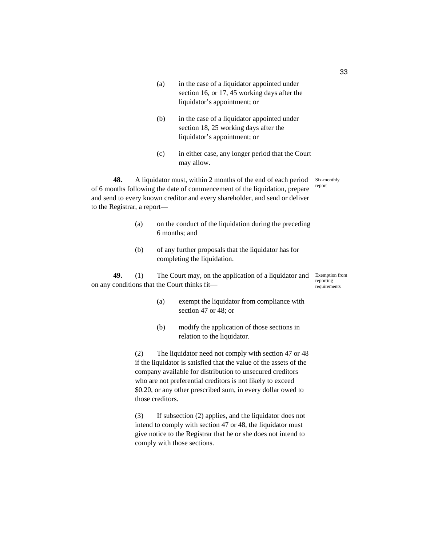- (a) in the case of a liquidator appointed under section 16, or 17, 45 working days after the liquidator's appointment; or
- (b) in the case of a liquidator appointed under section 18, 25 working days after the liquidator's appointment; or
- (c) in either case, any longer period that the Court may allow.

**48.** A liquidator must, within 2 months of the end of each period of 6 months following the date of commencement of the liquidation, prepare and send to every known creditor and every shareholder, and send or deliver to the Registrar, a report— Six-monthly report

- (a) on the conduct of the liquidation during the preceding 6 months; and
- (b) of any further proposals that the liquidator has for completing the liquidation.

**49.** (1) The Court may, on the application of a liquidator and on any conditions that the Court thinks fit—

- (a) exempt the liquidator from compliance with section 47 or 48; or
- (b) modify the application of those sections in relation to the liquidator.

(2) The liquidator need not comply with section 47 or 48 if the liquidator is satisfied that the value of the assets of the company available for distribution to unsecured creditors who are not preferential creditors is not likely to exceed \$0.20, or any other prescribed sum, in every dollar owed to those creditors.

(3) If subsection (2) applies, and the liquidator does not intend to comply with section 47 or 48, the liquidator must give notice to the Registrar that he or she does not intend to comply with those sections.

33

Exemption from reporting requirements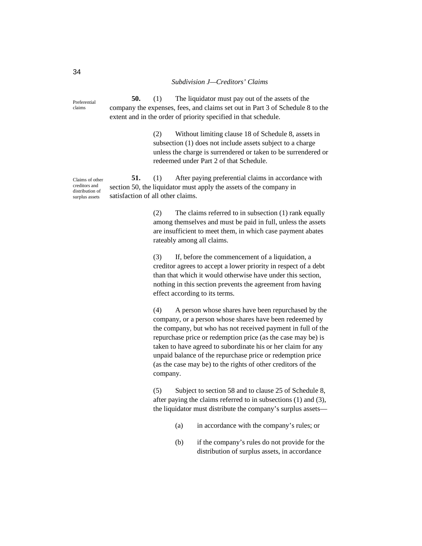#### *Subdivision J—Creditors' Claims*

**50.** (1) The liquidator must pay out of the assets of the company the expenses, fees, and claims set out in Part 3 of Schedule 8 to the extent and in the order of priority specified in that schedule. Preferential

> (2) Without limiting clause 18 of Schedule 8, assets in subsection (1) does not include assets subject to a charge unless the charge is surrendered or taken to be surrendered or redeemed under Part 2 of that Schedule.

**51.** (1) After paying preferential claims in accordance with section 50, the liquidator must apply the assets of the company in satisfaction of all other claims.

> (2) The claims referred to in subsection (1) rank equally among themselves and must be paid in full, unless the assets are insufficient to meet them, in which case payment abates rateably among all claims.

> (3) If, before the commencement of a liquidation, a creditor agrees to accept a lower priority in respect of a debt than that which it would otherwise have under this section, nothing in this section prevents the agreement from having effect according to its terms.

(4) A person whose shares have been repurchased by the company, or a person whose shares have been redeemed by the company, but who has not received payment in full of the repurchase price or redemption price (as the case may be) is taken to have agreed to subordinate his or her claim for any unpaid balance of the repurchase price or redemption price (as the case may be) to the rights of other creditors of the company.

(5) Subject to section 58 and to clause 25 of Schedule 8, after paying the claims referred to in subsections (1) and (3), the liquidator must distribute the company's surplus assets—

- (a) in accordance with the company's rules; or
- (b) if the company's rules do not provide for the distribution of surplus assets, in accordance

Claims of other creditors and distribution of

surplus assets

claims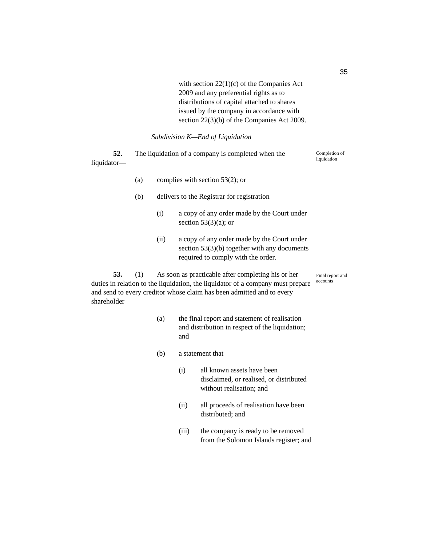with section 22(1)(c) of the Companies Act 2009 and any preferential rights as to distributions of capital attached to shares issued by the company in accordance with section 22(3)(b) of the Companies Act 2009.

*Subdivision K—End of Liquidation* 

**52.** The liquidation of a company is completed when the liquidator— Completion of liquidation

- (a) complies with section 53(2); or
- (b) delivers to the Registrar for registration—
	- (i) a copy of any order made by the Court under section  $53(3)(a)$ ; or
	- (ii) a copy of any order made by the Court under section 53(3)(b) together with any documents required to comply with the order.

Final report and accounts

**53.** (1) As soon as practicable after completing his or her duties in relation to the liquidation, the liquidator of a company must prepare and send to every creditor whose claim has been admitted and to every shareholder—

- (a) the final report and statement of realisation and distribution in respect of the liquidation; and
- (b) a statement that—
	- (i) all known assets have been disclaimed, or realised, or distributed without realisation; and
	- (ii) all proceeds of realisation have been distributed; and
	- (iii) the company is ready to be removed from the Solomon Islands register; and

35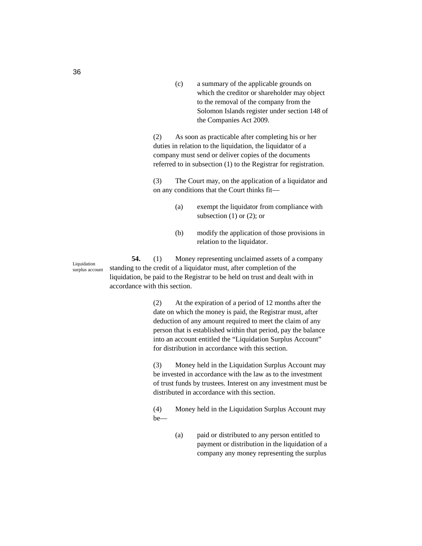(c) a summary of the applicable grounds on which the creditor or shareholder may object to the removal of the company from the Solomon Islands register under section 148 of the Companies Act 2009.

(2) As soon as practicable after completing his or her duties in relation to the liquidation, the liquidator of a company must send or deliver copies of the documents referred to in subsection (1) to the Registrar for registration.

(3) The Court may, on the application of a liquidator and on any conditions that the Court thinks fit—

- (a) exempt the liquidator from compliance with subsection  $(1)$  or  $(2)$ ; or
- (b) modify the application of those provisions in relation to the liquidator.

**54.** (1) Money representing unclaimed assets of a company standing to the credit of a liquidator must, after completion of the liquidation, be paid to the Registrar to be held on trust and dealt with in accordance with this section.

> (2) At the expiration of a period of 12 months after the date on which the money is paid, the Registrar must, after deduction of any amount required to meet the claim of any person that is established within that period, pay the balance into an account entitled the "Liquidation Surplus Account" for distribution in accordance with this section.

(3) Money held in the Liquidation Surplus Account may be invested in accordance with the law as to the investment of trust funds by trustees. Interest on any investment must be distributed in accordance with this section.

(4) Money held in the Liquidation Surplus Account may be—

> (a) paid or distributed to any person entitled to payment or distribution in the liquidation of a company any money representing the surplus

Liquidation surplus account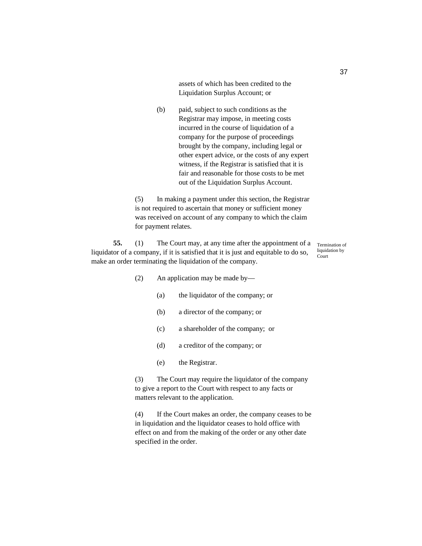assets of which has been credited to the Liquidation Surplus Account; or

(b) paid, subject to such conditions as the Registrar may impose, in meeting costs incurred in the course of liquidation of a company for the purpose of proceedings brought by the company, including legal or other expert advice, or the costs of any expert witness, if the Registrar is satisfied that it is fair and reasonable for those costs to be met out of the Liquidation Surplus Account.

(5) In making a payment under this section, the Registrar is not required to ascertain that money or sufficient money was received on account of any company to which the claim for payment relates.

**55.** (1) The Court may, at any time after the appointment of a liquidator of a company, if it is satisfied that it is just and equitable to do so, make an order terminating the liquidation of the company. Court

Termination of liquidation by

- (2) An application may be made by—
	- (a) the liquidator of the company; or
	- (b) a director of the company; or
	- (c) a shareholder of the company; or
	- (d) a creditor of the company; or
	- (e) the Registrar.

(3) The Court may require the liquidator of the company to give a report to the Court with respect to any facts or matters relevant to the application.

(4) If the Court makes an order, the company ceases to be in liquidation and the liquidator ceases to hold office with effect on and from the making of the order or any other date specified in the order.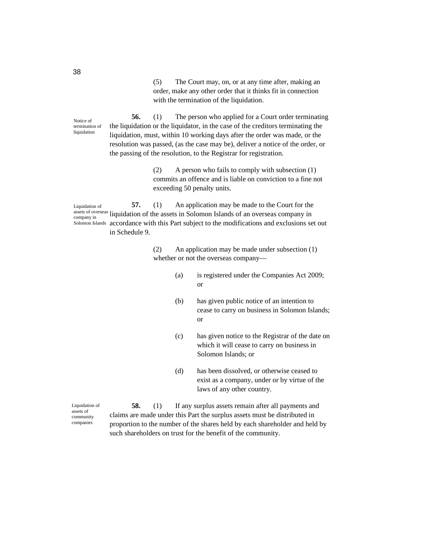(5) The Court may, on, or at any time after, making an order, make any other order that it thinks fit in connection with the termination of the liquidation.

**56.** (1) The person who applied for a Court order terminating the liquidation or the liquidator, in the case of the creditors terminating the liquidation, must, within 10 working days after the order was made, or the resolution was passed, (as the case may be), deliver a notice of the order, or the passing of the resolution, to the Registrar for registration. Notice of termination of liquidation

> (2) A person who fails to comply with subsection (1) commits an offence and is liable on conviction to a fine not exceeding 50 penalty units.

**57.** (1) An application may be made to the Court for the assets of overseas liquidation of the assets in Solomon Islands of an overseas company in accordance with this Part subject to the modifications and exclusions set out in Schedule 9. Liquidation of company in Solomon Islands

> (2) An application may be made under subsection (1) whether or not the overseas company—

- (a) is registered under the Companies Act 2009; or
- (b) has given public notice of an intention to cease to carry on business in Solomon Islands; or
- (c) has given notice to the Registrar of the date on which it will cease to carry on business in Solomon Islands; or
- (d) has been dissolved, or otherwise ceased to exist as a company, under or by virtue of the laws of any other country.

Liquidation of assets of community companies

**58.** (1) If any surplus assets remain after all payments and claims are made under this Part the surplus assets must be distributed in proportion to the number of the shares held by each shareholder and held by such shareholders on trust for the benefit of the community.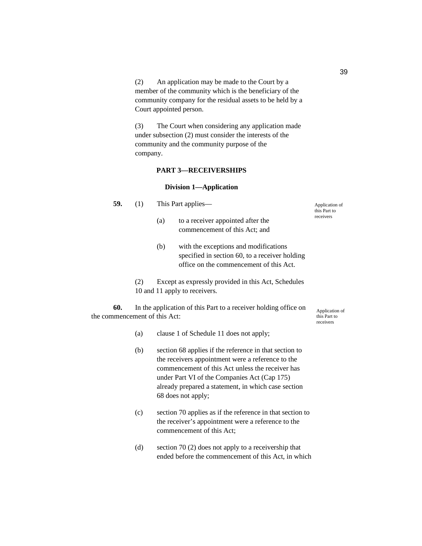(2) An application may be made to the Court by a member of the community which is the beneficiary of the community company for the residual assets to be held by a Court appointed person.

(3) The Court when considering any application made under subsection (2) must consider the interests of the community and the community purpose of the company.

# **PART 3—RECEIVERSHIPS**

#### **Division 1—Application**

**59.** (1) This Part applies—

- (a) to a receiver appointed after the commencement of this Act; and
- (b) with the exceptions and modifications specified in section 60, to a receiver holding office on the commencement of this Act.
- (2) Except as expressly provided in this Act, Schedules 10 and 11 apply to receivers.

**60.** In the application of this Part to a receiver holding office on the commencement of this Act:

- (a) clause 1 of Schedule 11 does not apply;
- (b) section 68 applies if the reference in that section to the receivers appointment were a reference to the commencement of this Act unless the receiver has under Part VI of the Companies Act (Cap 175) already prepared a statement, in which case section 68 does not apply;
- (c) section 70 applies as if the reference in that section to the receiver's appointment were a reference to the commencement of this Act;
- (d) section 70 (2) does not apply to a receivership that ended before the commencement of this Act, in which

Application of this Part to receivers

- -

Application of this Part to receivers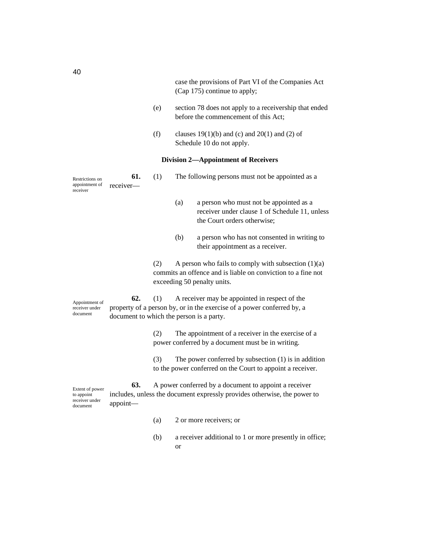case the provisions of Part VI of the Companies Act (Cap 175) continue to apply;

- (e) section 78 does not apply to a receivership that ended before the commencement of this Act;
- (f) clauses  $19(1)(b)$  and (c) and  $20(1)$  and (2) of Schedule 10 do not apply.

# **Division 2—Appointment of Receivers**

| Restrictions on<br>appointment of<br>receiver | 61.<br>receiver— | (1) |  | The following persons must not be appointed as a<br>a person who must not be appointed as a<br>(a)<br>$\blacksquare$ $\blacksquare$ $\blacksquare$ $\blacksquare$ $\blacksquare$ $\blacksquare$ $\blacksquare$ $\blacksquare$ $\blacksquare$ $\blacksquare$ $\blacksquare$ $\blacksquare$ $\blacksquare$ $\blacksquare$ $\blacksquare$ $\blacksquare$ $\blacksquare$ $\blacksquare$ $\blacksquare$ $\blacksquare$ $\blacksquare$ $\blacksquare$ $\blacksquare$ $\blacksquare$ $\blacksquare$ $\blacksquare$ $\blacksquare$ $\blacksquare$ $\blacksquare$ $\blacksquare$ $\blacksquare$ $\blacks$ |  |
|-----------------------------------------------|------------------|-----|--|--------------------------------------------------------------------------------------------------------------------------------------------------------------------------------------------------------------------------------------------------------------------------------------------------------------------------------------------------------------------------------------------------------------------------------------------------------------------------------------------------------------------------------------------------------------------------------------------------|--|
|                                               |                  |     |  |                                                                                                                                                                                                                                                                                                                                                                                                                                                                                                                                                                                                  |  |

- receiver under clause 1 of Schedule 11, unless the Court orders otherwise;
- (b) a person who has not consented in writing to their appointment as a receiver.
- (2) A person who fails to comply with subsection  $(1)(a)$ commits an offence and is liable on conviction to a fine not exceeding 50 penalty units.

Appointment of receiver under document

**62.** (1) A receiver may be appointed in respect of the property of a person by, or in the exercise of a power conferred by, a document to which the person is a party.

> (2) The appointment of a receiver in the exercise of a power conferred by a document must be in writing.

(3) The power conferred by subsection (1) is in addition to the power conferred on the Court to appoint a receiver.

**63.** A power conferred by a document to appoint a receiver includes, unless the document expressly provides otherwise, the power to appoint— Extent of power to appoint receiver under document

- (a) 2 or more receivers; or
- (b) a receiver additional to 1 or more presently in office; or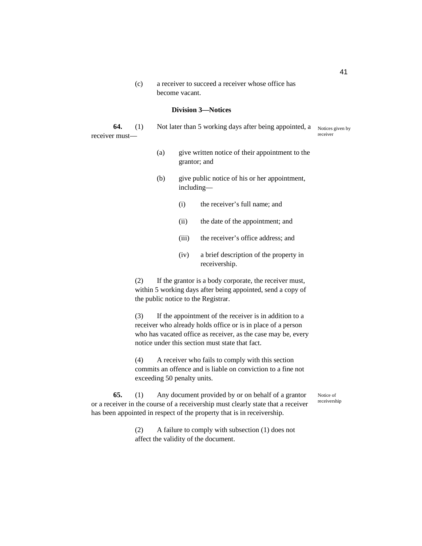(c) a receiver to succeed a receiver whose office has become vacant.

# **Division 3—Notices**

receiver must—

**64.** (1) Not later than 5 working days after being appointed, a Notices given by receiver

- (a) give written notice of their appointment to the grantor; and
- (b) give public notice of his or her appointment, including—
	- (i) the receiver's full name; and
	- (ii) the date of the appointment; and
	- (iii) the receiver's office address; and
	- (iv) a brief description of the property in receivership.

(2) If the grantor is a body corporate, the receiver must, within 5 working days after being appointed, send a copy of the public notice to the Registrar.

(3) If the appointment of the receiver is in addition to a receiver who already holds office or is in place of a person who has vacated office as receiver, as the case may be, every notice under this section must state that fact.

(4) A receiver who fails to comply with this section commits an offence and is liable on conviction to a fine not exceeding 50 penalty units.

> Notice of receivership

**65.** (1) Any document provided by or on behalf of a grantor or a receiver in the course of a receivership must clearly state that a receiver has been appointed in respect of the property that is in receivership.

> (2) A failure to comply with subsection (1) does not affect the validity of the document.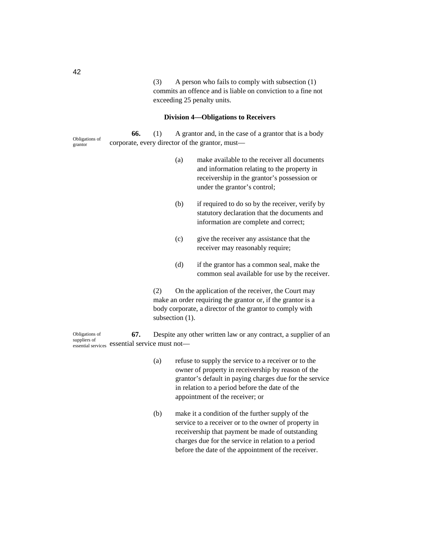(3) A person who fails to comply with subsection (1) commits an offence and is liable on conviction to a fine not exceeding 25 penalty units.

# **Division 4—Obligations to Receivers**

Obligations of grantor

**66.** (1) A grantor and, in the case of a grantor that is a body corporate, every director of the grantor, must—

- (a) make available to the receiver all documents and information relating to the property in receivership in the grantor's possession or under the grantor's control;
- (b) if required to do so by the receiver, verify by statutory declaration that the documents and information are complete and correct;
- (c) give the receiver any assistance that the receiver may reasonably require;
- (d) if the grantor has a common seal, make the common seal available for use by the receiver.

(2) On the application of the receiver, the Court may make an order requiring the grantor or, if the grantor is a body corporate, a director of the grantor to comply with subsection (1).

**67.** Despite any other written law or any contract, a supplier of an essential services essential service must not— Obligations of suppliers of

- (a) refuse to supply the service to a receiver or to the owner of property in receivership by reason of the grantor's default in paying charges due for the service in relation to a period before the date of the appointment of the receiver; or
- (b) make it a condition of the further supply of the service to a receiver or to the owner of property in receivership that payment be made of outstanding charges due for the service in relation to a period before the date of the appointment of the receiver.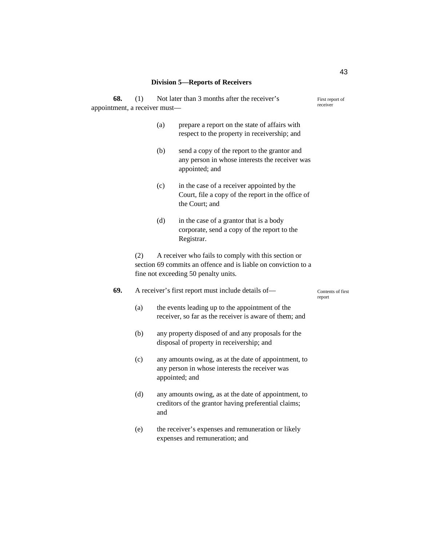# **Division 5—Reports of Receivers**

| 68. | Not later than 3 months after the receiver's<br>(1)<br>appointment, a receiver must-                          |                                                                                                                          |                                                                                                                   | First report of<br>receiver |  |
|-----|---------------------------------------------------------------------------------------------------------------|--------------------------------------------------------------------------------------------------------------------------|-------------------------------------------------------------------------------------------------------------------|-----------------------------|--|
|     |                                                                                                               | (a)                                                                                                                      | prepare a report on the state of affairs with<br>respect to the property in receivership; and                     |                             |  |
|     |                                                                                                               | (b)                                                                                                                      | send a copy of the report to the grantor and<br>any person in whose interests the receiver was<br>appointed; and  |                             |  |
|     |                                                                                                               | (c)                                                                                                                      | in the case of a receiver appointed by the<br>Court, file a copy of the report in the office of<br>the Court; and |                             |  |
|     |                                                                                                               | (d)                                                                                                                      | in the case of a grantor that is a body<br>corporate, send a copy of the report to the<br>Registrar.              |                             |  |
|     | (2)<br>section 69 commits an offence and is liable on conviction to a<br>fine not exceeding 50 penalty units. |                                                                                                                          |                                                                                                                   |                             |  |
| 69. | A receiver's first report must include details of-<br>Contents of first<br>report                             |                                                                                                                          |                                                                                                                   |                             |  |
|     | (a)                                                                                                           | the events leading up to the appointment of the<br>receiver, so far as the receiver is aware of them; and                |                                                                                                                   |                             |  |
|     | (b)                                                                                                           | any property disposed of and any proposals for the<br>disposal of property in receivership; and                          |                                                                                                                   |                             |  |
|     | (c)                                                                                                           | any amounts owing, as at the date of appointment, to<br>any person in whose interests the receiver was<br>appointed; and |                                                                                                                   |                             |  |
|     | (d)                                                                                                           | and                                                                                                                      | any amounts owing, as at the date of appointment, to<br>creditors of the grantor having preferential claims;      |                             |  |
|     | (e)                                                                                                           |                                                                                                                          | the receiver's expenses and remuneration or likely<br>expenses and remuneration; and                              |                             |  |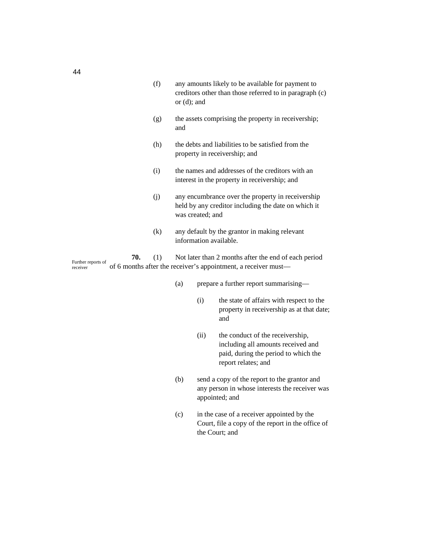- (f) any amounts likely to be available for payment to creditors other than those referred to in paragraph (c) or (d); and
- (g) the assets comprising the property in receivership; and
- (h) the debts and liabilities to be satisfied from the property in receivership; and
- (i) the names and addresses of the creditors with an interest in the property in receivership; and
- (j) any encumbrance over the property in receivership held by any creditor including the date on which it was created; and
- (k) any default by the grantor in making relevant information available.

**70.** (1) Not later than 2 months after the end of each period of 6 months after the receiver's appointment, a receiver must— Further reports of receiver

- (a) prepare a further report summarising—
	- (i) the state of affairs with respect to the property in receivership as at that date; and
	- (ii) the conduct of the receivership, including all amounts received and paid, during the period to which the report relates; and
- (b) send a copy of the report to the grantor and any person in whose interests the receiver was appointed; and
- (c) in the case of a receiver appointed by the Court, file a copy of the report in the office of the Court; and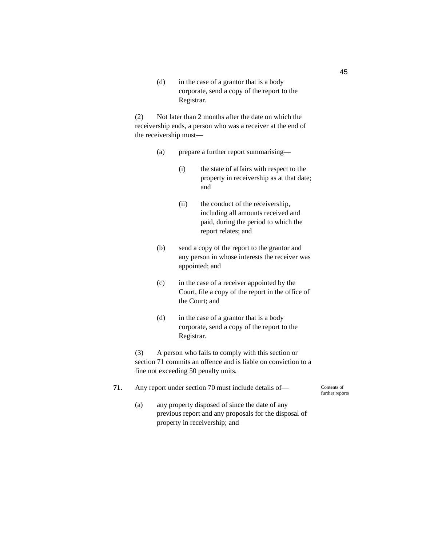(d) in the case of a grantor that is a body corporate, send a copy of the report to the Registrar.

(2) Not later than 2 months after the date on which the receivership ends, a person who was a receiver at the end of the receivership must—

- (a) prepare a further report summarising—
	- (i) the state of affairs with respect to the property in receivership as at that date; and
	- (ii) the conduct of the receivership, including all amounts received and paid, during the period to which the report relates; and
- (b) send a copy of the report to the grantor and any person in whose interests the receiver was appointed; and
- (c) in the case of a receiver appointed by the Court, file a copy of the report in the office of the Court; and
- (d) in the case of a grantor that is a body corporate, send a copy of the report to the Registrar.

(3) A person who fails to comply with this section or section 71 commits an offence and is liable on conviction to a fine not exceeding 50 penalty units.

- **71.** Any report under section 70 must include details of— Contents of further reports
	- (a) any property disposed of since the date of any previous report and any proposals for the disposal of property in receivership; and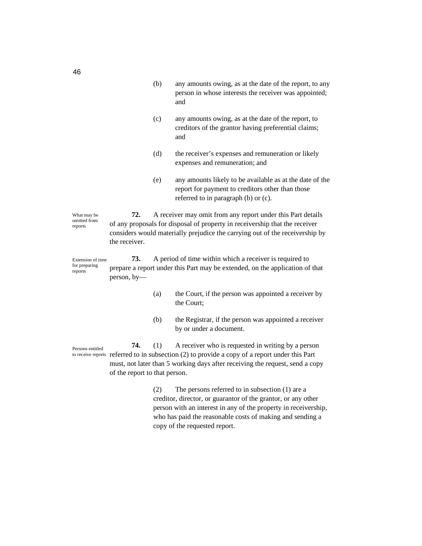- (b) any amounts owing, as at the date of the report, to any person in whose interests the receiver was appointed; and
- (c) any amounts owing, as at the date of the report, to creditors of the grantor having preferential claims; and
- (d) the receiver's expenses and remuneration or likely expenses and remuneration; and
- (e) any amounts likely to be available as at the date of the report for payment to creditors other than those referred to in paragraph (b) or (c).

**72.** A receiver may omit from any report under this Part details of any proposals for disposal of property in receivership that the receiver considers would materially prejudice the carrying out of the receivership by the receiver. What may be omitted from

**73.** A period of time within which a receiver is required to prepare a report under this Part may be extended, on the application of that person, by— Extension of time for preparing reports

- (a) the Court, if the person was appointed a receiver by the Court;
- (b) the Registrar, if the person was appointed a receiver by or under a document.

**74.** (1) A receiver who is requested in writing by a person to receive reports referred to in subsection (2) to provide a copy of a report under this Part must, not later than 5 working days after receiving the request, send a copy of the report to that person.

> (2) The persons referred to in subsection (1) are a creditor, director, or guarantor of the grantor, or any other person with an interest in any of the property in receivership, who has paid the reasonable costs of making and sending a copy of the requested report.

Persons entitled

46

reports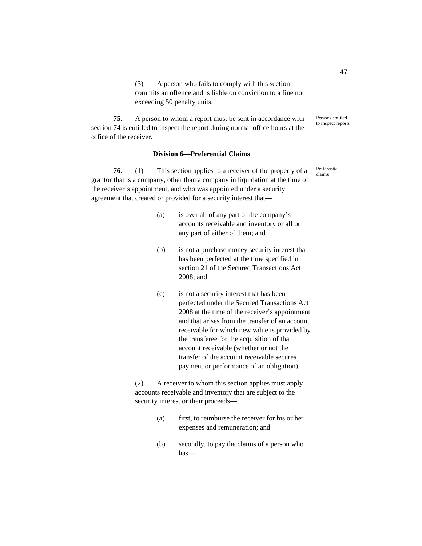(3) A person who fails to comply with this section commits an offence and is liable on conviction to a fine not exceeding 50 penalty units.

**75.** A person to whom a report must be sent in accordance with section 74 is entitled to inspect the report during normal office hours at the office of the receiver.

### **Division 6—Preferential Claims**

**76.** (1) This section applies to a receiver of the property of a grantor that is a company, other than a company in liquidation at the time of the receiver's appointment, and who was appointed under a security agreement that created or provided for a security interest that—

- (a) is over all of any part of the company's accounts receivable and inventory or all or any part of either of them; and
- (b) is not a purchase money security interest that has been perfected at the time specified in section 21 of the Secured Transactions Act 2008; and
- (c) is not a security interest that has been perfected under the Secured Transactions Act 2008 at the time of the receiver's appointment and that arises from the transfer of an account receivable for which new value is provided by the transferee for the acquisition of that account receivable (whether or not the transfer of the account receivable secures payment or performance of an obligation).

(2) A receiver to whom this section applies must apply accounts receivable and inventory that are subject to the security interest or their proceeds—

- (a) first, to reimburse the receiver for his or her expenses and remuneration; and
- (b) secondly, to pay the claims of a person who has—

47

Persons entitled to inspect reports

Preferential claims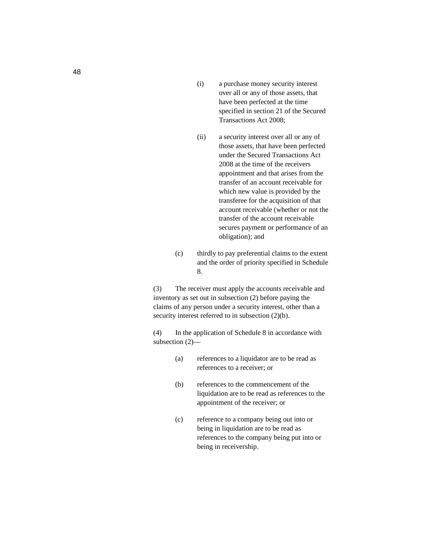- (i) a purchase money security interest over all or any of those assets, that have been perfected at the time specified in section 21 of the Secured Transactions Act 2008;
- (ii) a security interest over all or any of those assets, that have been perfected under the Secured Transactions Act 2008 at the time of the receivers appointment and that arises from the transfer of an account receivable for which new value is provided by the transferee for the acquisition of that account receivable (whether or not the transfer of the account receivable secures payment or performance of an obligation); and
- (c) thirdly to pay preferential claims to the extent and the order of priority specified in Schedule 8.

(3) The receiver must apply the accounts receivable and inventory as set out in subsection (2) before paying the claims of any person under a security interest, other than a security interest referred to in subsection  $(2)(b)$ .

(4) In the application of Schedule 8 in accordance with subsection (2)—

- (a) references to a liquidator are to be read as references to a receiver; or
- (b) references to the commencement of the liquidation are to be read as references to the appointment of the receiver; or
- (c) reference to a company being out into or being in liquidation are to be read as references to the company being put into or being in receivership.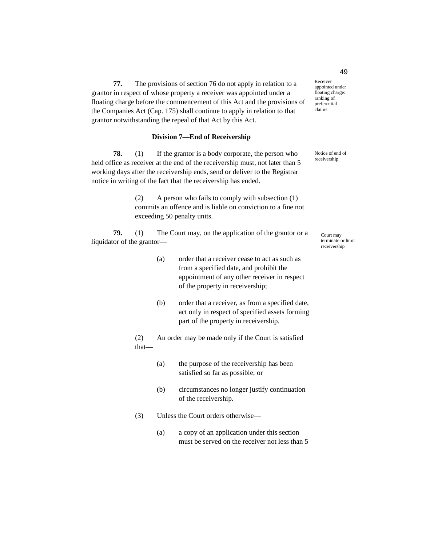**77.** The provisions of section 76 do not apply in relation to a grantor in respect of whose property a receiver was appointed under a floating charge before the commencement of this Act and the provisions of the Companies Act (Cap. 175) shall continue to apply in relation to that grantor notwithstanding the repeal of that Act by this Act.

# **Division 7—End of Receivership**

**78.** (1) If the grantor is a body corporate, the person who held office as receiver at the end of the receivership must, not later than 5 working days after the receivership ends, send or deliver to the Registrar notice in writing of the fact that the receivership has ended.

> (2) A person who fails to comply with subsection (1) commits an offence and is liable on conviction to a fine not exceeding 50 penalty units.

**79.** (1) The Court may, on the application of the grantor or a liquidator of the grantor—

- (a) order that a receiver cease to act as such as from a specified date, and prohibit the appointment of any other receiver in respect of the property in receivership;
- (b) order that a receiver, as from a specified date, act only in respect of specified assets forming part of the property in receivership.

(2) An order may be made only if the Court is satisfied that—

- (a) the purpose of the receivership has been satisfied so far as possible; or
- (b) circumstances no longer justify continuation of the receivership.
- (3) Unless the Court orders otherwise—
	- (a) a copy of an application under this section must be served on the receiver not less than 5

Receiver appointed under floating charge: ranking of preferential claims

Notice of end of receivership

> Court may terminate or limit receivership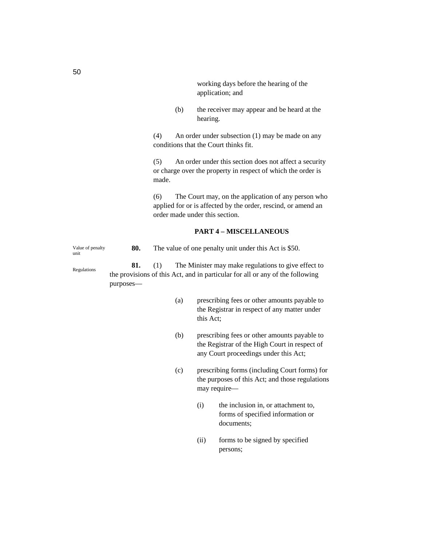working days before the hearing of the application; and

(b) the receiver may appear and be heard at the hearing.

(4) An order under subsection (1) may be made on any conditions that the Court thinks fit.

(5) An order under this section does not affect a security or charge over the property in respect of which the order is made.

(6) The Court may, on the application of any person who applied for or is affected by the order, rescind, or amend an order made under this section.

# **PART 4 – MISCELLANEOUS**

**80.** The value of one penalty unit under this Act is \$50. **81.** (1) The Minister may make regulations to give effect to the provisions of this Act, and in particular for all or any of the following Value of penalty unit Regulations

purposes—

- (a) prescribing fees or other amounts payable to the Registrar in respect of any matter under this Act;
- (b) prescribing fees or other amounts payable to the Registrar of the High Court in respect of any Court proceedings under this Act;
- (c) prescribing forms (including Court forms) for the purposes of this Act; and those regulations may require—
	- (i) the inclusion in, or attachment to, forms of specified information or documents;
	- (ii) forms to be signed by specified persons;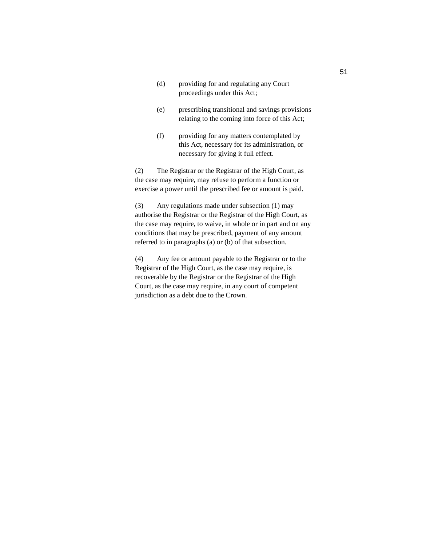- (d) providing for and regulating any Court proceedings under this Act;
- (e) prescribing transitional and savings provisions relating to the coming into force of this Act;
- (f) providing for any matters contemplated by this Act, necessary for its administration, or necessary for giving it full effect.

(2) The Registrar or the Registrar of the High Court, as the case may require, may refuse to perform a function or exercise a power until the prescribed fee or amount is paid.

(3) Any regulations made under subsection (1) may authorise the Registrar or the Registrar of the High Court, as the case may require, to waive, in whole or in part and on any conditions that may be prescribed, payment of any amount referred to in paragraphs (a) or (b) of that subsection.

(4) Any fee or amount payable to the Registrar or to the Registrar of the High Court, as the case may require, is recoverable by the Registrar or the Registrar of the High Court, as the case may require, in any court of competent jurisdiction as a debt due to the Crown.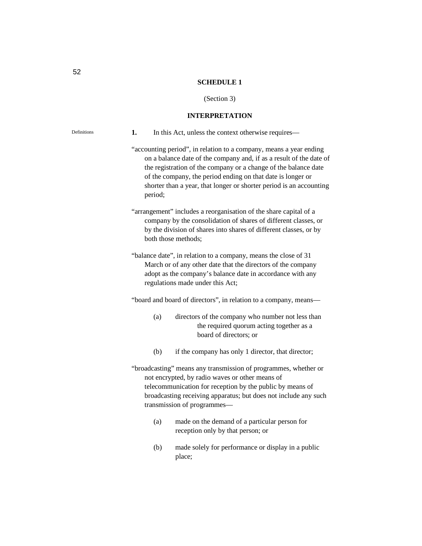### **SCHEDULE 1**

#### (Section 3)

### **INTERPRETATION**

**1.** In this Act, unless the context otherwise requires— "accounting period", in relation to a company, means a year ending on a balance date of the company and, if as a result of the date of the registration of the company or a change of the balance date of the company, the period ending on that date is longer or shorter than a year, that longer or shorter period is an accounting period; "arrangement" includes a reorganisation of the share capital of a company by the consolidation of shares of different classes, or by the division of shares into shares of different classes, or by both those methods; "balance date", in relation to a company, means the close of 31 March or of any other date that the directors of the company adopt as the company's balance date in accordance with any regulations made under this Act; "board and board of directors", in relation to a company, means— (a) directors of the company who number not less than the required quorum acting together as a board of directors; or (b) if the company has only 1 director, that director; "broadcasting" means any transmission of programmes, whether or not encrypted, by radio waves or other means of telecommunication for reception by the public by means of broadcasting receiving apparatus; but does not include any such transmission of programmes— (a) made on the demand of a particular person for reception only by that person; or

> (b) made solely for performance or display in a public place;

Definitions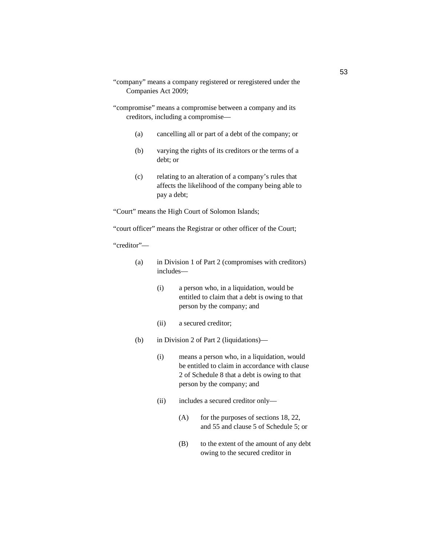- "company" means a company registered or reregistered under the Companies Act 2009;
- "compromise" means a compromise between a company and its creditors, including a compromise—
	- (a) cancelling all or part of a debt of the company; or
	- (b) varying the rights of its creditors or the terms of a debt; or
	- (c) relating to an alteration of a company's rules that affects the likelihood of the company being able to pay a debt;

"Court" means the High Court of Solomon Islands;

"court officer" means the Registrar or other officer of the Court;

### "creditor"—

- (a) in Division 1 of Part 2 (compromises with creditors) includes—
	- (i) a person who, in a liquidation, would be entitled to claim that a debt is owing to that person by the company; and
	- (ii) a secured creditor;
- (b) in Division 2 of Part 2 (liquidations)—
	- (i) means a person who, in a liquidation, would be entitled to claim in accordance with clause 2 of Schedule 8 that a debt is owing to that person by the company; and
	- (ii) includes a secured creditor only—
		- $(A)$  for the purposes of sections 18, 22, and 55 and clause 5 of Schedule 5; or
		- (B) to the extent of the amount of any debt owing to the secured creditor in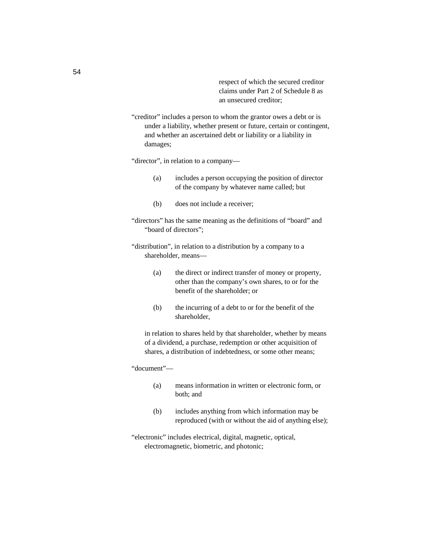respect of which the secured creditor claims under Part 2 of Schedule 8 as an unsecured creditor;

"creditor" includes a person to whom the grantor owes a debt or is under a liability, whether present or future, certain or contingent, and whether an ascertained debt or liability or a liability in damages;

"director", in relation to a company—

- (a) includes a person occupying the position of director of the company by whatever name called; but
- (b) does not include a receiver;
- "directors" has the same meaning as the definitions of "board" and "board of directors";

"distribution", in relation to a distribution by a company to a shareholder, means—

- (a) the direct or indirect transfer of money or property, other than the company's own shares, to or for the benefit of the shareholder; or
- (b) the incurring of a debt to or for the benefit of the shareholder,

in relation to shares held by that shareholder, whether by means of a dividend, a purchase, redemption or other acquisition of shares, a distribution of indebtedness, or some other means;

"document"—

- (a) means information in written or electronic form, or both; and
- (b) includes anything from which information may be reproduced (with or without the aid of anything else);
- "electronic" includes electrical, digital, magnetic, optical, electromagnetic, biometric, and photonic;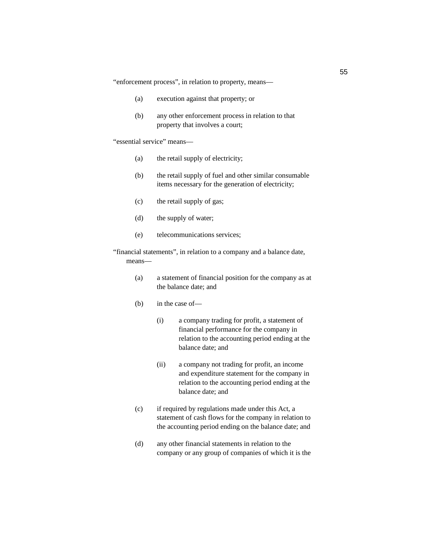"enforcement process", in relation to property, means—

- (a) execution against that property; or
- (b) any other enforcement process in relation to that property that involves a court;

"essential service" means—

- (a) the retail supply of electricity;
- (b) the retail supply of fuel and other similar consumable items necessary for the generation of electricity;
- (c) the retail supply of gas;
- (d) the supply of water;
- (e) telecommunications services;

"financial statements", in relation to a company and a balance date, means—

- (a) a statement of financial position for the company as at the balance date; and
- (b) in the case of—
	- (i) a company trading for profit, a statement of financial performance for the company in relation to the accounting period ending at the balance date; and
	- (ii) a company not trading for profit, an income and expenditure statement for the company in relation to the accounting period ending at the balance date; and
- (c) if required by regulations made under this Act, a statement of cash flows for the company in relation to the accounting period ending on the balance date; and
- (d) any other financial statements in relation to the company or any group of companies of which it is the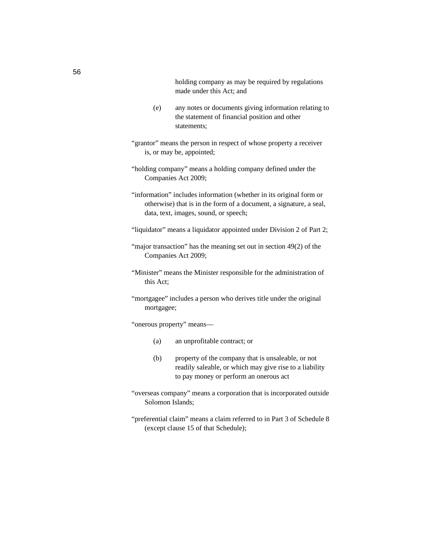holding company as may be required by regulations made under this Act; and

- (e) any notes or documents giving information relating to the statement of financial position and other statements;
- "grantor" means the person in respect of whose property a receiver is, or may be, appointed;
- "holding company" means a holding company defined under the Companies Act 2009;
- "information" includes information (whether in its original form or otherwise) that is in the form of a document, a signature, a seal, data, text, images, sound, or speech;
- "liquidator" means a liquidator appointed under Division 2 of Part 2;
- "major transaction" has the meaning set out in section 49(2) of the Companies Act 2009;
- "Minister" means the Minister responsible for the administration of this Act;
- "mortgagee" includes a person who derives title under the original mortgagee;

"onerous property" means—

- (a) an unprofitable contract; or
- (b) property of the company that is unsaleable, or not readily saleable, or which may give rise to a liability to pay money or perform an onerous act
- "overseas company" means a corporation that is incorporated outside Solomon Islands;
- "preferential claim" means a claim referred to in Part 3 of Schedule 8 (except clause 15 of that Schedule);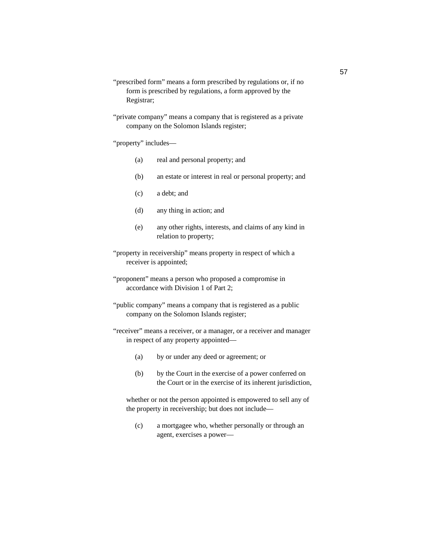- "prescribed form" means a form prescribed by regulations or, if no form is prescribed by regulations, a form approved by the Registrar;
- "private company" means a company that is registered as a private company on the Solomon Islands register;
- "property" includes—
	- (a) real and personal property; and
	- (b) an estate or interest in real or personal property; and
	- (c) a debt; and
	- (d) any thing in action; and
	- (e) any other rights, interests, and claims of any kind in relation to property;
- "property in receivership" means property in respect of which a receiver is appointed;
- "proponent" means a person who proposed a compromise in accordance with Division 1 of Part 2;
- "public company" means a company that is registered as a public company on the Solomon Islands register;
- "receiver" means a receiver, or a manager, or a receiver and manager in respect of any property appointed—
	- (a) by or under any deed or agreement; or
	- (b) by the Court in the exercise of a power conferred on the Court or in the exercise of its inherent jurisdiction,

whether or not the person appointed is empowered to sell any of the property in receivership; but does not include—

(c) a mortgagee who, whether personally or through an agent, exercises a power—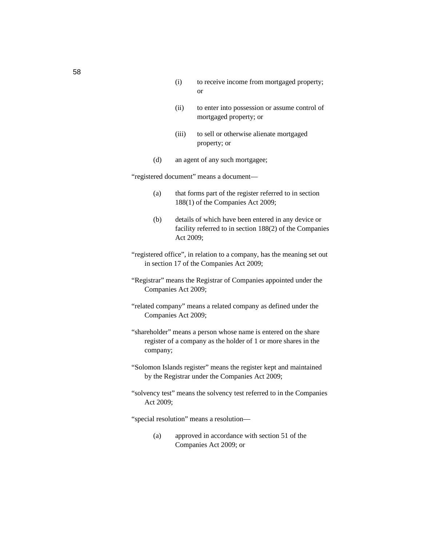- (i) to receive income from mortgaged property; or
- (ii) to enter into possession or assume control of mortgaged property; or
- (iii) to sell or otherwise alienate mortgaged property; or
- (d) an agent of any such mortgagee;

"registered document" means a document—

- (a) that forms part of the register referred to in section 188(1) of the Companies Act 2009;
- (b) details of which have been entered in any device or facility referred to in section 188(2) of the Companies Act 2009;
- "registered office", in relation to a company, has the meaning set out in section 17 of the Companies Act 2009;
- "Registrar" means the Registrar of Companies appointed under the Companies Act 2009;
- "related company" means a related company as defined under the Companies Act 2009;
- "shareholder" means a person whose name is entered on the share register of a company as the holder of 1 or more shares in the company;
- "Solomon Islands register" means the register kept and maintained by the Registrar under the Companies Act 2009;
- "solvency test" means the solvency test referred to in the Companies Act 2009;

"special resolution" means a resolution—

(a) approved in accordance with section 51 of the Companies Act 2009; or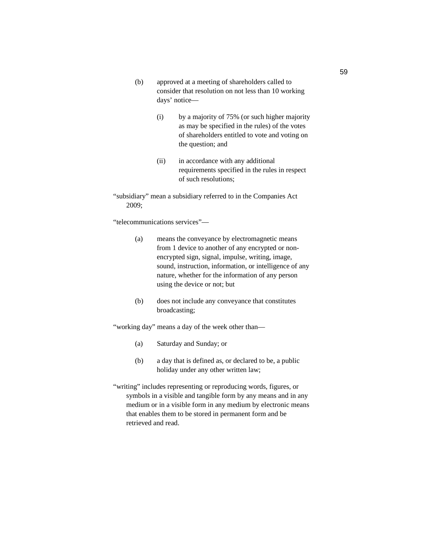- (b) approved at a meeting of shareholders called to consider that resolution on not less than 10 working days' notice—
	- (i) by a majority of 75% (or such higher majority as may be specified in the rules) of the votes of shareholders entitled to vote and voting on the question; and
	- (ii) in accordance with any additional requirements specified in the rules in respect of such resolutions;
- "subsidiary" mean a subsidiary referred to in the Companies Act 2009;

"telecommunications services"—

- (a) means the conveyance by electromagnetic means from 1 device to another of any encrypted or nonencrypted sign, signal, impulse, writing, image, sound, instruction, information, or intelligence of any nature, whether for the information of any person using the device or not; but
- (b) does not include any conveyance that constitutes broadcasting;

"working day" means a day of the week other than—

- (a) Saturday and Sunday; or
- (b) a day that is defined as, or declared to be, a public holiday under any other written law;
- "writing" includes representing or reproducing words, figures, or symbols in a visible and tangible form by any means and in any medium or in a visible form in any medium by electronic means that enables them to be stored in permanent form and be retrieved and read.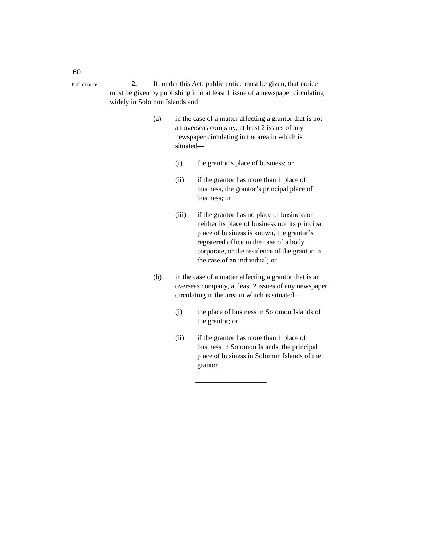- **2.** If, under this Act, public notice must be given, that notice must be given by publishing it in at least 1 issue of a newspaper circulating widely in Solomon Islands and
	- (a) in the case of a matter affecting a grantor that is not an overseas company, at least 2 issues of any newspaper circulating in the area in which is situated—
		- (i) the grantor's place of business; or
		- (ii) if the grantor has more than 1 place of business, the grantor's principal place of business; or
		- (iii) if the grantor has no place of business or neither its place of business nor its principal place of business is known, the grantor's registered office in the case of a body corporate, or the residence of the grantor in the case of an individual; or
	- (b) in the case of a matter affecting a grantor that is an overseas company, at least 2 issues of any newspaper circulating in the area in which is situated—
		- (i) the place of business in Solomon Islands of the grantor; or
		- (ii) if the grantor has more than 1 place of business in Solomon Islands, the principal place of business in Solomon Islands of the grantor.

——————————

60

Public notice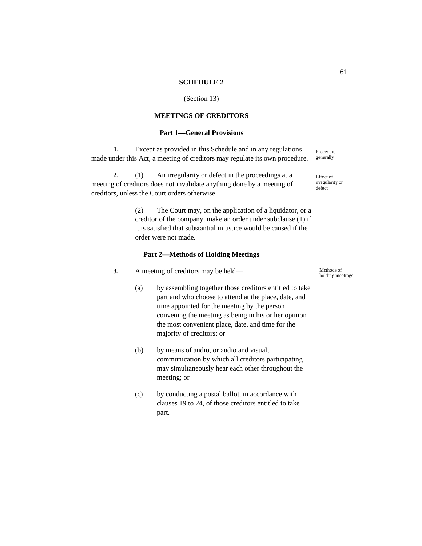### **SCHEDULE 2**

# (Section 13)

# **MEETINGS OF CREDITORS**

# **Part 1—General Provisions**

**1.** Except as provided in this Schedule and in any regulations made under this Act, a meeting of creditors may regulate its own procedure. generally

**2.** (1) An irregularity or defect in the proceedings at a meeting of creditors does not invalidate anything done by a meeting of creditors, unless the Court orders otherwise.

> (2) The Court may, on the application of a liquidator, or a creditor of the company, make an order under subclause (1) if it is satisfied that substantial injustice would be caused if the order were not made.

### **Part 2—Methods of Holding Meetings**

- **3.** A meeting of creditors may be held—
	- (a) by assembling together those creditors entitled to take part and who choose to attend at the place, date, and time appointed for the meeting by the person convening the meeting as being in his or her opinion the most convenient place, date, and time for the majority of creditors; or
	- (b) by means of audio, or audio and visual, communication by which all creditors participating may simultaneously hear each other throughout the meeting; or
	- (c) by conducting a postal ballot, in accordance with clauses 19 to 24, of those creditors entitled to take part.

Methods of holding meetings

Procedure

Effect of irregularity or defect

61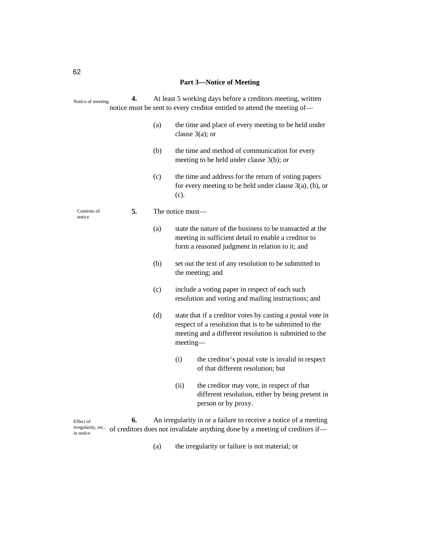### **Part 3—Notice of Meeting**

**4.** At least 5 working days before a creditors meeting, written notice must be sent to every creditor entitled to attend the meeting of— (a) the time and place of every meeting to be held under clause 3(a); or (b) the time and method of communication for every meeting to be held under clause 3(b); or (c) the time and address for the return of voting papers for every meeting to be held under clause 3(a), (b), or (c). **5.** The notice must— (a) state the nature of the business to be transacted at the meeting in sufficient detail to enable a creditor to form a reasoned judgment in relation to it; and (b) set out the text of any resolution to be submitted to the meeting; and (c) include a voting paper in respect of each such resolution and voting and mailing instructions; and (d) state that if a creditor votes by casting a postal vote in respect of a resolution that is to be submitted to the meeting and a different resolution is submitted to the meeting— (i) the creditor's postal vote is invalid in respect of that different resolution; but (ii) the creditor may vote, in respect of that different resolution, either by being present in person or by proxy. **6.** An irregularity in or a failure to receive a notice of a meeting Notice of meeting Contents of notice

irregularity, etc. of creditors does not invalidate anything done by a meeting of creditors if— Effect of in notice

(a) the irregularity or failure is not material; or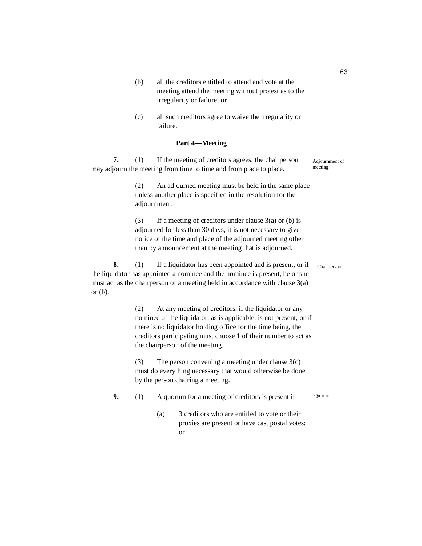- (b) all the creditors entitled to attend and vote at the meeting attend the meeting without protest as to the irregularity or failure; or
- (c) all such creditors agree to waive the irregularity or failure.

# **Part 4—Meeting**

**7.** (1) If the meeting of creditors agrees, the chairperson may adjourn the meeting from time to time and from place to place. Adjournment of meeting

> (2) An adjourned meeting must be held in the same place unless another place is specified in the resolution for the adjournment.

(3) If a meeting of creditors under clause  $3(a)$  or (b) is adjourned for less than 30 days, it is not necessary to give notice of the time and place of the adjourned meeting other than by announcement at the meeting that is adjourned.

**8.** (1) If a liquidator has been appointed and is present, or if the liquidator has appointed a nominee and the nominee is present, he or she must act as the chairperson of a meeting held in accordance with clause 3(a) or (b).

> (2) At any meeting of creditors, if the liquidator or any nominee of the liquidator, as is applicable, is not present, or if there is no liquidator holding office for the time being, the creditors participating must choose 1 of their number to act as the chairperson of the meeting.

(3) The person convening a meeting under clause 3(c) must do everything necessary that would otherwise be done by the person chairing a meeting.

- **9.** (1) A quorum for a meeting of creditors is present if— Quorum
	- (a) 3 creditors who are entitled to vote or their proxies are present or have cast postal votes; or

63

Chairperson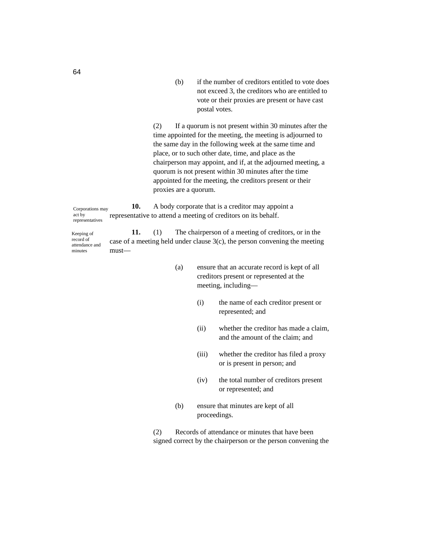(b) if the number of creditors entitled to vote does not exceed 3, the creditors who are entitled to vote or their proxies are present or have cast postal votes.

(2) If a quorum is not present within 30 minutes after the time appointed for the meeting, the meeting is adjourned to the same day in the following week at the same time and place, or to such other date, time, and place as the chairperson may appoint, and if, at the adjourned meeting, a quorum is not present within 30 minutes after the time appointed for the meeting, the creditors present or their proxies are a quorum.

**10.** A body corporate that is a creditor may appoint a representative to attend a meeting of creditors on its behalf. Corporations may act by representatives

**11.** (1) The chairperson of a meeting of creditors, or in the case of a meeting held under clause 3(c), the person convening the meeting must— Keeping of record of attendance and minutes

- (a) ensure that an accurate record is kept of all creditors present or represented at the meeting, including—
	- (i) the name of each creditor present or represented; and
	- (ii) whether the creditor has made a claim, and the amount of the claim; and
	- (iii) whether the creditor has filed a proxy or is present in person; and
	- (iv) the total number of creditors present or represented; and
- (b) ensure that minutes are kept of all proceedings.

(2) Records of attendance or minutes that have been signed correct by the chairperson or the person convening the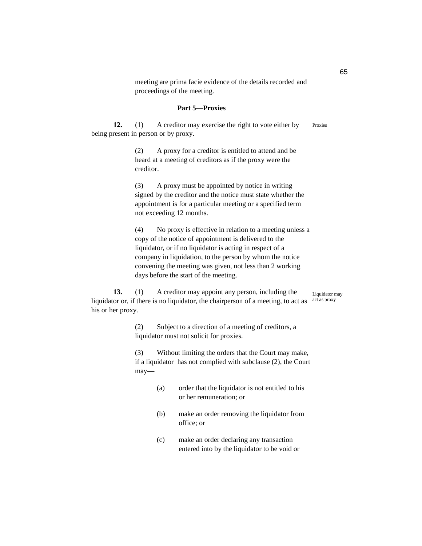meeting are prima facie evidence of the details recorded and proceedings of the meeting.

### **Part 5—Proxies**

**12.** (1) A creditor may exercise the right to vote either by being present in person or by proxy. Proxies

> (2) A proxy for a creditor is entitled to attend and be heard at a meeting of creditors as if the proxy were the creditor.

(3) A proxy must be appointed by notice in writing signed by the creditor and the notice must state whether the appointment is for a particular meeting or a specified term not exceeding 12 months.

(4) No proxy is effective in relation to a meeting unless a copy of the notice of appointment is delivered to the liquidator, or if no liquidator is acting in respect of a company in liquidation, to the person by whom the notice convening the meeting was given, not less than 2 working days before the start of the meeting.

**13.** (1) A creditor may appoint any person, including the liquidator or, if there is no liquidator, the chairperson of a meeting, to act as act as proxy his or her proxy. Liquidator may

> (2) Subject to a direction of a meeting of creditors, a liquidator must not solicit for proxies.

(3) Without limiting the orders that the Court may make, if a liquidator has not complied with subclause (2), the Court may—

- (a) order that the liquidator is not entitled to his or her remuneration; or
- (b) make an order removing the liquidator from office; or
- (c) make an order declaring any transaction entered into by the liquidator to be void or

65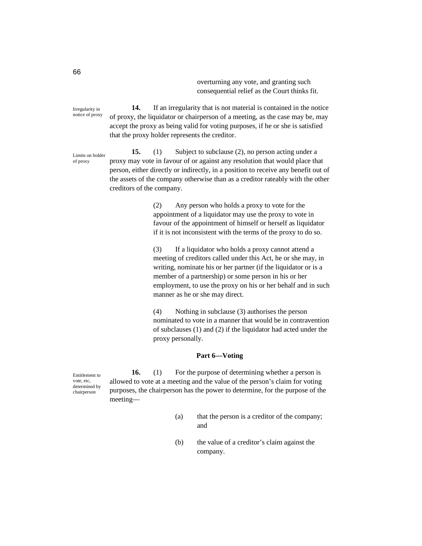overturning any vote, and granting such consequential relief as the Court thinks fit.

Irregularity in notice of proxy

**14.** If an irregularity that is not material is contained in the notice of proxy, the liquidator or chairperson of a meeting, as the case may be, may accept the proxy as being valid for voting purposes, if he or she is satisfied that the proxy holder represents the creditor.

Limits on holder of proxy

**15.** (1) Subject to subclause (2), no person acting under a proxy may vote in favour of or against any resolution that would place that person, either directly or indirectly, in a position to receive any benefit out of the assets of the company otherwise than as a creditor rateably with the other creditors of the company.

> (2) Any person who holds a proxy to vote for the appointment of a liquidator may use the proxy to vote in favour of the appointment of himself or herself as liquidator if it is not inconsistent with the terms of the proxy to do so.

(3) If a liquidator who holds a proxy cannot attend a meeting of creditors called under this Act, he or she may, in writing, nominate his or her partner (if the liquidator or is a member of a partnership) or some person in his or her employment, to use the proxy on his or her behalf and in such manner as he or she may direct.

(4) Nothing in subclause (3) authorises the person nominated to vote in a manner that would be in contravention of subclauses (1) and (2) if the liquidator had acted under the proxy personally.

# **Part 6—Voting**

Entitlement to vote, etc, determined by chairperson

**16.** (1) For the purpose of determining whether a person is allowed to vote at a meeting and the value of the person's claim for voting purposes, the chairperson has the power to determine, for the purpose of the meeting—

- (a) that the person is a creditor of the company; and
- (b) the value of a creditor's claim against the company.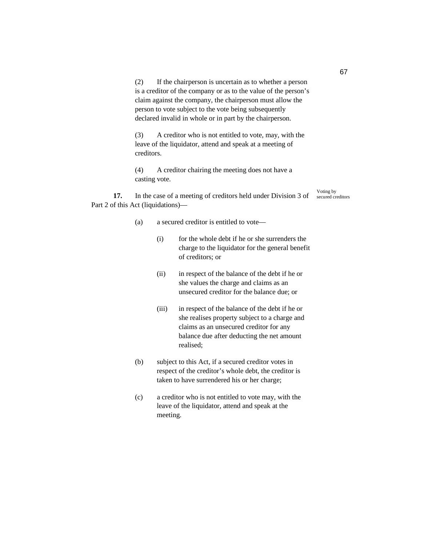(2) If the chairperson is uncertain as to whether a person is a creditor of the company or as to the value of the person's claim against the company, the chairperson must allow the person to vote subject to the vote being subsequently declared invalid in whole or in part by the chairperson.

(3) A creditor who is not entitled to vote, may, with the leave of the liquidator, attend and speak at a meeting of creditors.

(4) A creditor chairing the meeting does not have a casting vote.

**17.** In the case of a meeting of creditors held under Division 3 of Part 2 of this Act (liquidations)—

Voting by secured creditors

- (a) a secured creditor is entitled to vote—
	- (i) for the whole debt if he or she surrenders the charge to the liquidator for the general benefit of creditors; or
	- (ii) in respect of the balance of the debt if he or she values the charge and claims as an unsecured creditor for the balance due; or
	- (iii) in respect of the balance of the debt if he or she realises property subject to a charge and claims as an unsecured creditor for any balance due after deducting the net amount realised;
- (b) subject to this Act, if a secured creditor votes in respect of the creditor's whole debt, the creditor is taken to have surrendered his or her charge;
- (c) a creditor who is not entitled to vote may, with the leave of the liquidator, attend and speak at the meeting.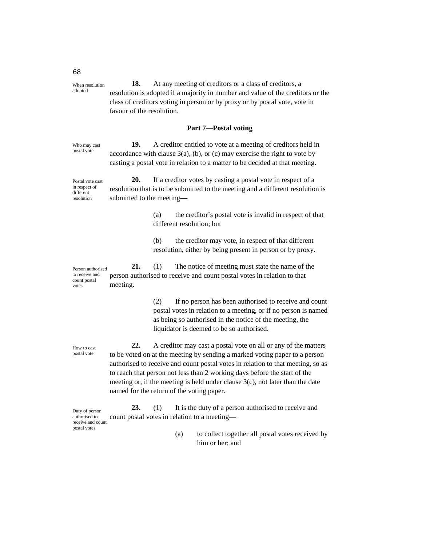**18.** At any meeting of creditors or a class of creditors, a resolution is adopted if a majority in number and value of the creditors or the class of creditors voting in person or by proxy or by postal vote, vote in favour of the resolution. When resolution adopted

#### **Part 7—Postal voting**

**19.** A creditor entitled to vote at a meeting of creditors held in accordance with clause  $3(a)$ , (b), or (c) may exercise the right to vote by casting a postal vote in relation to a matter to be decided at that meeting. Who may cast postal vote

**20.** If a creditor votes by casting a postal vote in respect of a resolution that is to be submitted to the meeting and a different resolution is submitted to the meeting— Postal vote cast in respect of different resolution

> (a) the creditor's postal vote is invalid in respect of that different resolution; but

(b) the creditor may vote, in respect of that different resolution, either by being present in person or by proxy.

**21.** (1) The notice of meeting must state the name of the person authorised to receive and count postal votes in relation to that meeting. Person authorised to receive and count postal votes

> (2) If no person has been authorised to receive and count postal votes in relation to a meeting, or if no person is named as being so authorised in the notice of the meeting, the liquidator is deemed to be so authorised.

**22.** A creditor may cast a postal vote on all or any of the matters to be voted on at the meeting by sending a marked voting paper to a person authorised to receive and count postal votes in relation to that meeting, so as to reach that person not less than 2 working days before the start of the meeting or, if the meeting is held under clause  $3(c)$ , not later than the date named for the return of the voting paper.

23. (1) It is the duty of a person authorised to receive and count postal votes in relation to a meeting— Duty of person authorised to receive and count postal votes

> (a) to collect together all postal votes received by him or her; and

How to cast postal vote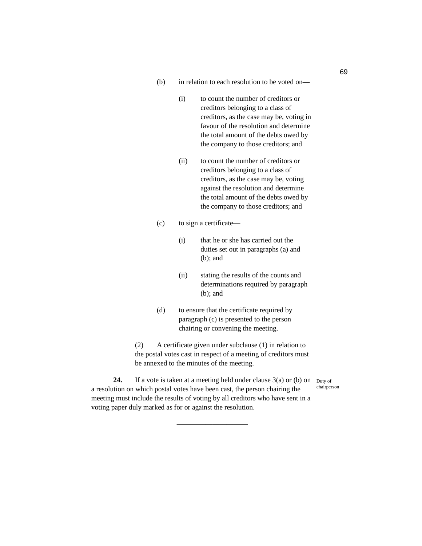- (b) in relation to each resolution to be voted on—
	- (i) to count the number of creditors or creditors belonging to a class of creditors, as the case may be, voting in favour of the resolution and determine the total amount of the debts owed by the company to those creditors; and
	- (ii) to count the number of creditors or creditors belonging to a class of creditors, as the case may be, voting against the resolution and determine the total amount of the debts owed by the company to those creditors; and
- (c) to sign a certificate—
	- (i) that he or she has carried out the duties set out in paragraphs (a) and (b); and
	- (ii) stating the results of the counts and determinations required by paragraph (b); and
- (d) to ensure that the certificate required by paragraph (c) is presented to the person chairing or convening the meeting.

(2) A certificate given under subclause (1) in relation to the postal votes cast in respect of a meeting of creditors must be annexed to the minutes of the meeting.

chairperson

**24.** If a vote is taken at a meeting held under clause  $3(a)$  or (b) on  $_{\text{Duty of}}$ a resolution on which postal votes have been cast, the person chairing the meeting must include the results of voting by all creditors who have sent in a voting paper duly marked as for or against the resolution.

——————————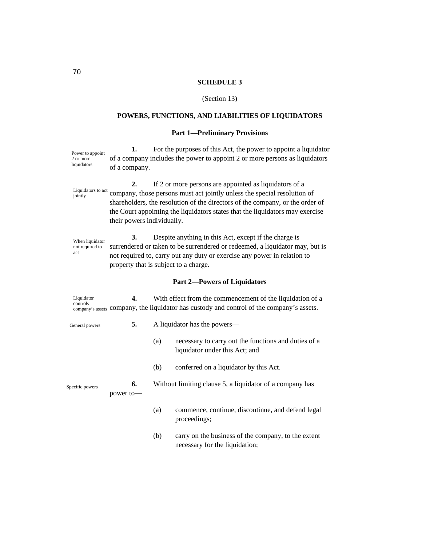### **SCHEDULE 3**

### (Section 13)

# **POWERS, FUNCTIONS, AND LIABILITIES OF LIQUIDATORS**

# **Part 1—Preliminary Provisions**

**1.** For the purposes of this Act, the power to appoint a liquidator of a company includes the power to appoint 2 or more persons as liquidators of a company. Power to appoint 2 or more liquidators

**2.** If 2 or more persons are appointed as liquidators of a company, those persons must act jointly unless the special resolution of shareholders, the resolution of the directors of the company, or the order of the Court appointing the liquidators states that the liquidators may exercise their powers individually. Liquidators to act jointly

**3.** Despite anything in this Act, except if the charge is surrendered or taken to be surrendered or redeemed, a liquidator may, but is not required to, carry out any duty or exercise any power in relation to property that is subject to a charge. When liquidator not required to act

### **Part 2—Powers of Liquidators**

**4.** With effect from the commencement of the liquidation of a company's assets company, the liquidator has custody and control of the company's assets. Liquidator controls

General powers

**5.** A liquidator has the powers—

- (a) necessary to carry out the functions and duties of a liquidator under this Act; and
- (b) conferred on a liquidator by this Act.

**6.** Without limiting clause 5, a liquidator of a company has power to— Specific powers

- (a) commence, continue, discontinue, and defend legal proceedings;
- (b) carry on the business of the company, to the extent necessary for the liquidation;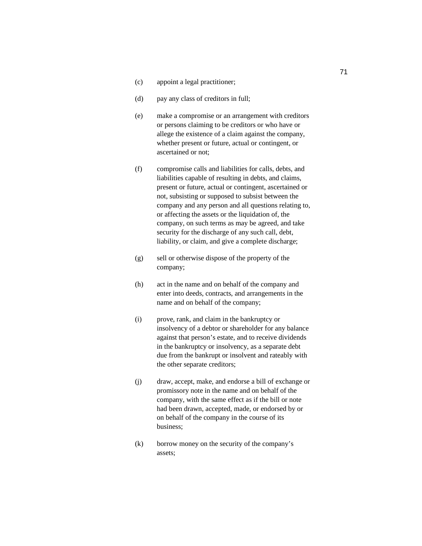- (c) appoint a legal practitioner;
- (d) pay any class of creditors in full;
- (e) make a compromise or an arrangement with creditors or persons claiming to be creditors or who have or allege the existence of a claim against the company, whether present or future, actual or contingent, or ascertained or not;
- (f) compromise calls and liabilities for calls, debts, and liabilities capable of resulting in debts, and claims, present or future, actual or contingent, ascertained or not, subsisting or supposed to subsist between the company and any person and all questions relating to, or affecting the assets or the liquidation of, the company, on such terms as may be agreed, and take security for the discharge of any such call, debt, liability, or claim, and give a complete discharge;
- (g) sell or otherwise dispose of the property of the company;
- (h) act in the name and on behalf of the company and enter into deeds, contracts, and arrangements in the name and on behalf of the company;
- (i) prove, rank, and claim in the bankruptcy or insolvency of a debtor or shareholder for any balance against that person's estate, and to receive dividends in the bankruptcy or insolvency, as a separate debt due from the bankrupt or insolvent and rateably with the other separate creditors;
- (j) draw, accept, make, and endorse a bill of exchange or promissory note in the name and on behalf of the company, with the same effect as if the bill or note had been drawn, accepted, made, or endorsed by or on behalf of the company in the course of its business;
- (k) borrow money on the security of the company's assets;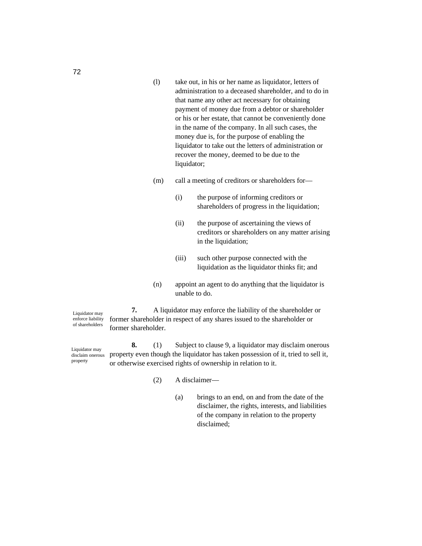- (l) take out, in his or her name as liquidator, letters of administration to a deceased shareholder, and to do in that name any other act necessary for obtaining payment of money due from a debtor or shareholder or his or her estate, that cannot be conveniently done in the name of the company. In all such cases, the money due is, for the purpose of enabling the liquidator to take out the letters of administration or recover the money, deemed to be due to the liquidator;
- (m) call a meeting of creditors or shareholders for—
	- (i) the purpose of informing creditors or shareholders of progress in the liquidation;
	- (ii) the purpose of ascertaining the views of creditors or shareholders on any matter arising in the liquidation;
	- (iii) such other purpose connected with the liquidation as the liquidator thinks fit; and
- (n) appoint an agent to do anything that the liquidator is unable to do.

**7.** A liquidator may enforce the liability of the shareholder or former shareholder in respect of any shares issued to the shareholder or former shareholder. Liquidator may enforce liability of shareholders

**8.** (1) Subject to clause 9, a liquidator may disclaim onerous property even though the liquidator has taken possession of it, tried to sell it, or otherwise exercised rights of ownership in relation to it. Liquidator may disclaim onerous property

(2) A disclaimer—

(a) brings to an end, on and from the date of the disclaimer, the rights, interests, and liabilities of the company in relation to the property disclaimed;

72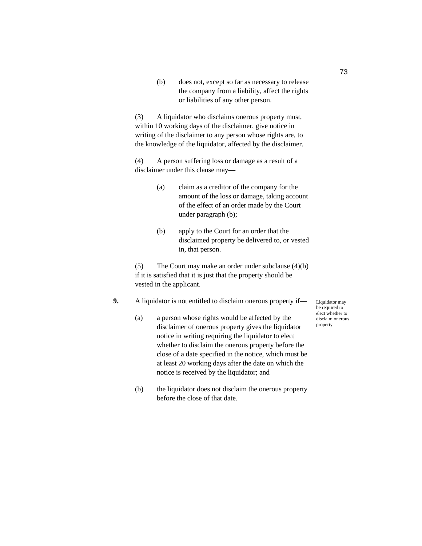(b) does not, except so far as necessary to release the company from a liability, affect the rights or liabilities of any other person.

(3) A liquidator who disclaims onerous property must, within 10 working days of the disclaimer, give notice in writing of the disclaimer to any person whose rights are, to the knowledge of the liquidator, affected by the disclaimer.

(4) A person suffering loss or damage as a result of a disclaimer under this clause may—

- (a) claim as a creditor of the company for the amount of the loss or damage, taking account of the effect of an order made by the Court under paragraph (b);
- (b) apply to the Court for an order that the disclaimed property be delivered to, or vested in, that person.

(5) The Court may make an order under subclause (4)(b) if it is satisfied that it is just that the property should be vested in the applicant.

# **9.** A liquidator is not entitled to disclaim onerous property if—

- (a) a person whose rights would be affected by the disclaimer of onerous property gives the liquidator notice in writing requiring the liquidator to elect whether to disclaim the onerous property before the close of a date specified in the notice, which must be at least 20 working days after the date on which the notice is received by the liquidator; and
- (b) the liquidator does not disclaim the onerous property before the close of that date.

Liquidator may be required to elect whether to disclaim onerous property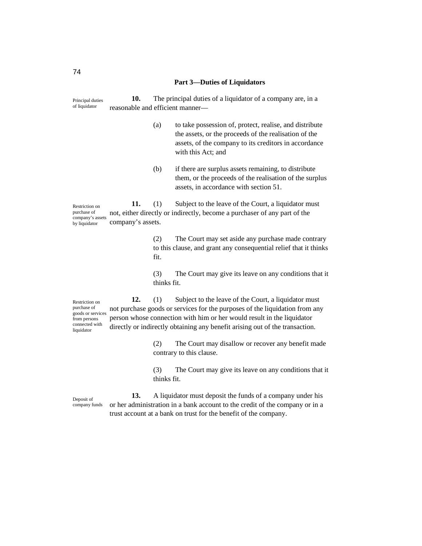#### **Part 3—Duties of Liquidators**

**10.** The principal duties of a liquidator of a company are, in a reasonable and efficient manner— Principal duties of liquidator

- (a) to take possession of, protect, realise, and distribute the assets, or the proceeds of the realisation of the assets, of the company to its creditors in accordance with this Act; and
- (b) if there are surplus assets remaining, to distribute them, or the proceeds of the realisation of the surplus assets, in accordance with section 51.

**11.** (1) Subject to the leave of the Court, a liquidator must not, either directly or indirectly, become a purchaser of any part of the company's assets. Restriction on purchase of company's assets by liquidator

> (2) The Court may set aside any purchase made contrary to this clause, and grant any consequential relief that it thinks fit.

> (3) The Court may give its leave on any conditions that it thinks fit.

**12.** (1) Subject to the leave of the Court, a liquidator must not purchase goods or services for the purposes of the liquidation from any person whose connection with him or her would result in the liquidator directly or indirectly obtaining any benefit arising out of the transaction. Restriction on purchase of goods or services from persons connected with liquidator

> (2) The Court may disallow or recover any benefit made contrary to this clause.

(3) The Court may give its leave on any conditions that it thinks fit.

Deposit of company funds

**13.** A liquidator must deposit the funds of a company under his or her administration in a bank account to the credit of the company or in a trust account at a bank on trust for the benefit of the company.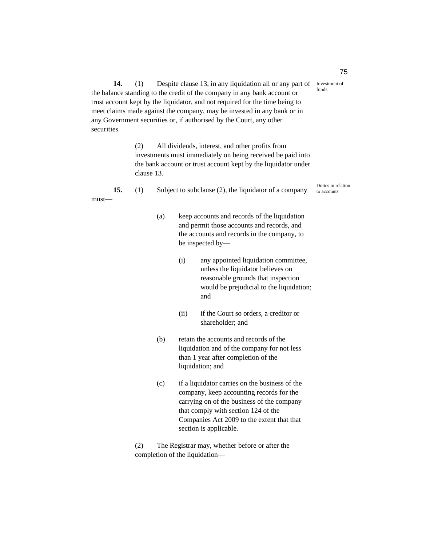**14.** (1) Despite clause 13, in any liquidation all or any part of Investment of the balance standing to the credit of the company in any bank account or trust account kept by the liquidator, and not required for the time being to meet claims made against the company, may be invested in any bank or in any Government securities or, if authorised by the Court, any other securities.

> (2) All dividends, interest, and other profits from investments must immediately on being received be paid into the bank account or trust account kept by the liquidator under clause 13.

|          |  | Subject to subclause (2), the liquidator of a company | Duties in relation<br>to accounts |
|----------|--|-------------------------------------------------------|-----------------------------------|
| $must$ — |  |                                                       |                                   |

- (a) keep accounts and records of the liquidation and permit those accounts and records, and the accounts and records in the company, to be inspected by—
	- (i) any appointed liquidation committee, unless the liquidator believes on reasonable grounds that inspection would be prejudicial to the liquidation; and
	- (ii) if the Court so orders, a creditor or shareholder; and
- (b) retain the accounts and records of the liquidation and of the company for not less than 1 year after completion of the liquidation; and
- (c) if a liquidator carries on the business of the company, keep accounting records for the carrying on of the business of the company that comply with section 124 of the Companies Act 2009 to the extent that that section is applicable.

(2) The Registrar may, whether before or after the completion of the liquidation75

funds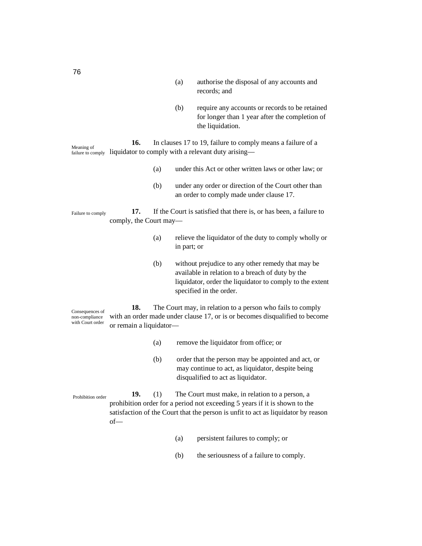- (a) authorise the disposal of any accounts and records; and
- (b) require any accounts or records to be retained for longer than 1 year after the completion of the liquidation.

**16.** In clauses 17 to 19, failure to comply means a failure of a failure to comply liquidator to comply with a relevant duty arising— Meaning of

- (a) under this Act or other written laws or other law; or
- (b) under any order or direction of the Court other than an order to comply made under clause 17.

**17.** If the Court is satisfied that there is, or has been, a failure to comply, the Court may— Failure to comply

- (a) relieve the liquidator of the duty to comply wholly or in part; or
- (b) without prejudice to any other remedy that may be available in relation to a breach of duty by the liquidator, order the liquidator to comply to the extent specified in the order.

**18.** The Court may, in relation to a person who fails to comply with an order made under clause 17, or is or becomes disqualified to become or remain a liquidator— Consequences of non-compliance with Court order

- (a) remove the liquidator from office; or
- (b) order that the person may be appointed and act, or may continue to act, as liquidator, despite being disqualified to act as liquidator.

**19.** (1) The Court must make, in relation to a person, a prohibition order for a period not exceeding 5 years if it is shown to the satisfaction of the Court that the person is unfit to act as liquidator by reason of— Prohibition order

- (a) persistent failures to comply; or
- (b) the seriousness of a failure to comply.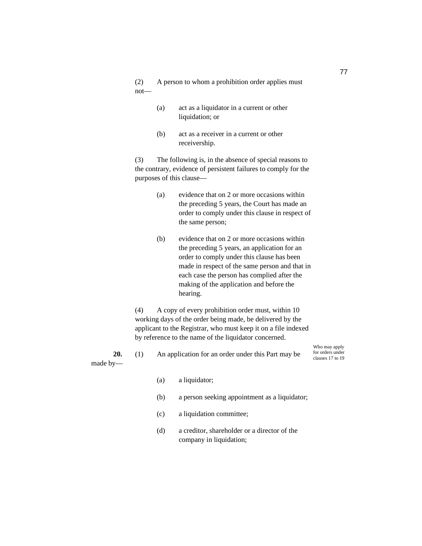(2) A person to whom a prohibition order applies must not—

- (a) act as a liquidator in a current or other liquidation; or
- (b) act as a receiver in a current or other receivership.

(3) The following is, in the absence of special reasons to the contrary, evidence of persistent failures to comply for the purposes of this clause—

- (a) evidence that on 2 or more occasions within the preceding 5 years, the Court has made an order to comply under this clause in respect of the same person;
- (b) evidence that on 2 or more occasions within the preceding 5 years, an application for an order to comply under this clause has been made in respect of the same person and that in each case the person has complied after the making of the application and before the hearing.

(4) A copy of every prohibition order must, within 10 working days of the order being made, be delivered by the applicant to the Registrar, who must keep it on a file indexed by reference to the name of the liquidator concerned.

made by—

**20.** (1) An application for an order under this Part may be

Who may apply for orders under clauses 17 to 19

- (a) a liquidator;
- (b) a person seeking appointment as a liquidator;
- (c) a liquidation committee;
- (d) a creditor, shareholder or a director of the company in liquidation;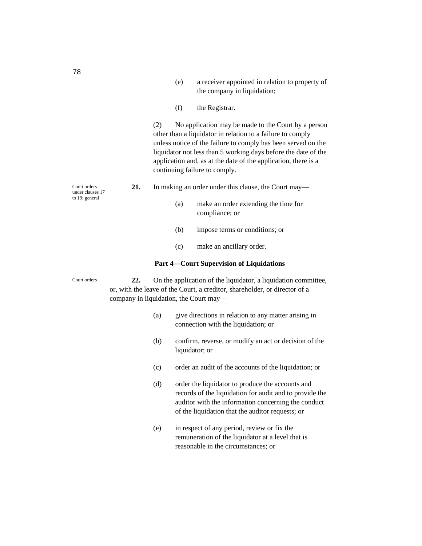- (e) a receiver appointed in relation to property of the company in liquidation;
- (f) the Registrar.

(2) No application may be made to the Court by a person other than a liquidator in relation to a failure to comply unless notice of the failure to comply has been served on the liquidator not less than 5 working days before the date of the application and, as at the date of the application, there is a continuing failure to comply.

- **21.** In making an order under this clause, the Court may—
	- (a) make an order extending the time for compliance; or
	- (b) impose terms or conditions; or
	- (c) make an ancillary order.

#### **Part 4—Court Supervision of Liquidations**

**22.** On the application of the liquidator, a liquidation committee, or, with the leave of the Court, a creditor, shareholder, or director of a company in liquidation, the Court may—

- (a) give directions in relation to any matter arising in connection with the liquidation; or
- (b) confirm, reverse, or modify an act or decision of the liquidator; or
- (c) order an audit of the accounts of the liquidation; or
- (d) order the liquidator to produce the accounts and records of the liquidation for audit and to provide the auditor with the information concerning the conduct of the liquidation that the auditor requests; or
- (e) in respect of any period, review or fix the remuneration of the liquidator at a level that is reasonable in the circumstances; or

Court orders under clauses 17 to 19: general

Court orders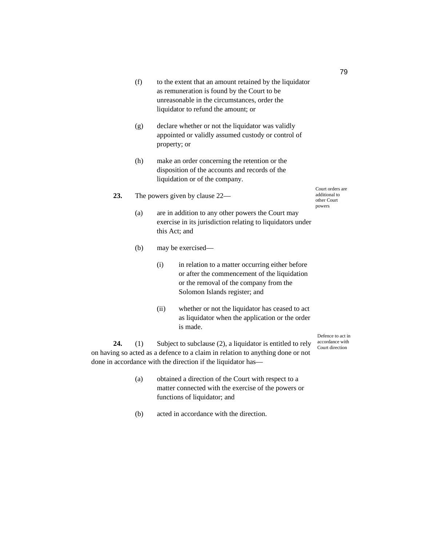- (f) to the extent that an amount retained by the liquidator as remuneration is found by the Court to be unreasonable in the circumstances, order the liquidator to refund the amount; or
- (g) declare whether or not the liquidator was validly appointed or validly assumed custody or control of property; or
- (h) make an order concerning the retention or the disposition of the accounts and records of the liquidation or of the company.
- **23.** The powers given by clause 22—
	- (a) are in addition to any other powers the Court may exercise in its jurisdiction relating to liquidators under this Act; and
	- (b) may be exercised—
		- (i) in relation to a matter occurring either before or after the commencement of the liquidation or the removal of the company from the Solomon Islands register; and
		- (ii) whether or not the liquidator has ceased to act as liquidator when the application or the order is made.

**24.** (1) Subject to subclause (2), a liquidator is entitled to rely on having so acted as a defence to a claim in relation to anything done or not done in accordance with the direction if the liquidator has—

- (a) obtained a direction of the Court with respect to a matter connected with the exercise of the powers or functions of liquidator; and
- (b) acted in accordance with the direction.

Court orders are additional to other Court powers

Defence to act in accordance with Court direction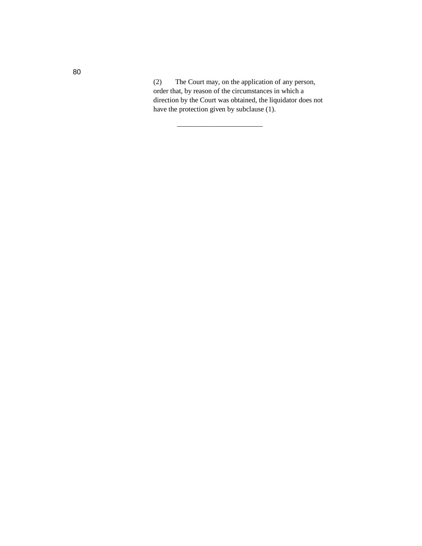(2) The Court may, on the application of any person, order that, by reason of the circumstances in which a direction by the Court was obtained, the liquidator does not have the protection given by subclause (1).

————————————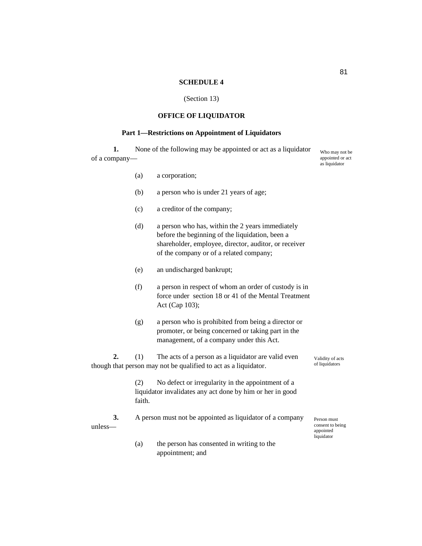# **SCHEDULE 4**

# (Section 13)

# **OFFICE OF LIQUIDATOR**

# **Part 1—Restrictions on Appointment of Liquidators**

**1.** None of the following may be appointed or act as a liquidator of a company—

|                  |               |                                                                                                                                                                                                         | as liquidator                                              |
|------------------|---------------|---------------------------------------------------------------------------------------------------------------------------------------------------------------------------------------------------------|------------------------------------------------------------|
|                  | (a)           | a corporation;                                                                                                                                                                                          |                                                            |
|                  | (b)           | a person who is under 21 years of age;                                                                                                                                                                  |                                                            |
|                  | (c)           | a creditor of the company;                                                                                                                                                                              |                                                            |
|                  | (d)           | a person who has, within the 2 years immediately<br>before the beginning of the liquidation, been a<br>shareholder, employee, director, auditor, or receiver<br>of the company or of a related company; |                                                            |
|                  | (e)           | an undischarged bankrupt;                                                                                                                                                                               |                                                            |
|                  | (f)           | a person in respect of whom an order of custody is in<br>force under section 18 or 41 of the Mental Treatment<br>Act (Cap 103);                                                                         |                                                            |
|                  | (g)           | a person who is prohibited from being a director or<br>promoter, or being concerned or taking part in the<br>management, of a company under this Act.                                                   |                                                            |
| 2.               | (1)           | The acts of a person as a liquidator are valid even<br>though that person may not be qualified to act as a liquidator.                                                                                  | Validity of acts<br>of liquidators                         |
|                  | (2)<br>faith. | No defect or irregularity in the appointment of a<br>liquidator invalidates any act done by him or her in good                                                                                          |                                                            |
| 3.<br>$unless$ — |               | A person must not be appointed as liquidator of a company                                                                                                                                               | Person must<br>consent to being<br>appointed<br>liquidator |
|                  | (a)           | the person has consented in writing to the<br>appointment; and                                                                                                                                          |                                                            |

Who may not be appointed or act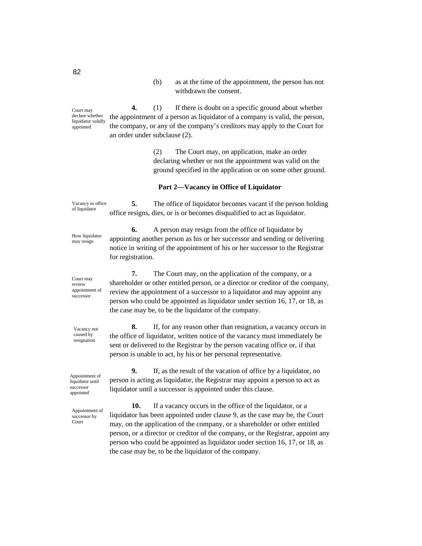(b) as at the time of the appointment, the person has not withdrawn the consent.

**4.** (1) If there is doubt on a specific ground about whether the appointment of a person as liquidator of a company is valid, the person, the company, or any of the company's creditors may apply to the Court for an order under subclause (2).

> (2) The Court may, on application, make an order declaring whether or not the appointment was valid on the ground specified in the application or on some other ground.

#### **Part 2—Vacancy in Office of Liquidator**

**5.** The office of liquidator becomes vacant if the person holding office resigns, dies, or is or becomes disqualified to act as liquidator. Vacancy in office of liquidator

> **6.** A person may resign from the office of liquidator by appointing another person as his or her successor and sending or delivering notice in writing of the appointment of his or her successor to the Registrar for registration.

**7.** The Court may, on the application of the company, or a shareholder or other entitled person, or a director or creditor of the company, review the appointment of a successor to a liquidator and may appoint any person who could be appointed as liquidator under section 16, 17, or 18, as the case may be, to be the liquidator of the company.

**8.** If, for any reason other than resignation, a vacancy occurs in the office of liquidator, written notice of the vacancy must immediately be sent or delivered to the Registrar by the person vacating office or, if that person is unable to act, by his or her personal representative.

**9.** If, as the result of the vacation of office by a liquidator, no person is acting as liquidator, the Registrar may appoint a person to act as liquidator until a successor is appointed under this clause.

**10.** If a vacancy occurs in the office of the liquidator, or a liquidator has been appointed under clause 9, as the case may be, the Court may, on the application of the company, or a shareholder or other entitled person, or a director or creditor of the company, or the Registrar, appoint any person who could be appointed as liquidator under section 16, 17, or 18, as the case may be, to be the liquidator of the company.

Court may declare whether liquidator validly appointed

How liquidator may resign

Court may review appointment of successor

Vacancy not caused by resignation

Appointment of liquidator until successor appointed

Appointment of successor by Court

82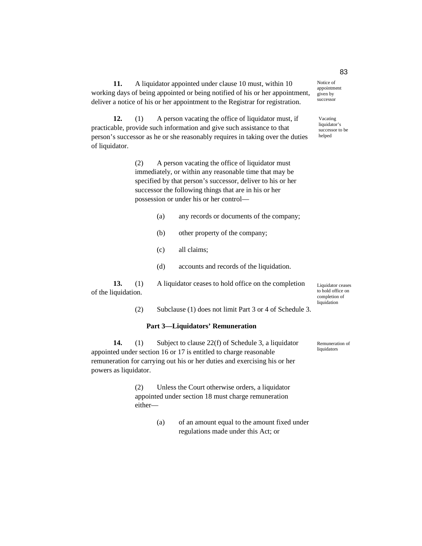**11.** A liquidator appointed under clause 10 must, within 10 working days of being appointed or being notified of his or her appointment, deliver a notice of his or her appointment to the Registrar for registration.

**12.** (1) A person vacating the office of liquidator must, if practicable, provide such information and give such assistance to that person's successor as he or she reasonably requires in taking over the duties of liquidator.

> (2) A person vacating the office of liquidator must immediately, or within any reasonable time that may be specified by that person's successor, deliver to his or her successor the following things that are in his or her possession or under his or her control—

- (a) any records or documents of the company;
- (b) other property of the company;
- (c) all claims;
- (d) accounts and records of the liquidation.

**13.** (1) A liquidator ceases to hold office on the completion of the liquidation.

(2) Subclause (1) does not limit Part 3 or 4 of Schedule 3.

#### **Part 3—Liquidators' Remuneration**

**14.** (1) Subject to clause 22(f) of Schedule 3, a liquidator appointed under section 16 or 17 is entitled to charge reasonable remuneration for carrying out his or her duties and exercising his or her powers as liquidator.

> (2) Unless the Court otherwise orders, a liquidator appointed under section 18 must charge remuneration either—

> > (a) of an amount equal to the amount fixed under regulations made under this Act; or

Remuneration of

liquidators

Liquidator ceases to hold office on completion of liquidation

appointment given by successor

Notice of

Vacating liquidator's successor to be helped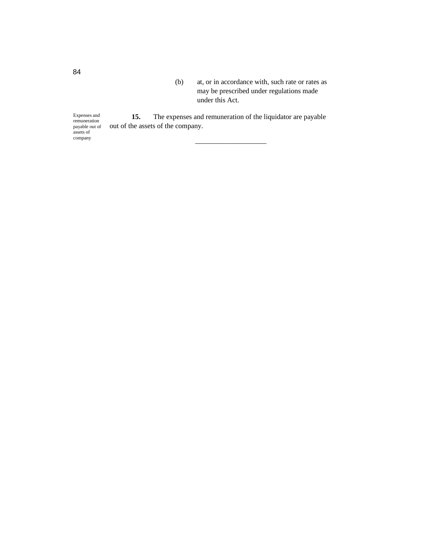(b) at, or in accordance with, such rate or rates as may be prescribed under regulations made under this Act.

**15.** The expenses and remuneration of the liquidator are payable out of the assets of the company. Expenses and remuneration payable out of

——————————

84

assets of company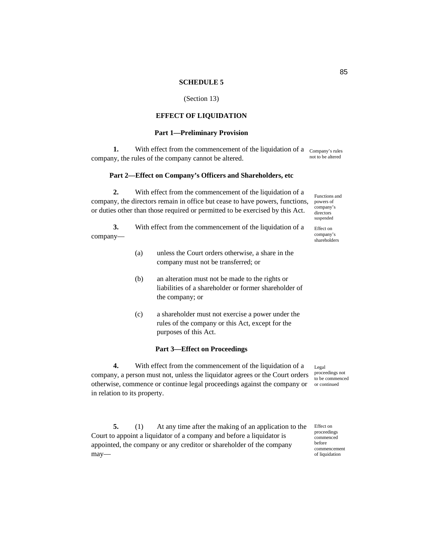#### **SCHEDULE 5**

#### (Section 13)

## **EFFECT OF LIQUIDATION**

#### **Part 1—Preliminary Provision**

**1.** With effect from the commencement of the liquidation of a <sub>Company's rules</sub> company, the rules of the company cannot be altered. not to be altered

#### **Part 2—Effect on Company's Officers and Shareholders, etc**

**2.** With effect from the commencement of the liquidation of a company, the directors remain in office but cease to have powers, functions, or duties other than those required or permitted to be exercised by this Act.

**3.** With effect from the commencement of the liquidation of a company—

- (a) unless the Court orders otherwise, a share in the company must not be transferred; or
- (b) an alteration must not be made to the rights or liabilities of a shareholder or former shareholder of the company; or
- (c) a shareholder must not exercise a power under the rules of the company or this Act, except for the purposes of this Act.

#### **Part 3—Effect on Proceedings**

**4.** With effect from the commencement of the liquidation of a company, a person must not, unless the liquidator agrees or the Court orders otherwise, commence or continue legal proceedings against the company or in relation to its property.

**5.** (1) At any time after the making of an application to the Court to appoint a liquidator of a company and before a liquidator is appointed, the company or any creditor or shareholder of the company may—

Legal proceedings not

to be commenced or continued

Effect on proceedings commenced before commencement of liquidation

Functions and powers of company's directors suspended

Effect on company's shareholders

85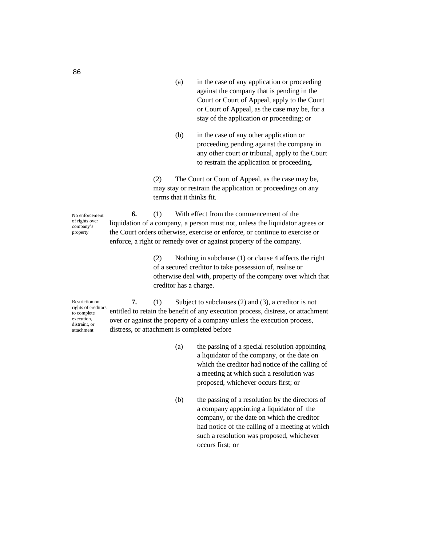- (a) in the case of any application or proceeding against the company that is pending in the Court or Court of Appeal, apply to the Court or Court of Appeal, as the case may be, for a stay of the application or proceeding; or
- (b) in the case of any other application or proceeding pending against the company in any other court or tribunal, apply to the Court to restrain the application or proceeding.

(2) The Court or Court of Appeal, as the case may be, may stay or restrain the application or proceedings on any terms that it thinks fit.

**6.** (1) With effect from the commencement of the liquidation of a company, a person must not, unless the liquidator agrees or the Court orders otherwise, exercise or enforce, or continue to exercise or enforce, a right or remedy over or against property of the company. No enforcement of rights over company's property

> (2) Nothing in subclause (1) or clause 4 affects the right of a secured creditor to take possession of, realise or otherwise deal with, property of the company over which that creditor has a charge.

Restriction on rights of creditors to complete execution, distraint, or attachment

**7.** (1) Subject to subclauses (2) and (3), a creditor is not entitled to retain the benefit of any execution process, distress, or attachment over or against the property of a company unless the execution process, distress, or attachment is completed before—

- (a) the passing of a special resolution appointing a liquidator of the company, or the date on which the creditor had notice of the calling of a meeting at which such a resolution was proposed, whichever occurs first; or
- (b) the passing of a resolution by the directors of a company appointing a liquidator of the company, or the date on which the creditor had notice of the calling of a meeting at which such a resolution was proposed, whichever occurs first; or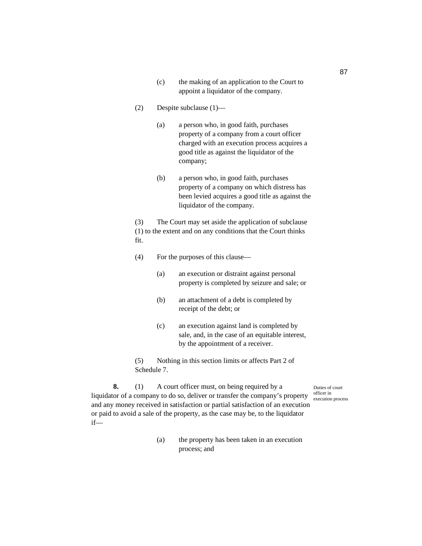- (c) the making of an application to the Court to appoint a liquidator of the company.
- (2) Despite subclause (1)—
	- (a) a person who, in good faith, purchases property of a company from a court officer charged with an execution process acquires a good title as against the liquidator of the company;
	- (b) a person who, in good faith, purchases property of a company on which distress has been levied acquires a good title as against the liquidator of the company.

(3) The Court may set aside the application of subclause (1) to the extent and on any conditions that the Court thinks fit.

- (4) For the purposes of this clause—
	- (a) an execution or distraint against personal property is completed by seizure and sale; or
	- (b) an attachment of a debt is completed by receipt of the debt; or
	- (c) an execution against land is completed by sale, and, in the case of an equitable interest, by the appointment of a receiver.

(5) Nothing in this section limits or affects Part 2 of Schedule 7.

**8.** (1) A court officer must, on being required by a liquidator of a company to do so, deliver or transfer the company's property and any money received in satisfaction or partial satisfaction of an execution or paid to avoid a sale of the property, as the case may be, to the liquidator if— Duties of court officer in execution process

> (a) the property has been taken in an execution process; and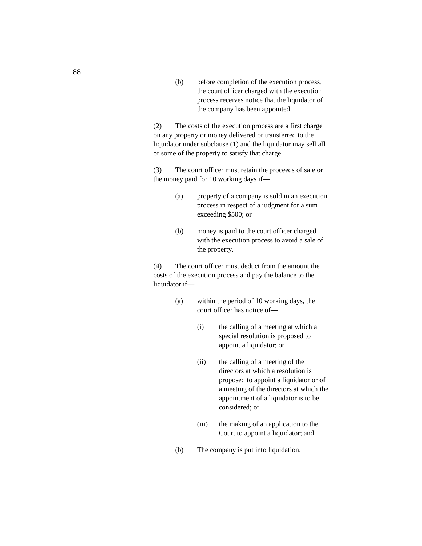(b) before completion of the execution process, the court officer charged with the execution process receives notice that the liquidator of the company has been appointed.

(2) The costs of the execution process are a first charge on any property or money delivered or transferred to the liquidator under subclause (1) and the liquidator may sell all or some of the property to satisfy that charge.

(3) The court officer must retain the proceeds of sale or the money paid for 10 working days if—

- (a) property of a company is sold in an execution process in respect of a judgment for a sum exceeding \$500; or
- (b) money is paid to the court officer charged with the execution process to avoid a sale of the property.

(4) The court officer must deduct from the amount the costs of the execution process and pay the balance to the liquidator if—

- (a) within the period of 10 working days, the court officer has notice of—
	- (i) the calling of a meeting at which a special resolution is proposed to appoint a liquidator; or
	- (ii) the calling of a meeting of the directors at which a resolution is proposed to appoint a liquidator or of a meeting of the directors at which the appointment of a liquidator is to be considered; or
	- (iii) the making of an application to the Court to appoint a liquidator; and
- (b) The company is put into liquidation.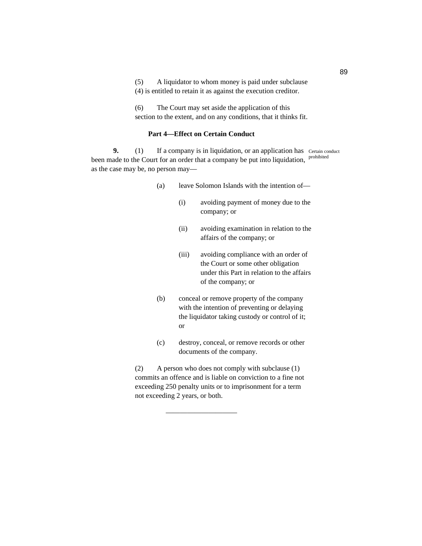(5) A liquidator to whom money is paid under subclause (4) is entitled to retain it as against the execution creditor.

(6) The Court may set aside the application of this section to the extent, and on any conditions, that it thinks fit.

## **Part 4—Effect on Certain Conduct**

**9.** (1) If a company is in liquidation, or an application has Certain conduct been made to the Court for an order that a company be put into liquidation, <sup>prohibited</sup> as the case may be, no person may—

- (a) leave Solomon Islands with the intention of—
	- (i) avoiding payment of money due to the company; or
	- (ii) avoiding examination in relation to the affairs of the company; or
	- (iii) avoiding compliance with an order of the Court or some other obligation under this Part in relation to the affairs of the company; or
- (b) conceal or remove property of the company with the intention of preventing or delaying the liquidator taking custody or control of it; or
- (c) destroy, conceal, or remove records or other documents of the company.

(2) A person who does not comply with subclause (1) commits an offence and is liable on conviction to a fine not exceeding 250 penalty units or to imprisonment for a term not exceeding 2 years, or both.

——————————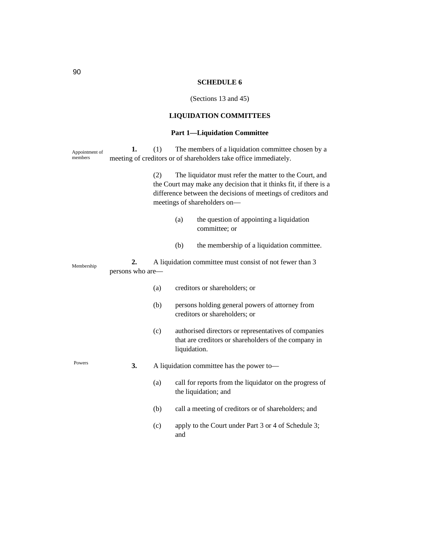# **SCHEDULE 6**

(Sections 13 and 45)

# **LIQUIDATION COMMITTEES**

# **Part 1—Liquidation Committee**

| Appointment of<br>members | 1.                     | (1) |                                                                                                                                                                                                                              | The members of a liquidation committee chosen by a<br>meeting of creditors or of shareholders take office immediately. |  |
|---------------------------|------------------------|-----|------------------------------------------------------------------------------------------------------------------------------------------------------------------------------------------------------------------------------|------------------------------------------------------------------------------------------------------------------------|--|
|                           |                        | (2) | The liquidator must refer the matter to the Court, and<br>the Court may make any decision that it thinks fit, if there is a<br>difference between the decisions of meetings of creditors and<br>meetings of shareholders on- |                                                                                                                        |  |
|                           |                        |     | (a)                                                                                                                                                                                                                          | the question of appointing a liquidation<br>committee; or                                                              |  |
|                           |                        |     | (b)                                                                                                                                                                                                                          | the membership of a liquidation committee.                                                                             |  |
| Membership                | 2.<br>persons who are- |     |                                                                                                                                                                                                                              | A liquidation committee must consist of not fewer than 3                                                               |  |
|                           |                        | (a) |                                                                                                                                                                                                                              | creditors or shareholders; or                                                                                          |  |
|                           |                        | (b) |                                                                                                                                                                                                                              | persons holding general powers of attorney from<br>creditors or shareholders; or                                       |  |
|                           |                        | (c) | liquidation.                                                                                                                                                                                                                 | authorised directors or representatives of companies<br>that are creditors or shareholders of the company in           |  |
| Powers                    | 3.                     |     | A liquidation committee has the power to-                                                                                                                                                                                    |                                                                                                                        |  |
|                           |                        | (a) |                                                                                                                                                                                                                              | call for reports from the liquidator on the progress of<br>the liquidation; and                                        |  |
|                           |                        | (b) |                                                                                                                                                                                                                              | call a meeting of creditors or of shareholders; and                                                                    |  |
|                           |                        | (c) | and                                                                                                                                                                                                                          | apply to the Court under Part 3 or 4 of Schedule 3;                                                                    |  |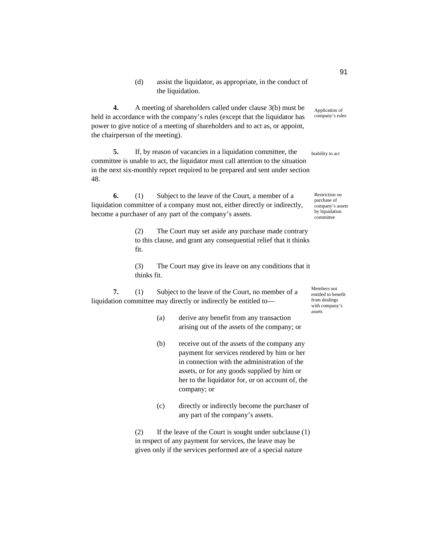(d) assist the liquidator, as appropriate, in the conduct of the liquidation.

**4.** A meeting of shareholders called under clause 3(b) must be held in accordance with the company's rules (except that the liquidator has power to give notice of a meeting of shareholders and to act as, or appoint, the chairperson of the meeting).

**5.** If, by reason of vacancies in a liquidation committee, the committee is unable to act, the liquidator must call attention to the situation in the next six-monthly report required to be prepared and sent under section 48.

**6.** (1) Subject to the leave of the Court, a member of a liquidation committee of a company must not, either directly or indirectly, become a purchaser of any part of the company's assets.

> (2) The Court may set aside any purchase made contrary to this clause, and grant any consequential relief that it thinks fit.

> (3) The Court may give its leave on any conditions that it thinks fit.

**7.** (1) Subject to the leave of the Court, no member of a liquidation committee may directly or indirectly be entitled toMembers not entitled to benefit from dealings with company's assets

- (a) derive any benefit from any transaction arising out of the assets of the company; or
- (b) receive out of the assets of the company any payment for services rendered by him or her in connection with the administration of the assets, or for any goods supplied by him or her to the liquidator for, or on account of, the company; or
- (c) directly or indirectly become the purchaser of any part of the company's assets.

(2) If the leave of the Court is sought under subclause (1) in respect of any payment for services, the leave may be given only if the services performed are of a special nature

91

Application of company's rules

Inability to act

Restriction on purchase of company's assets by liquidation committee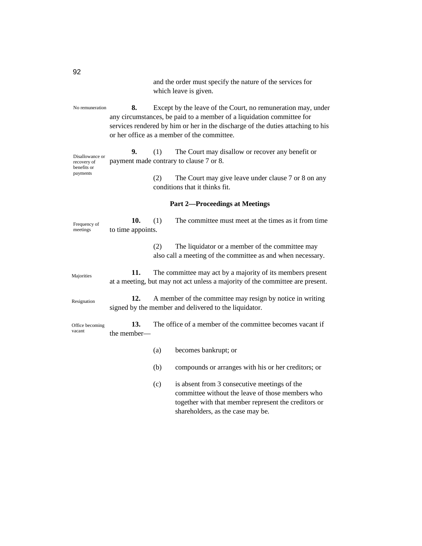**8.** Except by the leave of the Court, no remuneration may, under any circumstances, be paid to a member of a liquidation committee for services rendered by him or her in the discharge of the duties attaching to his or her office as a member of the committee. **9.** (1) The Court may disallow or recover any benefit or payment made contrary to clause 7 or 8. (2) The Court may give leave under clause 7 or 8 on any conditions that it thinks fit. **Part 2—Proceedings at Meetings 10.** (1) The committee must meet at the times as it from time to time appoints. (2) The liquidator or a member of the committee may also call a meeting of the committee as and when necessary. **11.** The committee may act by a majority of its members present at a meeting, but may not act unless a majority of the committee are present. **12.** A member of the committee may resign by notice in writing signed by the member and delivered to the liquidator. **13.** The office of a member of the committee becomes vacant if the member— (a) becomes bankrupt; or (b) compounds or arranges with his or her creditors; or (c) is absent from 3 consecutive meetings of the committee without the leave of those members who together with that member represent the creditors or No remuneration Disallowance or recovery of benefits or payments Frequency of meetings Majorities Resignation Office becoming vacant

shareholders, as the case may be.

which leave is given.

and the order must specify the nature of the services for

92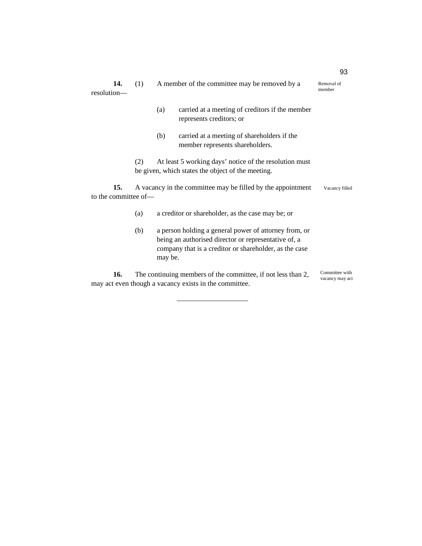| 14.<br>resolution-                                            | A member of the committee may be removed by a<br>(1)                                                               |                |                                                                                                                                                                         | Removal of<br>member |  |  |  |
|---------------------------------------------------------------|--------------------------------------------------------------------------------------------------------------------|----------------|-------------------------------------------------------------------------------------------------------------------------------------------------------------------------|----------------------|--|--|--|
|                                                               |                                                                                                                    | (a)            | carried at a meeting of creditors if the member<br>represents creditors; or                                                                                             |                      |  |  |  |
|                                                               |                                                                                                                    | (b)            | carried at a meeting of shareholders if the<br>member represents shareholders.                                                                                          |                      |  |  |  |
|                                                               | At least 5 working days' notice of the resolution must<br>(2)<br>be given, which states the object of the meeting. |                |                                                                                                                                                                         |                      |  |  |  |
| 15.<br>to the committee of-                                   | A vacancy in the committee may be filled by the appointment                                                        | Vacancy filled |                                                                                                                                                                         |                      |  |  |  |
|                                                               | (a)                                                                                                                |                | a creditor or shareholder, as the case may be; or                                                                                                                       |                      |  |  |  |
|                                                               | (b)                                                                                                                | may be.        | a person holding a general power of attorney from, or<br>being an authorised director or representative of, a<br>company that is a creditor or shareholder, as the case |                      |  |  |  |
| 16.<br>may act even though a vacancy exists in the committee. | Committee with<br>vacancy may act                                                                                  |                |                                                                                                                                                                         |                      |  |  |  |

————————————————————

93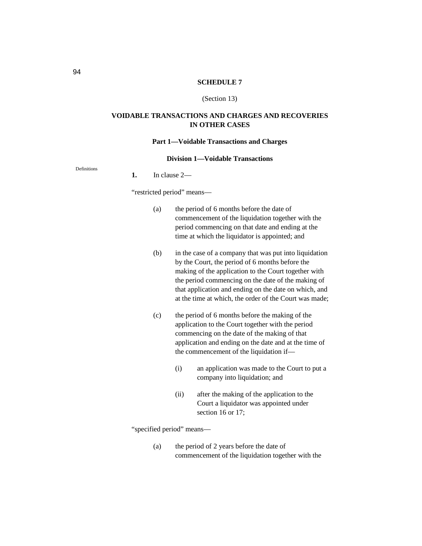#### **SCHEDULE 7**

#### (Section 13)

## **VOIDABLE TRANSACTIONS AND CHARGES AND RECOVERIES IN OTHER CASES**

#### **Part 1—Voidable Transactions and Charges**

#### **Division 1—Voidable Transactions**

Definitions

**1.** In clause 2—

"restricted period" means—

- (a) the period of 6 months before the date of commencement of the liquidation together with the period commencing on that date and ending at the time at which the liquidator is appointed; and
- (b) in the case of a company that was put into liquidation by the Court, the period of 6 months before the making of the application to the Court together with the period commencing on the date of the making of that application and ending on the date on which, and at the time at which, the order of the Court was made;
- (c) the period of 6 months before the making of the application to the Court together with the period commencing on the date of the making of that application and ending on the date and at the time of the commencement of the liquidation if—
	- (i) an application was made to the Court to put a company into liquidation; and
	- (ii) after the making of the application to the Court a liquidator was appointed under section 16 or 17;

"specified period" means—

(a) the period of 2 years before the date of commencement of the liquidation together with the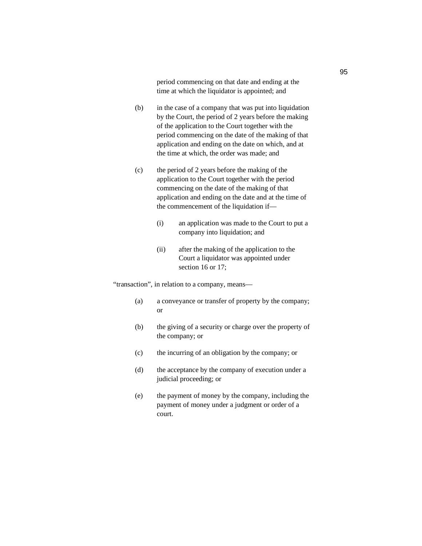period commencing on that date and ending at the time at which the liquidator is appointed; and

- (b) in the case of a company that was put into liquidation by the Court, the period of 2 years before the making of the application to the Court together with the period commencing on the date of the making of that application and ending on the date on which, and at the time at which, the order was made; and
- (c) the period of 2 years before the making of the application to the Court together with the period commencing on the date of the making of that application and ending on the date and at the time of the commencement of the liquidation if—
	- (i) an application was made to the Court to put a company into liquidation; and
	- (ii) after the making of the application to the Court a liquidator was appointed under section 16 or 17;

"transaction", in relation to a company, means—

- (a) a conveyance or transfer of property by the company; or
- (b) the giving of a security or charge over the property of the company; or
- (c) the incurring of an obligation by the company; or
- (d) the acceptance by the company of execution under a judicial proceeding; or
- (e) the payment of money by the company, including the payment of money under a judgment or order of a court.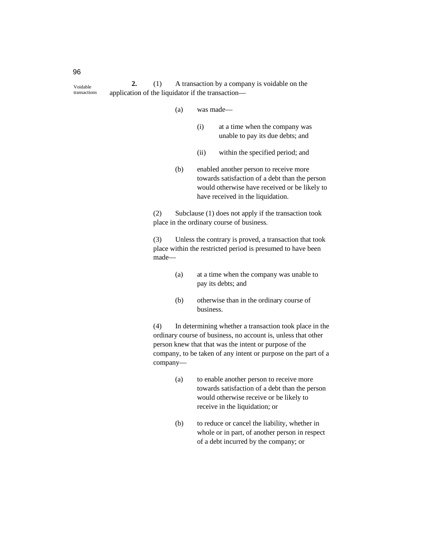**2.** (1) A transaction by a company is voidable on the application of the liquidator if the transaction— Voidable transactions

- (a) was made—
	- (i) at a time when the company was unable to pay its due debts; and
	- (ii) within the specified period; and
- (b) enabled another person to receive more towards satisfaction of a debt than the person would otherwise have received or be likely to have received in the liquidation.

(2) Subclause (1) does not apply if the transaction took place in the ordinary course of business.

(3) Unless the contrary is proved, a transaction that took place within the restricted period is presumed to have been made—

- (a) at a time when the company was unable to pay its debts; and
- (b) otherwise than in the ordinary course of business.

(4) In determining whether a transaction took place in the ordinary course of business, no account is, unless that other person knew that that was the intent or purpose of the company, to be taken of any intent or purpose on the part of a company—

- (a) to enable another person to receive more towards satisfaction of a debt than the person would otherwise receive or be likely to receive in the liquidation; or
- (b) to reduce or cancel the liability, whether in whole or in part, of another person in respect of a debt incurred by the company; or

96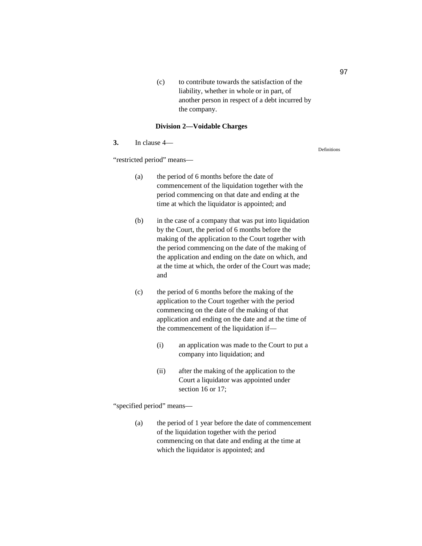(c) to contribute towards the satisfaction of the liability, whether in whole or in part, of another person in respect of a debt incurred by the company.

#### **Division 2—Voidable Charges**

## **3.** In clause 4—

"restricted period" means—

- (a) the period of 6 months before the date of commencement of the liquidation together with the period commencing on that date and ending at the time at which the liquidator is appointed; and
- (b) in the case of a company that was put into liquidation by the Court, the period of 6 months before the making of the application to the Court together with the period commencing on the date of the making of the application and ending on the date on which, and at the time at which, the order of the Court was made; and
- (c) the period of 6 months before the making of the application to the Court together with the period commencing on the date of the making of that application and ending on the date and at the time of the commencement of the liquidation if—
	- (i) an application was made to the Court to put a company into liquidation; and
	- (ii) after the making of the application to the Court a liquidator was appointed under section 16 or 17;

"specified period" means—

(a) the period of 1 year before the date of commencement of the liquidation together with the period commencing on that date and ending at the time at which the liquidator is appointed; and

97

Definitions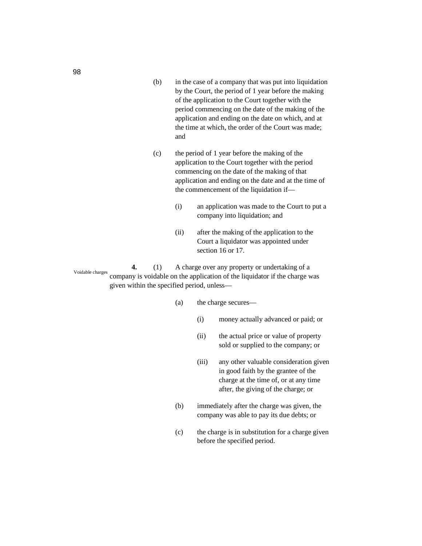- (b) in the case of a company that was put into liquidation by the Court, the period of 1 year before the making of the application to the Court together with the period commencing on the date of the making of the application and ending on the date on which, and at the time at which, the order of the Court was made; and
- (c) the period of 1 year before the making of the application to the Court together with the period commencing on the date of the making of that application and ending on the date and at the time of the commencement of the liquidation if—
	- (i) an application was made to the Court to put a company into liquidation; and
	- (ii) after the making of the application to the Court a liquidator was appointed under section 16 or 17.

**4.** (1) A charge over any property or undertaking of a company is voidable on the application of the liquidator if the charge was given within the specified period, unless— Voidable charges

- (a) the charge secures—
	- (i) money actually advanced or paid; or
	- (ii) the actual price or value of property sold or supplied to the company; or
	- (iii) any other valuable consideration given in good faith by the grantee of the charge at the time of, or at any time after, the giving of the charge; or
- (b) immediately after the charge was given, the company was able to pay its due debts; or
- (c) the charge is in substitution for a charge given before the specified period.

98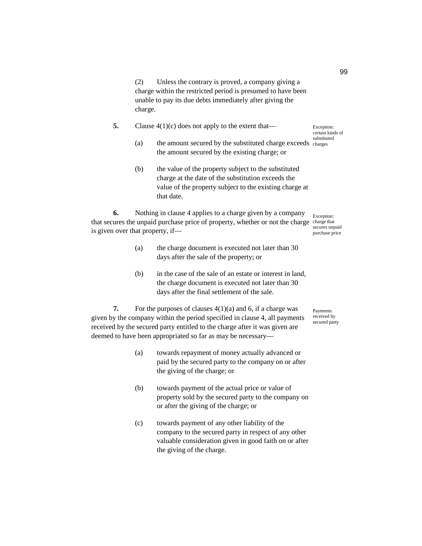(2) Unless the contrary is proved, a company giving a charge within the restricted period is presumed to have been unable to pay its due debts immediately after giving the charge.

- **5.** Clause 4(1)(c) does not apply to the extent that—
	- (a) the amount secured by the substituted charge exceeds charges the amount secured by the existing charge; or
	- (b) the value of the property subject to the substituted charge at the date of the substitution exceeds the value of the property subject to the existing charge at that date.

**6.** Nothing in clause 4 applies to a charge given by a company that secures the unpaid purchase price of property, whether or not the charge charge that is given over that property, if— Exception: secures unpaid

- purchase price
- (a) the charge document is executed not later than 30 days after the sale of the property; or
- (b) in the case of the sale of an estate or interest in land, the charge document is executed not later than 30 days after the final settlement of the sale.

**7.** For the purposes of clauses  $4(1)(a)$  and 6, if a charge was given by the company within the period specified in clause 4, all payments received by the secured party entitled to the charge after it was given are deemed to have been appropriated so far as may be necessary—

- (a) towards repayment of money actually advanced or paid by the secured party to the company on or after the giving of the charge; or
- (b) towards payment of the actual price or value of property sold by the secured party to the company on or after the giving of the charge; or
- (c) towards payment of any other liability of the company to the secured party in respect of any other valuable consideration given in good faith on or after the giving of the charge.

Payments received by secured party

Exception: certain kinds of substituted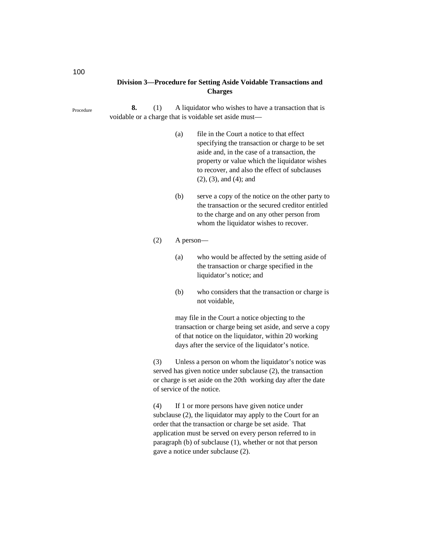# **Division 3—Procedure for Setting Aside Voidable Transactions and Charges**

**8.** (1) A liquidator who wishes to have a transaction that is voidable or a charge that is voidable set aside must— Procedure

- (a) file in the Court a notice to that effect specifying the transaction or charge to be set aside and, in the case of a transaction, the property or value which the liquidator wishes to recover, and also the effect of subclauses (2), (3), and (4); and
- (b) serve a copy of the notice on the other party to the transaction or the secured creditor entitled to the charge and on any other person from whom the liquidator wishes to recover.

#### (2) A person—

- (a) who would be affected by the setting aside of the transaction or charge specified in the liquidator's notice; and
- (b) who considers that the transaction or charge is not voidable,

may file in the Court a notice objecting to the transaction or charge being set aside, and serve a copy of that notice on the liquidator, within 20 working days after the service of the liquidator's notice.

(3) Unless a person on whom the liquidator's notice was served has given notice under subclause (2), the transaction or charge is set aside on the 20th working day after the date of service of the notice.

(4) If 1 or more persons have given notice under subclause (2), the liquidator may apply to the Court for an order that the transaction or charge be set aside. That application must be served on every person referred to in paragraph (b) of subclause (1), whether or not that person gave a notice under subclause (2).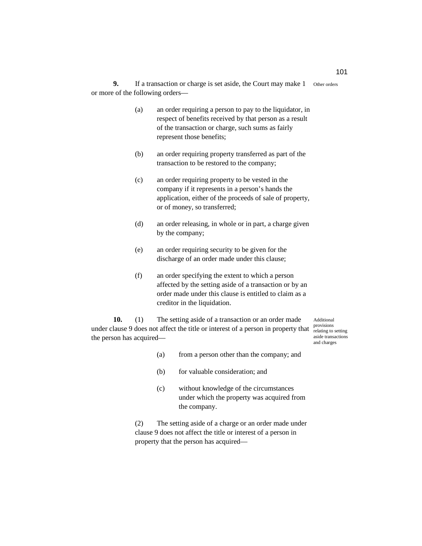**9.** If a transaction or charge is set aside, the Court may make 1 Other orders or more of the following orders—

- (a) an order requiring a person to pay to the liquidator, in respect of benefits received by that person as a result of the transaction or charge, such sums as fairly represent those benefits;
- (b) an order requiring property transferred as part of the transaction to be restored to the company;
- (c) an order requiring property to be vested in the company if it represents in a person's hands the application, either of the proceeds of sale of property, or of money, so transferred;
- (d) an order releasing, in whole or in part, a charge given by the company;
- (e) an order requiring security to be given for the discharge of an order made under this clause;
- (f) an order specifying the extent to which a person affected by the setting aside of a transaction or by an order made under this clause is entitled to claim as a creditor in the liquidation.

**10.** (1) The setting aside of a transaction or an order made under clause 9 does not affect the title or interest of a person in property that  $\frac{provisions}{relating to setting}$ the person has acquired—

Additional aside transactions and charges

- (a) from a person other than the company; and
- (b) for valuable consideration; and
- (c) without knowledge of the circumstances under which the property was acquired from the company.

(2) The setting aside of a charge or an order made under clause 9 does not affect the title or interest of a person in property that the person has acquired—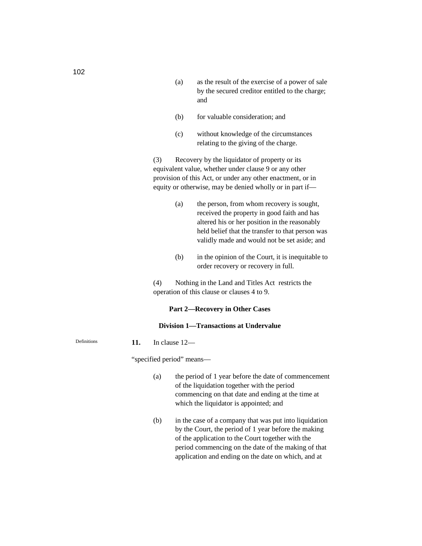- (a) as the result of the exercise of a power of sale by the secured creditor entitled to the charge; and
- (b) for valuable consideration; and
- (c) without knowledge of the circumstances relating to the giving of the charge.

(3) Recovery by the liquidator of property or its equivalent value, whether under clause 9 or any other provision of this Act, or under any other enactment, or in equity or otherwise, may be denied wholly or in part if—

- (a) the person, from whom recovery is sought, received the property in good faith and has altered his or her position in the reasonably held belief that the transfer to that person was validly made and would not be set aside; and
- (b) in the opinion of the Court, it is inequitable to order recovery or recovery in full.

(4) Nothing in the Land and Titles Act restricts the operation of this clause or clauses 4 to 9.

#### **Part 2—Recovery in Other Cases**

## **Division 1—Transactions at Undervalue**

#### **11.** In clause 12—

"specified period" means—

- (a) the period of 1 year before the date of commencement of the liquidation together with the period commencing on that date and ending at the time at which the liquidator is appointed; and
- (b) in the case of a company that was put into liquidation by the Court, the period of 1 year before the making of the application to the Court together with the period commencing on the date of the making of that application and ending on the date on which, and at

Definitions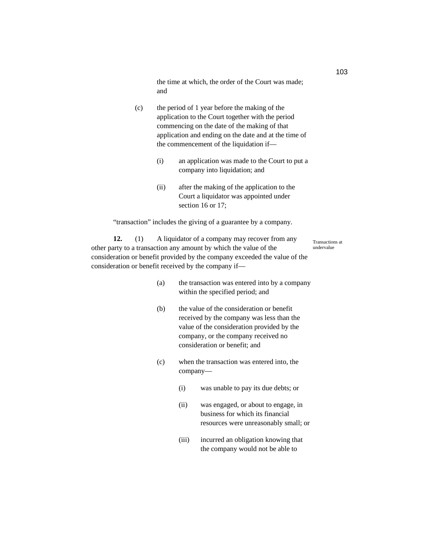the time at which, the order of the Court was made; and

- (c) the period of 1 year before the making of the application to the Court together with the period commencing on the date of the making of that application and ending on the date and at the time of the commencement of the liquidation if—
	- (i) an application was made to the Court to put a company into liquidation; and
	- (ii) after the making of the application to the Court a liquidator was appointed under section 16 or 17;

"transaction" includes the giving of a guarantee by a company.

**12.** (1) A liquidator of a company may recover from any other party to a transaction any amount by which the value of the consideration or benefit provided by the company exceeded the value of the consideration or benefit received by the company if—

Transactions at undervalue

- (a) the transaction was entered into by a company within the specified period; and
- (b) the value of the consideration or benefit received by the company was less than the value of the consideration provided by the company, or the company received no consideration or benefit; and
- (c) when the transaction was entered into, the company—
	- (i) was unable to pay its due debts; or
	- (ii) was engaged, or about to engage, in business for which its financial resources were unreasonably small; or
	- (iii) incurred an obligation knowing that the company would not be able to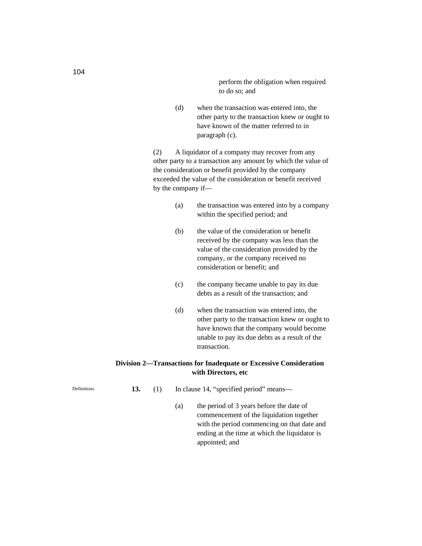perform the obligation when required to do so; and

(d) when the transaction was entered into, the other party to the transaction knew or ought to have known of the matter referred to in paragraph (c).

(2) A liquidator of a company may recover from any other party to a transaction any amount by which the value of the consideration or benefit provided by the company exceeded the value of the consideration or benefit received by the company if—

- (a) the transaction was entered into by a company within the specified period; and
- (b) the value of the consideration or benefit received by the company was less than the value of the consideration provided by the company, or the company received no consideration or benefit; and
- (c) the company became unable to pay its due debts as a result of the transaction; and
- (d) when the transaction was entered into, the other party to the transaction knew or ought to have known that the company would become unable to pay its due debts as a result of the transaction.

# **Division 2—Transactions for Inadequate or Excessive Consideration with Directors, etc**

- **13.** (1) In clause 14, "specified period" means—
	- (a) the period of 3 years before the date of commencement of the liquidation together with the period commencing on that date and ending at the time at which the liquidator is appointed; and

Definitions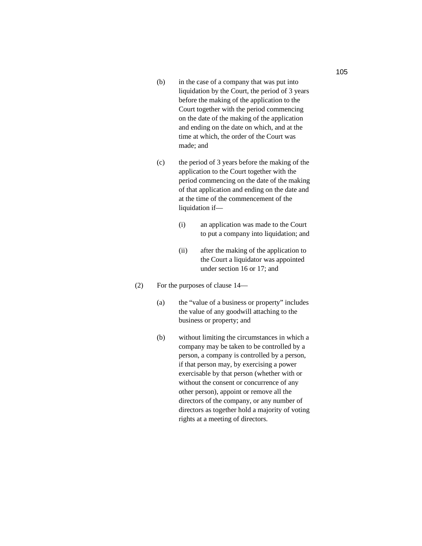- (b) in the case of a company that was put into liquidation by the Court, the period of 3 years before the making of the application to the Court together with the period commencing on the date of the making of the application and ending on the date on which, and at the time at which, the order of the Court was made; and
- (c) the period of 3 years before the making of the application to the Court together with the period commencing on the date of the making of that application and ending on the date and at the time of the commencement of the liquidation if—
	- (i) an application was made to the Court to put a company into liquidation; and
	- (ii) after the making of the application to the Court a liquidator was appointed under section 16 or 17; and
- (2) For the purposes of clause 14—
	- (a) the "value of a business or property" includes the value of any goodwill attaching to the business or property; and
	- (b) without limiting the circumstances in which a company may be taken to be controlled by a person, a company is controlled by a person, if that person may, by exercising a power exercisable by that person (whether with or without the consent or concurrence of any other person), appoint or remove all the directors of the company, or any number of directors as together hold a majority of voting rights at a meeting of directors.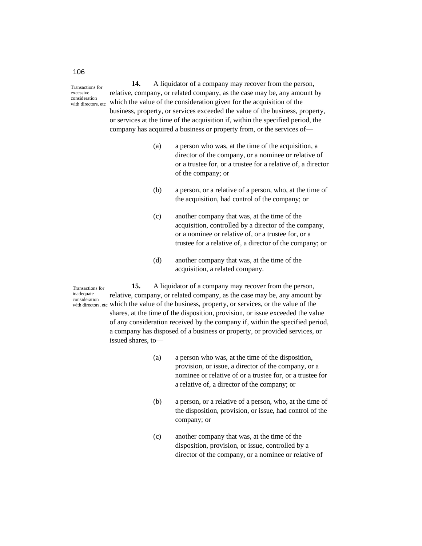**14.** A liquidator of a company may recover from the person, relative, company, or related company, as the case may be, any amount by which the value of the consideration given for the acquisition of the business, property, or services exceeded the value of the business, property, or services at the time of the acquisition if, within the specified period, the company has acquired a business or property from, or the services of—

- (a) a person who was, at the time of the acquisition, a director of the company, or a nominee or relative of or a trustee for, or a trustee for a relative of, a director of the company; or
- (b) a person, or a relative of a person, who, at the time of the acquisition, had control of the company; or
- (c) another company that was, at the time of the acquisition, controlled by a director of the company, or a nominee or relative of, or a trustee for, or a trustee for a relative of, a director of the company; or
- (d) another company that was, at the time of the acquisition, a related company.

Transactions for inadequate consideration

**15.** A liquidator of a company may recover from the person, relative, company, or related company, as the case may be, any amount by with directors, etc which the value of the business, property, or services, or the value of the shares, at the time of the disposition, provision, or issue exceeded the value of any consideration received by the company if, within the specified period, a company has disposed of a business or property, or provided services, or issued shares, to—

- (a) a person who was, at the time of the disposition, provision, or issue, a director of the company, or a nominee or relative of or a trustee for, or a trustee for a relative of, a director of the company; or
- (b) a person, or a relative of a person, who, at the time of the disposition, provision, or issue, had control of the company; or
- (c) another company that was, at the time of the disposition, provision, or issue, controlled by a director of the company, or a nominee or relative of

## 106

Transactions for excessive consideration with directors, etc.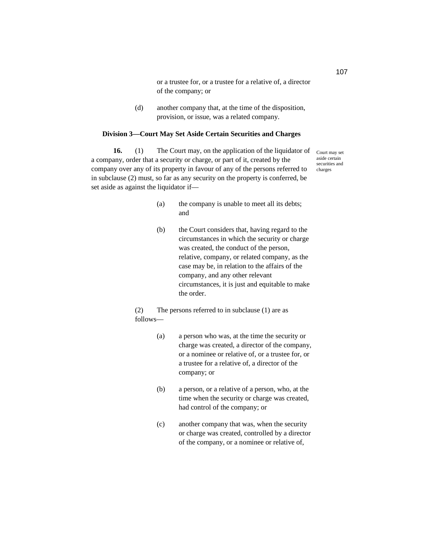or a trustee for, or a trustee for a relative of, a director of the company; or

(d) another company that, at the time of the disposition, provision, or issue, was a related company.

#### **Division 3—Court May Set Aside Certain Securities and Charges**

**16.** (1) The Court may, on the application of the liquidator of a company, order that a security or charge, or part of it, created by the company over any of its property in favour of any of the persons referred to in subclause (2) must, so far as any security on the property is conferred, be set aside as against the liquidator if—

Court may set aside certain securities and charges

- (a) the company is unable to meet all its debts; and
- (b) the Court considers that, having regard to the circumstances in which the security or charge was created, the conduct of the person, relative, company, or related company, as the case may be, in relation to the affairs of the company, and any other relevant circumstances, it is just and equitable to make the order.

(2) The persons referred to in subclause (1) are as follows—

- (a) a person who was, at the time the security or charge was created, a director of the company, or a nominee or relative of, or a trustee for, or a trustee for a relative of, a director of the company; or
- (b) a person, or a relative of a person, who, at the time when the security or charge was created, had control of the company; or
- (c) another company that was, when the security or charge was created, controlled by a director of the company, or a nominee or relative of,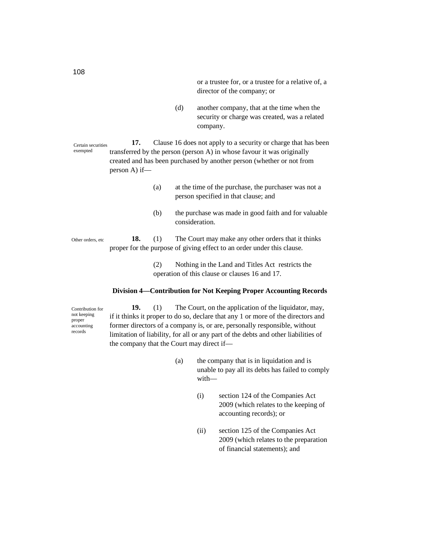or a trustee for, or a trustee for a relative of, a director of the company; or

(d) another company, that at the time when the security or charge was created, was a related company.

**17.** Clause 16 does not apply to a security or charge that has been transferred by the person (person A) in whose favour it was originally created and has been purchased by another person (whether or not from person A) if— Certain securities exempted

- (a) at the time of the purchase, the purchaser was not a person specified in that clause; and
- (b) the purchase was made in good faith and for valuable consideration.

**18.** (1) The Court may make any other orders that it thinks proper for the purpose of giving effect to an order under this clause. Other orders, etc

> (2) Nothing in the Land and Titles Act restricts the operation of this clause or clauses 16 and 17.

#### **Division 4—Contribution for Not Keeping Proper Accounting Records**

Contribution for not keeping proper accounting records

**19.** (1) The Court, on the application of the liquidator, may, if it thinks it proper to do so, declare that any 1 or more of the directors and former directors of a company is, or are, personally responsible, without limitation of liability, for all or any part of the debts and other liabilities of the company that the Court may direct if—

- (a) the company that is in liquidation and is unable to pay all its debts has failed to comply with—
	- (i) section 124 of the Companies Act 2009 (which relates to the keeping of accounting records); or
	- (ii) section 125 of the Companies Act 2009 (which relates to the preparation of financial statements); and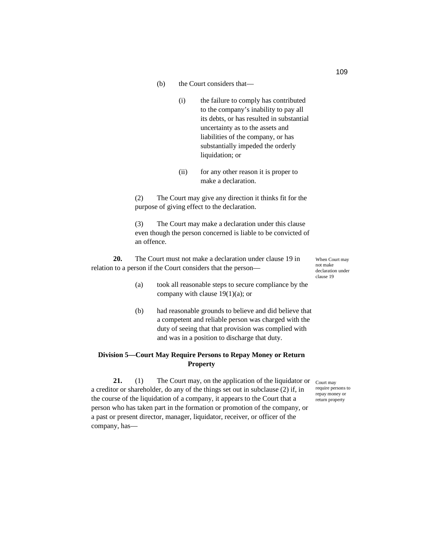- (b) the Court considers that—
	- (i) the failure to comply has contributed to the company's inability to pay all its debts, or has resulted in substantial uncertainty as to the assets and liabilities of the company, or has substantially impeded the orderly liquidation; or
	- (ii) for any other reason it is proper to make a declaration.

(2) The Court may give any direction it thinks fit for the purpose of giving effect to the declaration.

(3) The Court may make a declaration under this clause even though the person concerned is liable to be convicted of an offence.

**20.** The Court must not make a declaration under clause 19 in relation to a person if the Court considers that the person—

When Court may not make declaration under clause 19

- (a) took all reasonable steps to secure compliance by the company with clause  $19(1)(a)$ ; or
- (b) had reasonable grounds to believe and did believe that a competent and reliable person was charged with the duty of seeing that that provision was complied with and was in a position to discharge that duty.

# **Division 5—Court May Require Persons to Repay Money or Return Property**

**21.** (1) The Court may, on the application of the liquidator or  $_{\text{Contr may}}$ a creditor or shareholder, do any of the things set out in subclause (2) if, in the course of the liquidation of a company, it appears to the Court that a person who has taken part in the formation or promotion of the company, or a past or present director, manager, liquidator, receiver, or officer of the company, has—

require persons to repay money or return property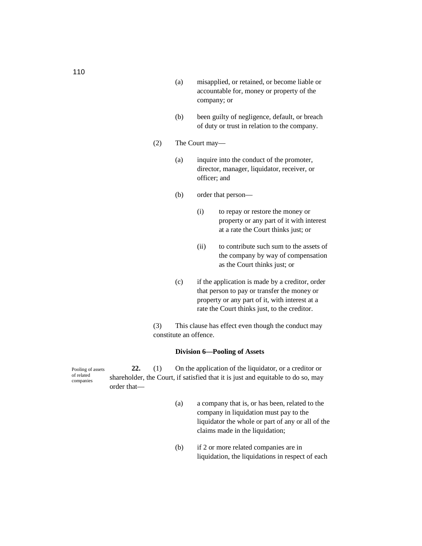- (a) misapplied, or retained, or become liable or accountable for, money or property of the company; or
- (b) been guilty of negligence, default, or breach of duty or trust in relation to the company.
- (2) The Court may—
	- (a) inquire into the conduct of the promoter, director, manager, liquidator, receiver, or officer; and
	- (b) order that person—
		- (i) to repay or restore the money or property or any part of it with interest at a rate the Court thinks just; or
		- (ii) to contribute such sum to the assets of the company by way of compensation as the Court thinks just; or
	- (c) if the application is made by a creditor, order that person to pay or transfer the money or property or any part of it, with interest at a rate the Court thinks just, to the creditor.

(3) This clause has effect even though the conduct may constitute an offence.

#### **Division 6—Pooling of Assets**

**22.** (1) On the application of the liquidator, or a creditor or shareholder, the Court, if satisfied that it is just and equitable to do so, may order that— Pooling of assets of related companies

- (a) a company that is, or has been, related to the company in liquidation must pay to the liquidator the whole or part of any or all of the claims made in the liquidation;
- (b) if 2 or more related companies are in liquidation, the liquidations in respect of each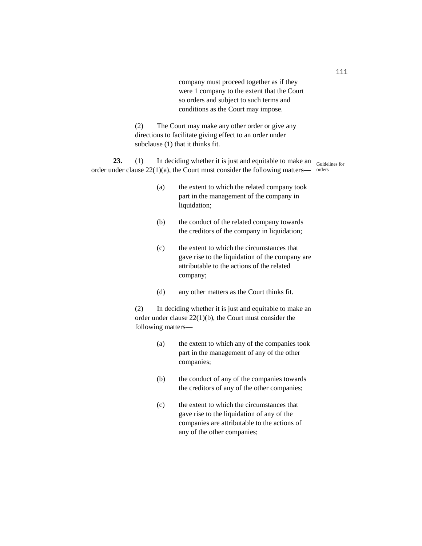company must proceed together as if they were 1 company to the extent that the Court so orders and subject to such terms and conditions as the Court may impose.

(2) The Court may make any other order or give any directions to facilitate giving effect to an order under subclause (1) that it thinks fit.

**23.** (1) In deciding whether it is just and equitable to make an <sub>Guidelines for</sub> order under clause  $22(1)(a)$ , the Court must consider the following matters— orders

- (a) the extent to which the related company took part in the management of the company in liquidation;
- (b) the conduct of the related company towards the creditors of the company in liquidation;
- (c) the extent to which the circumstances that gave rise to the liquidation of the company are attributable to the actions of the related company;
- (d) any other matters as the Court thinks fit.

(2) In deciding whether it is just and equitable to make an order under clause 22(1)(b), the Court must consider the following matters—

- (a) the extent to which any of the companies took part in the management of any of the other companies;
- (b) the conduct of any of the companies towards the creditors of any of the other companies;
- (c) the extent to which the circumstances that gave rise to the liquidation of any of the companies are attributable to the actions of any of the other companies;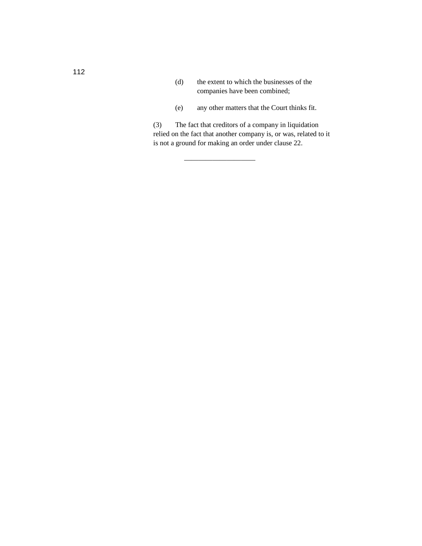- (d) the extent to which the businesses of the companies have been combined;
- (e) any other matters that the Court thinks fit.

(3) The fact that creditors of a company in liquidation relied on the fact that another company is, or was, related to it is not a ground for making an order under clause 22.

——————————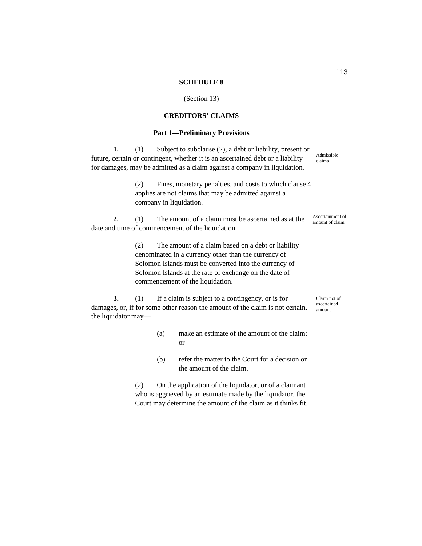#### **SCHEDULE 8**

#### (Section 13)

# **CREDITORS' CLAIMS**

### **Part 1—Preliminary Provisions**

**1.** (1) Subject to subclause (2), a debt or liability, present or future, certain or contingent, whether it is an ascertained debt or a liability for damages, may be admitted as a claim against a company in liquidation.

> (2) Fines, monetary penalties, and costs to which clause 4 applies are not claims that may be admitted against a company in liquidation.

**2.** (1) The amount of a claim must be ascertained as at the date and time of commencement of the liquidation.

> (2) The amount of a claim based on a debt or liability denominated in a currency other than the currency of Solomon Islands must be converted into the currency of Solomon Islands at the rate of exchange on the date of commencement of the liquidation.

**3.** (1) If a claim is subject to a contingency, or is for damages, or, if for some other reason the amount of the claim is not certain, the liquidator may—

- (a) make an estimate of the amount of the claim; or
- (b) refer the matter to the Court for a decision on the amount of the claim.

(2) On the application of the liquidator, or of a claimant who is aggrieved by an estimate made by the liquidator, the Court may determine the amount of the claim as it thinks fit.

Admissible claims

Ascertainment of amount of claim

Claim not of ascertained amount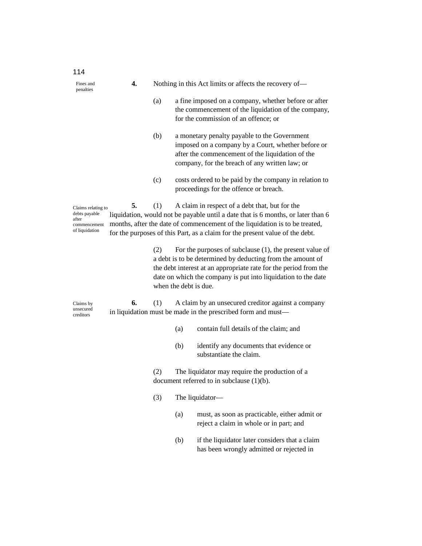| 114                                                                            |    |     |                       |                                                                                                                                                                                                                                                                                                   |
|--------------------------------------------------------------------------------|----|-----|-----------------------|---------------------------------------------------------------------------------------------------------------------------------------------------------------------------------------------------------------------------------------------------------------------------------------------------|
| Fines and<br>penalties                                                         | 4. |     |                       | Nothing in this Act limits or affects the recovery of-                                                                                                                                                                                                                                            |
|                                                                                |    | (a) |                       | a fine imposed on a company, whether before or after<br>the commencement of the liquidation of the company,<br>for the commission of an offence; or                                                                                                                                               |
|                                                                                |    | (b) |                       | a monetary penalty payable to the Government<br>imposed on a company by a Court, whether before or<br>after the commencement of the liquidation of the<br>company, for the breach of any written law; or                                                                                          |
|                                                                                |    | (c) |                       | costs ordered to be paid by the company in relation to<br>proceedings for the offence or breach.                                                                                                                                                                                                  |
| Claims relating to<br>debts payable<br>after<br>commencement<br>of liquidation | 5. | (1) |                       | A claim in respect of a debt that, but for the<br>liquidation, would not be payable until a date that is 6 months, or later than 6<br>months, after the date of commencement of the liquidation is to be treated,<br>for the purposes of this Part, as a claim for the present value of the debt. |
|                                                                                |    | (2) | when the debt is due. | For the purposes of subclause $(1)$ , the present value of<br>a debt is to be determined by deducting from the amount of<br>the debt interest at an appropriate rate for the period from the<br>date on which the company is put into liquidation to the date                                     |
| Claims by<br>unsecured<br>creditors                                            | 6. | (1) |                       | A claim by an unsecured creditor against a company<br>in liquidation must be made in the prescribed form and must-                                                                                                                                                                                |
|                                                                                |    |     | (a)                   | contain full details of the claim; and                                                                                                                                                                                                                                                            |
|                                                                                |    |     | (b)                   | identify any documents that evidence or<br>substantiate the claim.                                                                                                                                                                                                                                |
|                                                                                |    | (2) |                       | The liquidator may require the production of a<br>document referred to in subclause $(1)(b)$ .                                                                                                                                                                                                    |
|                                                                                |    | (3) |                       | The liquidator-                                                                                                                                                                                                                                                                                   |
|                                                                                |    |     | (a)                   | must, as soon as practicable, either admit or<br>reject a claim in whole or in part; and                                                                                                                                                                                                          |
|                                                                                |    |     | (b)                   | if the liquidator later considers that a claim<br>has been wrongly admitted or rejected in                                                                                                                                                                                                        |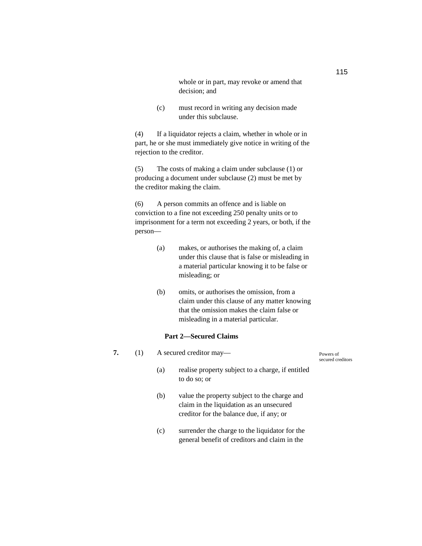whole or in part, may revoke or amend that decision; and

(c) must record in writing any decision made under this subclause.

(4) If a liquidator rejects a claim, whether in whole or in part, he or she must immediately give notice in writing of the rejection to the creditor.

(5) The costs of making a claim under subclause (1) or producing a document under subclause (2) must be met by the creditor making the claim.

(6) A person commits an offence and is liable on conviction to a fine not exceeding 250 penalty units or to imprisonment for a term not exceeding 2 years, or both, if the person—

| (a) | makes, or authorises the making of, a claim      |
|-----|--------------------------------------------------|
|     | under this clause that is false or misleading in |
|     | a material particular knowing it to be false or  |
|     | misleading; or                                   |

(b) omits, or authorises the omission, from a claim under this clause of any matter knowing that the omission makes the claim false or misleading in a material particular.

# **Part 2—Secured Claims**

| 7. | A secured creditor may—                                                                                                                     | Powers of<br>secured creditors |
|----|---------------------------------------------------------------------------------------------------------------------------------------------|--------------------------------|
|    | realise property subject to a charge, if entitled<br>(a)<br>to do so; or                                                                    |                                |
|    | value the property subject to the charge and<br>(b)<br>claim in the liquidation as an unsecured<br>creditor for the balance due, if any; or |                                |
|    | surrender the charge to the liquidator for the<br>(c)<br>general benefit of creditors and claim in the                                      |                                |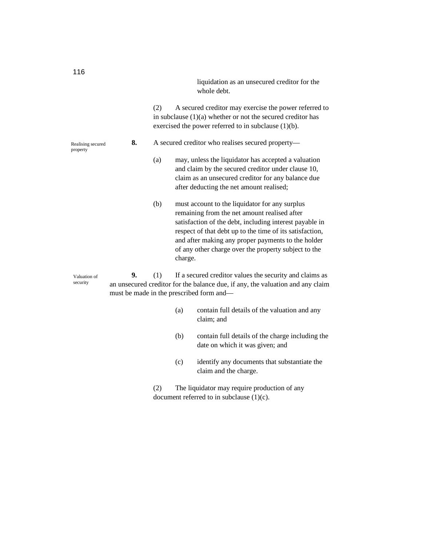liquidation as an unsecured creditor for the whole debt.

(2) A secured creditor may exercise the power referred to in subclause (1)(a) whether or not the secured creditor has exercised the power referred to in subclause (1)(b).

- **8.** A secured creditor who realises secured property—
	- (a) may, unless the liquidator has accepted a valuation and claim by the secured creditor under clause 10, claim as an unsecured creditor for any balance due after deducting the net amount realised;
	- (b) must account to the liquidator for any surplus remaining from the net amount realised after satisfaction of the debt, including interest payable in respect of that debt up to the time of its satisfaction, and after making any proper payments to the holder of any other charge over the property subject to the charge.

**9.** (1) If a secured creditor values the security and claims as an unsecured creditor for the balance due, if any, the valuation and any claim must be made in the prescribed form and—

- (a) contain full details of the valuation and any claim; and
- (b) contain full details of the charge including the date on which it was given; and
- (c) identify any documents that substantiate the claim and the charge.

(2) The liquidator may require production of any document referred to in subclause  $(1)(c)$ .

Realising secured property

Valuation of security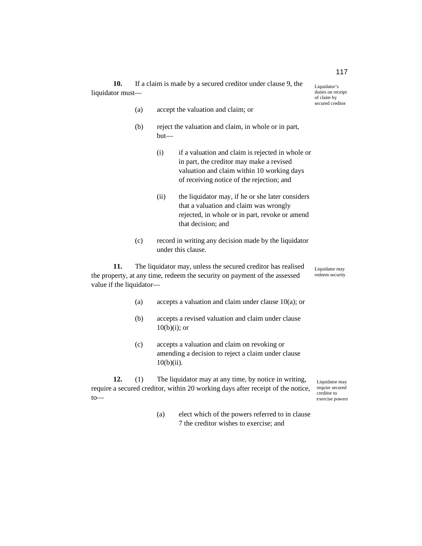**10.** If a claim is made by a secured creditor under clause 9, the liquidator must—

- (a) accept the valuation and claim; or
- (b) reject the valuation and claim, in whole or in part, but—
	- (i) if a valuation and claim is rejected in whole or in part, the creditor may make a revised valuation and claim within 10 working days of receiving notice of the rejection; and
	- (ii) the liquidator may, if he or she later considers that a valuation and claim was wrongly rejected, in whole or in part, revoke or amend that decision; and
- (c) record in writing any decision made by the liquidator under this clause.

**11.** The liquidator may, unless the secured creditor has realised the property, at any time, redeem the security on payment of the assessed value if the liquidator— Liquidator may redeem security

- (a) accepts a valuation and claim under clause  $10(a)$ ; or
- (b) accepts a revised valuation and claim under clause  $10(b)(i)$ ; or
- (c) accepts a valuation and claim on revoking or amending a decision to reject a claim under clause 10(b)(ii).

**12.** (1) The liquidator may at any time, by notice in writing, require a secured creditor, within 20 working days after receipt of the notice, to—

- Liquidator may require secured creditor to exercise powers
- (a) elect which of the powers referred to in clause 7 the creditor wishes to exercise; and

Liquidator's duties on receipt

of claim by secured creditor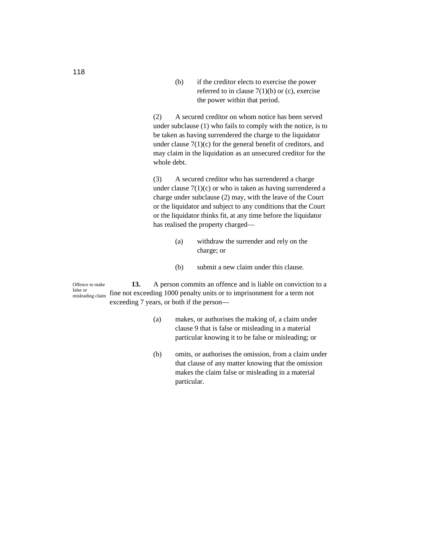(b) if the creditor elects to exercise the power referred to in clause  $7(1)(b)$  or (c), exercise the power within that period.

(2) A secured creditor on whom notice has been served under subclause (1) who fails to comply with the notice, is to be taken as having surrendered the charge to the liquidator under clause  $7(1)(c)$  for the general benefit of creditors, and may claim in the liquidation as an unsecured creditor for the whole debt.

(3) A secured creditor who has surrendered a charge under clause  $7(1)(c)$  or who is taken as having surrendered a charge under subclause (2) may, with the leave of the Court or the liquidator and subject to any conditions that the Court or the liquidator thinks fit, at any time before the liquidator has realised the property charged—

- (a) withdraw the surrender and rely on the charge; or
- (b) submit a new claim under this clause.

**13.** A person commits an offence and is liable on conviction to a fine not exceeding 1000 penalty units or to imprisonment for a term not exceeding 7 years, or both if the person— Offence to make false or misleading claim

- (a) makes, or authorises the making of, a claim under clause 9 that is false or misleading in a material particular knowing it to be false or misleading; or
- (b) omits, or authorises the omission, from a claim under that clause of any matter knowing that the omission makes the claim false or misleading in a material particular.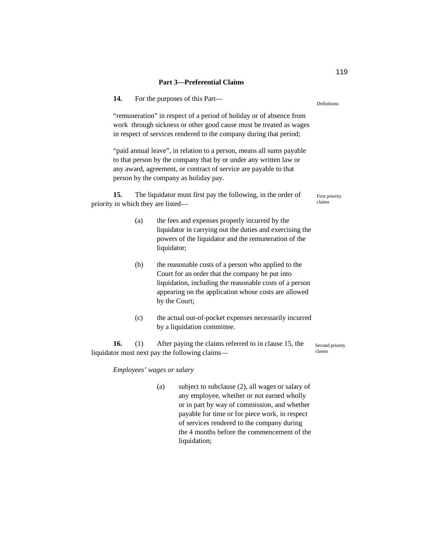| 14.                                                                                                                                                                                                                                                    |     | For the purposes of this Part—                                                                                                                                                                                                             | Definitions               |  |
|--------------------------------------------------------------------------------------------------------------------------------------------------------------------------------------------------------------------------------------------------------|-----|--------------------------------------------------------------------------------------------------------------------------------------------------------------------------------------------------------------------------------------------|---------------------------|--|
| "remuneration" in respect of a period of holiday or of absence from<br>work through sickness or other good cause must be treated as wages<br>in respect of services rendered to the company during that period;                                        |     |                                                                                                                                                                                                                                            |                           |  |
| "paid annual leave", in relation to a person, means all sums payable<br>to that person by the company that by or under any written law or<br>any award, agreement, or contract of service are payable to that<br>person by the company as holiday pay. |     |                                                                                                                                                                                                                                            |                           |  |
| 15.                                                                                                                                                                                                                                                    |     | The liquidator must first pay the following, in the order of<br>priority in which they are listed—                                                                                                                                         | First priority<br>claims  |  |
|                                                                                                                                                                                                                                                        | (a) | the fees and expenses properly incurred by the<br>liquidator in carrying out the duties and exercising the<br>powers of the liquidator and the remuneration of the<br>liquidator;                                                          |                           |  |
|                                                                                                                                                                                                                                                        | (b) | the reasonable costs of a person who applied to the<br>Court for an order that the company be put into<br>liquidation, including the reasonable costs of a person<br>appearing on the application whose costs are allowed<br>by the Court; |                           |  |
|                                                                                                                                                                                                                                                        | (c) | the actual out-of-pocket expenses necessarily incurred<br>by a liquidation committee.                                                                                                                                                      |                           |  |
| 16.                                                                                                                                                                                                                                                    | (1) | After paying the claims referred to in clause 15, the<br>liquidator must next pay the following claims-                                                                                                                                    | Second priority<br>claims |  |
|                                                                                                                                                                                                                                                        |     | Employees' wages or salary                                                                                                                                                                                                                 |                           |  |
|                                                                                                                                                                                                                                                        |     | (a)<br>subject to subclause (2), all wages or salary of<br>any employee, whether or not earned wholly<br>or in part by way of commission, and whether                                                                                      |                           |  |

payable for time or for piece work, in respect of services rendered to the company during the 4 months before the commencement of the

liquidation;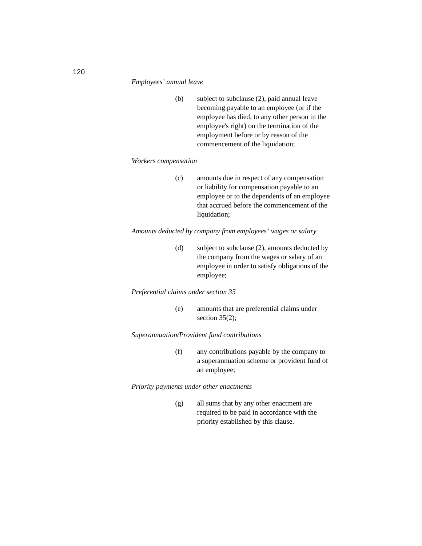#### *Employees' annual leave*

(b) subject to subclause (2), paid annual leave becoming payable to an employee (or if the employee has died, to any other person in the employee's right) on the termination of the employment before or by reason of the commencement of the liquidation;

### *Workers compensation*

(c) amounts due in respect of any compensation or liability for compensation payable to an employee or to the dependents of an employee that accrued before the commencement of the liquidation;

# *Amounts deducted by company from employees' wages or salary*

(d) subject to subclause (2), amounts deducted by the company from the wages or salary of an employee in order to satisfy obligations of the employee;

# *Preferential claims under section 35*

(e) amounts that are preferential claims under section  $35(2)$ ;

# *Superannuation/Provident fund contributions*

(f) any contributions payable by the company to a superannuation scheme or provident fund of an employee;

*Priority payments under other enactments* 

(g) all sums that by any other enactment are required to be paid in accordance with the priority established by this clause.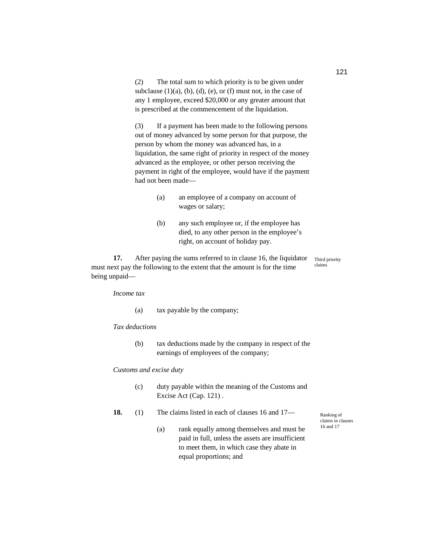(2) The total sum to which priority is to be given under subclause  $(1)(a)$ ,  $(b)$ ,  $(d)$ ,  $(e)$ , or  $(f)$  must not, in the case of any 1 employee, exceed \$20,000 or any greater amount that is prescribed at the commencement of the liquidation.

(3) If a payment has been made to the following persons out of money advanced by some person for that purpose, the person by whom the money was advanced has, in a liquidation, the same right of priority in respect of the money advanced as the employee, or other person receiving the payment in right of the employee, would have if the payment had not been made—

- (a) an employee of a company on account of wages or salary;
- (b) any such employee or, if the employee has died, to any other person in the employee's right, on account of holiday pay.

**17.** After paying the sums referred to in clause 16, the liquidator must next pay the following to the extent that the amount is for the time being unpaid— Third priority claims

*Income tax* 

(a) tax payable by the company;

#### *Tax deductions*

(b) tax deductions made by the company in respect of the earnings of employees of the company;

### *Customs and excise duty*

- (c) duty payable within the meaning of the Customs and Excise Act (Cap. 121) .
- **18.** (1) The claims listed in each of clauses 16 and 17—
	- (a) rank equally among themselves and must be paid in full, unless the assets are insufficient to meet them, in which case they abate in equal proportions; and

Ranking of claims in clauses 16 and 17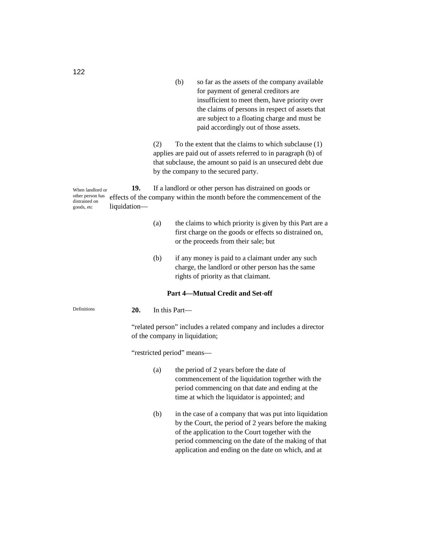(b) so far as the assets of the company available for payment of general creditors are insufficient to meet them, have priority over the claims of persons in respect of assets that are subject to a floating charge and must be paid accordingly out of those assets.

(2) To the extent that the claims to which subclause (1) applies are paid out of assets referred to in paragraph (b) of that subclause, the amount so paid is an unsecured debt due by the company to the secured party.

**19.** If a landlord or other person has distrained on goods or effects of the company within the month before the commencement of the liquidation— When landlord or other person has distrained on goods, etc

- (a) the claims to which priority is given by this Part are a first charge on the goods or effects so distrained on, or the proceeds from their sale; but
- (b) if any money is paid to a claimant under any such charge, the landlord or other person has the same rights of priority as that claimant.

#### **Part 4—Mutual Credit and Set-off**

**20.** In this Part— **Definitions** 

> "related person" includes a related company and includes a director of the company in liquidation;

"restricted period" means—

- (a) the period of 2 years before the date of commencement of the liquidation together with the period commencing on that date and ending at the time at which the liquidator is appointed; and
- (b) in the case of a company that was put into liquidation by the Court, the period of 2 years before the making of the application to the Court together with the period commencing on the date of the making of that application and ending on the date on which, and at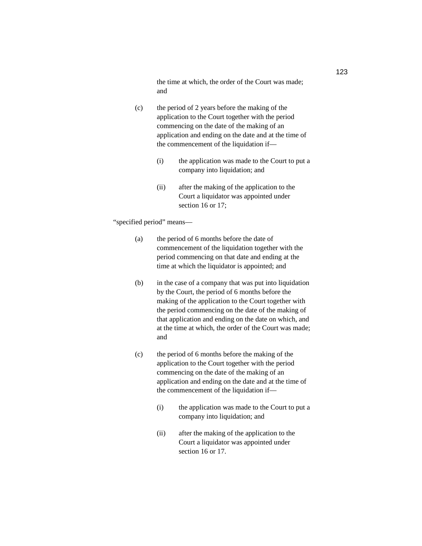the time at which, the order of the Court was made; and

- (c) the period of 2 years before the making of the application to the Court together with the period commencing on the date of the making of an application and ending on the date and at the time of the commencement of the liquidation if—
	- (i) the application was made to the Court to put a company into liquidation; and
	- (ii) after the making of the application to the Court a liquidator was appointed under section 16 or 17;

"specified period" means—

- (a) the period of 6 months before the date of commencement of the liquidation together with the period commencing on that date and ending at the time at which the liquidator is appointed; and
- (b) in the case of a company that was put into liquidation by the Court, the period of 6 months before the making of the application to the Court together with the period commencing on the date of the making of that application and ending on the date on which, and at the time at which, the order of the Court was made; and
- (c) the period of 6 months before the making of the application to the Court together with the period commencing on the date of the making of an application and ending on the date and at the time of the commencement of the liquidation if—
	- (i) the application was made to the Court to put a company into liquidation; and
	- (ii) after the making of the application to the Court a liquidator was appointed under section 16 or 17.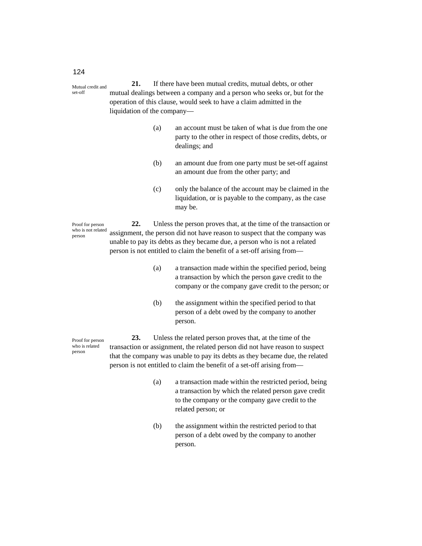**21.** If there have been mutual credits, mutual debts, or other mutual dealings between a company and a person who seeks or, but for the operation of this clause, would seek to have a claim admitted in the liquidation of the company— Mutual credit and set-off

- (a) an account must be taken of what is due from the one party to the other in respect of those credits, debts, or dealings; and
- (b) an amount due from one party must be set-off against an amount due from the other party; and
- (c) only the balance of the account may be claimed in the liquidation, or is payable to the company, as the case may be.

**22.** Unless the person proves that, at the time of the transaction or assignment, the person did not have reason to suspect that the company was unable to pay its debts as they became due, a person who is not a related person is not entitled to claim the benefit of a set-off arising from— Proof for person who is not related person

- (a) a transaction made within the specified period, being a transaction by which the person gave credit to the company or the company gave credit to the person; or
- (b) the assignment within the specified period to that person of a debt owed by the company to another person.

**23.** Unless the related person proves that, at the time of the transaction or assignment, the related person did not have reason to suspect that the company was unable to pay its debts as they became due, the related person is not entitled to claim the benefit of a set-off arising from—

- (a) a transaction made within the restricted period, being a transaction by which the related person gave credit to the company or the company gave credit to the related person; or
- (b) the assignment within the restricted period to that person of a debt owed by the company to another person.

124

Proof for person who is related person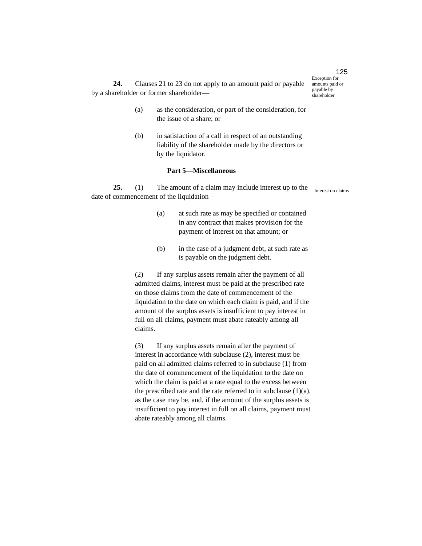**24.** Clauses 21 to 23 do not apply to an amount paid or payable by a shareholder or former shareholder—

- (a) as the consideration, or part of the consideration, for the issue of a share; or
- (b) in satisfaction of a call in respect of an outstanding liability of the shareholder made by the directors or by the liquidator.

### **Part 5—Miscellaneous**

**25.** (1) The amount of a claim may include interest up to the date of commencement of the liquidation—

- (a) at such rate as may be specified or contained in any contract that makes provision for the payment of interest on that amount; or
- (b) in the case of a judgment debt, at such rate as is payable on the judgment debt.

(2) If any surplus assets remain after the payment of all admitted claims, interest must be paid at the prescribed rate on those claims from the date of commencement of the liquidation to the date on which each claim is paid, and if the amount of the surplus assets is insufficient to pay interest in full on all claims, payment must abate rateably among all claims.

(3) If any surplus assets remain after the payment of interest in accordance with subclause (2), interest must be paid on all admitted claims referred to in subclause (1) from the date of commencement of the liquidation to the date on which the claim is paid at a rate equal to the excess between the prescribed rate and the rate referred to in subclause  $(1)(a)$ , as the case may be, and, if the amount of the surplus assets is insufficient to pay interest in full on all claims, payment must abate rateably among all claims.

125 Exception for amounts paid or payable by

shareholder

Interest on claims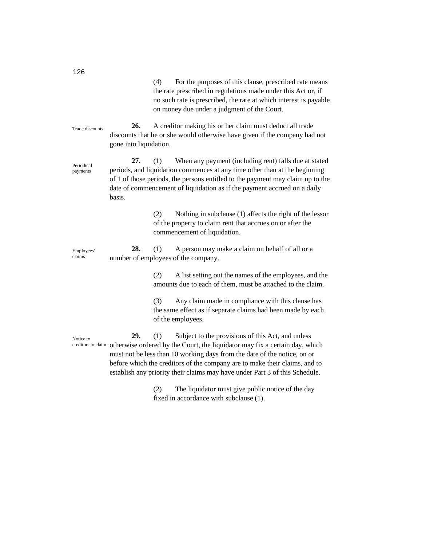| 140                    |                               | (4)<br>For the purposes of this clause, prescribed rate means<br>the rate prescribed in regulations made under this Act or, if<br>no such rate is prescribed, the rate at which interest is payable<br>on money due under a judgment of the Court.                                                                                                                                                  |
|------------------------|-------------------------------|-----------------------------------------------------------------------------------------------------------------------------------------------------------------------------------------------------------------------------------------------------------------------------------------------------------------------------------------------------------------------------------------------------|
| Trade discounts        | 26.<br>gone into liquidation. | A creditor making his or her claim must deduct all trade<br>discounts that he or she would otherwise have given if the company had not                                                                                                                                                                                                                                                              |
| Periodical<br>payments | 27.<br>basis.                 | When any payment (including rent) falls due at stated<br>(1)<br>periods, and liquidation commences at any time other than at the beginning<br>of 1 of those periods, the persons entitled to the payment may claim up to the<br>date of commencement of liquidation as if the payment accrued on a daily                                                                                            |
|                        |                               | (2)<br>Nothing in subclause (1) affects the right of the lessor<br>of the property to claim rent that accrues on or after the<br>commencement of liquidation.                                                                                                                                                                                                                                       |
| Employees'<br>claims   | 28.                           | (1)<br>A person may make a claim on behalf of all or a<br>number of employees of the company.                                                                                                                                                                                                                                                                                                       |
|                        |                               | A list setting out the names of the employees, and the<br>(2)<br>amounts due to each of them, must be attached to the claim.                                                                                                                                                                                                                                                                        |
|                        |                               | Any claim made in compliance with this clause has<br>(3)<br>the same effect as if separate claims had been made by each<br>of the employees.                                                                                                                                                                                                                                                        |
| Notice to              | 29.                           | (1)<br>Subject to the provisions of this Act, and unless<br>creditors to claim otherwise ordered by the Court, the liquidator may fix a certain day, which<br>must not be less than 10 working days from the date of the notice, on or<br>before which the creditors of the company are to make their claims, and to<br>establish any priority their claims may have under Part 3 of this Schedule. |
|                        |                               | The liquidator must give public notice of the day<br>(2)<br>fixed in accordance with subclause (1).                                                                                                                                                                                                                                                                                                 |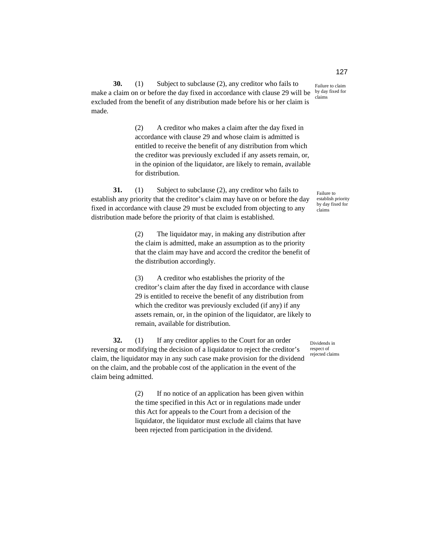Failure to claim by day fixed for claims

**30.** (1) Subject to subclause (2), any creditor who fails to make a claim on or before the day fixed in accordance with clause 29 will be excluded from the benefit of any distribution made before his or her claim is made.

> (2) A creditor who makes a claim after the day fixed in accordance with clause 29 and whose claim is admitted is entitled to receive the benefit of any distribution from which the creditor was previously excluded if any assets remain, or, in the opinion of the liquidator, are likely to remain, available for distribution.

**31.** (1) Subject to subclause (2), any creditor who fails to establish any priority that the creditor's claim may have on or before the day fixed in accordance with clause 29 must be excluded from objecting to any distribution made before the priority of that claim is established.

> (2) The liquidator may, in making any distribution after the claim is admitted, make an assumption as to the priority that the claim may have and accord the creditor the benefit of the distribution accordingly.

> (3) A creditor who establishes the priority of the creditor's claim after the day fixed in accordance with clause 29 is entitled to receive the benefit of any distribution from which the creditor was previously excluded (if any) if any assets remain, or, in the opinion of the liquidator, are likely to remain, available for distribution.

**32.** (1) If any creditor applies to the Court for an order reversing or modifying the decision of a liquidator to reject the creditor's claim, the liquidator may in any such case make provision for the dividend on the claim, and the probable cost of the application in the event of the claim being admitted.

> (2) If no notice of an application has been given within the time specified in this Act or in regulations made under this Act for appeals to the Court from a decision of the liquidator, the liquidator must exclude all claims that have been rejected from participation in the dividend.

Failure to establish priority by day fixed for claims

Dividends in respect of rejected claims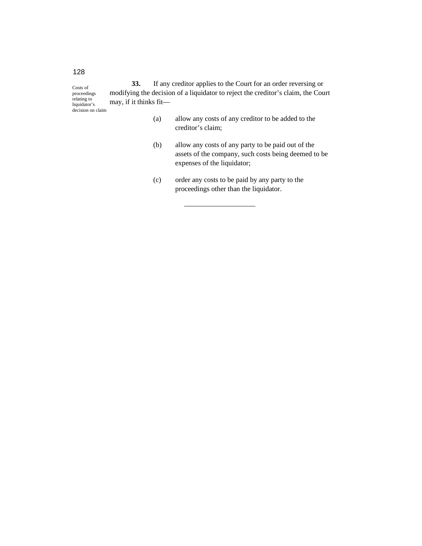**33.** If any creditor applies to the Court for an order reversing or modifying the decision of a liquidator to reject the creditor's claim, the Court may, if it thinks fit— Costs of proceedings relating to liquidator's decision on claim

- (a) allow any costs of any creditor to be added to the creditor's claim;
- (b) allow any costs of any party to be paid out of the assets of the company, such costs being deemed to be expenses of the liquidator;
- (c) order any costs to be paid by any party to the proceedings other than the liquidator.

————————————————————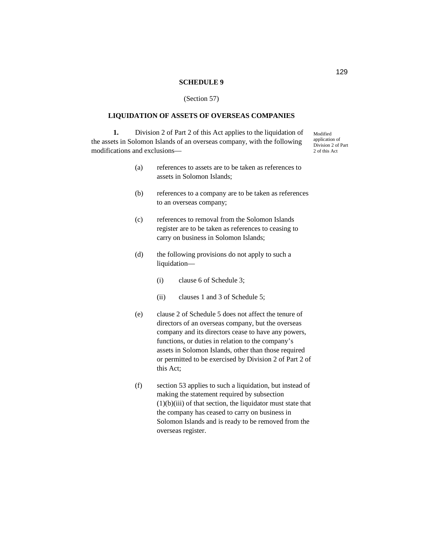#### **SCHEDULE 9**

#### (Section 57)

### **LIQUIDATION OF ASSETS OF OVERSEAS COMPANIES**

**1.** Division 2 of Part 2 of this Act applies to the liquidation of the assets in Solomon Islands of an overseas company, with the following modifications and exclusions—

Modified application of Division 2 of Part 2 of this Act

- (a) references to assets are to be taken as references to assets in Solomon Islands;
- (b) references to a company are to be taken as references to an overseas company;
- (c) references to removal from the Solomon Islands register are to be taken as references to ceasing to carry on business in Solomon Islands;
- (d) the following provisions do not apply to such a liquidation—
	- (i) clause 6 of Schedule 3;
	- (ii) clauses 1 and 3 of Schedule 5;
- (e) clause 2 of Schedule 5 does not affect the tenure of directors of an overseas company, but the overseas company and its directors cease to have any powers, functions, or duties in relation to the company's assets in Solomon Islands, other than those required or permitted to be exercised by Division 2 of Part 2 of this Act;
- (f) section 53 applies to such a liquidation, but instead of making the statement required by subsection  $(1)(b)(iii)$  of that section, the liquidator must state that the company has ceased to carry on business in Solomon Islands and is ready to be removed from the overseas register.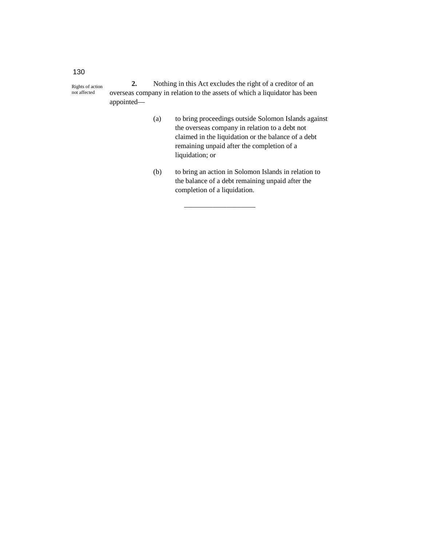**2.** Nothing in this Act excludes the right of a creditor of an overseas company in relation to the assets of which a liquidator has been appointed— Rights of action not affected

- (a) to bring proceedings outside Solomon Islands against the overseas company in relation to a debt not claimed in the liquidation or the balance of a debt remaining unpaid after the completion of a liquidation; or
- (b) to bring an action in Solomon Islands in relation to the balance of a debt remaining unpaid after the completion of a liquidation.

——————————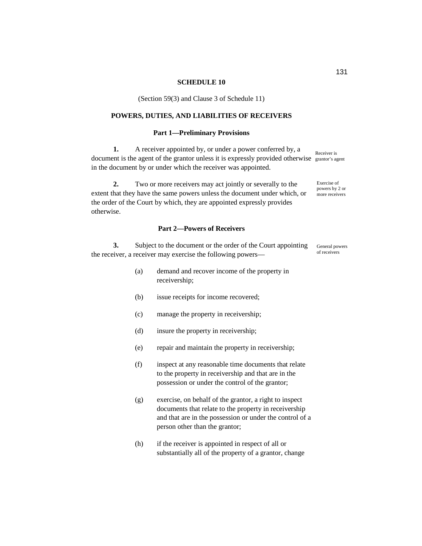#### **SCHEDULE 10**

(Section 59(3) and Clause 3 of Schedule 11)

# **POWERS, DUTIES, AND LIABILITIES OF RECEIVERS**

### **Part 1—Preliminary Provisions**

**1.** A receiver appointed by, or under a power conferred by, a document is the agent of the grantor unless it is expressly provided otherwise grantor's agent in the document by or under which the receiver was appointed. Receiver is

**2.** Two or more receivers may act jointly or severally to the extent that they have the same powers unless the document under which, or the order of the Court by which, they are appointed expressly provides otherwise.

### **Part 2—Powers of Receivers**

**3.** Subject to the document or the order of the Court appointing the receiver, a receiver may exercise the following powers— General powers of receivers

- (a) demand and recover income of the property in receivership;
- (b) issue receipts for income recovered;
- (c) manage the property in receivership;
- (d) insure the property in receivership;
- (e) repair and maintain the property in receivership;
- (f) inspect at any reasonable time documents that relate to the property in receivership and that are in the possession or under the control of the grantor;
- (g) exercise, on behalf of the grantor, a right to inspect documents that relate to the property in receivership and that are in the possession or under the control of a person other than the grantor;
- (h) if the receiver is appointed in respect of all or substantially all of the property of a grantor, change

Exercise of powers by 2 or more receivers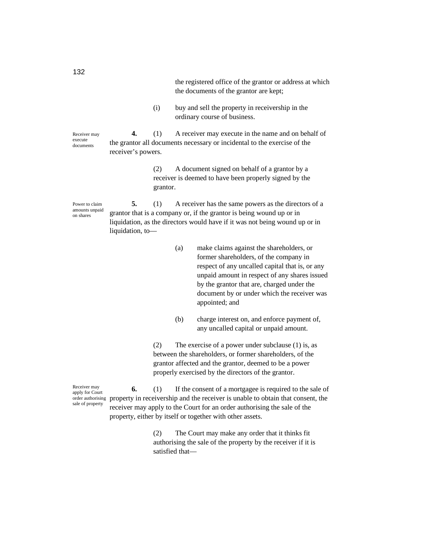| the registered office of the grantor or address at which |
|----------------------------------------------------------|
| the documents of the grantor are kept;                   |

(i) buy and sell the property in receivership in the ordinary course of business.

Receiver may execute documents

**4.** (1) A receiver may execute in the name and on behalf of the grantor all documents necessary or incidental to the exercise of the receiver's powers.

> (2) A document signed on behalf of a grantor by a receiver is deemed to have been properly signed by the grantor.

Power to claim amounts unpaid on shares

**5.** (1) A receiver has the same powers as the directors of a grantor that is a company or, if the grantor is being wound up or in liquidation, as the directors would have if it was not being wound up or in liquidation, to—

- (a) make claims against the shareholders, or former shareholders, of the company in respect of any uncalled capital that is, or any unpaid amount in respect of any shares issued by the grantor that are, charged under the document by or under which the receiver was appointed; and
- (b) charge interest on, and enforce payment of, any uncalled capital or unpaid amount.

(2) The exercise of a power under subclause (1) is, as between the shareholders, or former shareholders, of the grantor affected and the grantor, deemed to be a power properly exercised by the directors of the grantor.

**6.** (1) If the consent of a mortgagee is required to the sale of order authorising property in receivership and the receiver is unable to obtain that consent, the receiver may apply to the Court for an order authorising the sale of the property, either by itself or together with other assets. Receiver may apply for Court sale of property

> (2) The Court may make any order that it thinks fit authorising the sale of the property by the receiver if it is satisfied that—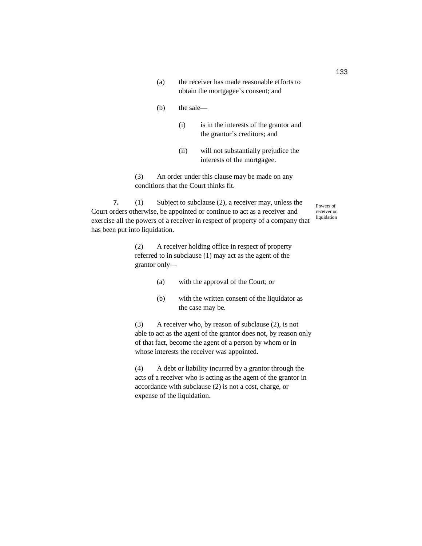- (a) the receiver has made reasonable efforts to obtain the mortgagee's consent; and
- (b) the sale—
	- (i) is in the interests of the grantor and the grantor's creditors; and
	- (ii) will not substantially prejudice the interests of the mortgagee.

(3) An order under this clause may be made on any conditions that the Court thinks fit.

**7.** (1) Subject to subclause (2), a receiver may, unless the Court orders otherwise, be appointed or continue to act as a receiver and exercise all the powers of a receiver in respect of property of a company that has been put into liquidation.

> (2) A receiver holding office in respect of property referred to in subclause (1) may act as the agent of the grantor only—

- (a) with the approval of the Court; or
- (b) with the written consent of the liquidator as the case may be.

(3) A receiver who, by reason of subclause (2), is not able to act as the agent of the grantor does not, by reason only of that fact, become the agent of a person by whom or in whose interests the receiver was appointed.

(4) A debt or liability incurred by a grantor through the acts of a receiver who is acting as the agent of the grantor in accordance with subclause (2) is not a cost, charge, or expense of the liquidation.

Powers of receiver on liquidation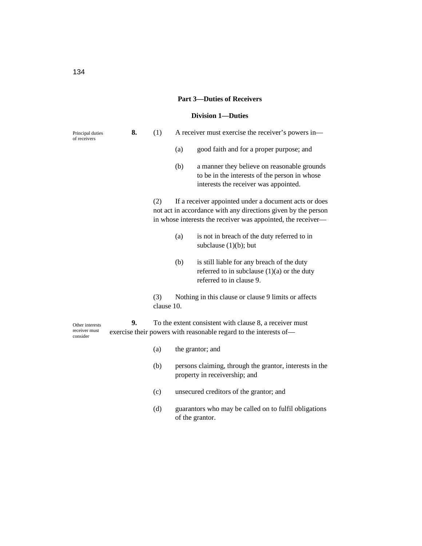# **Part 3—Duties of Receivers**

# **Division 1—Duties**

| Principal duties<br>of receivers             | 8. | (1)               |     | A receiver must exercise the receiver's powers in-                                                                                                                                     |
|----------------------------------------------|----|-------------------|-----|----------------------------------------------------------------------------------------------------------------------------------------------------------------------------------------|
|                                              |    |                   | (a) | good faith and for a proper purpose; and                                                                                                                                               |
|                                              |    |                   | (b) | a manner they believe on reasonable grounds<br>to be in the interests of the person in whose<br>interests the receiver was appointed.                                                  |
|                                              |    | (2)               |     | If a receiver appointed under a document acts or does<br>not act in accordance with any directions given by the person<br>in whose interests the receiver was appointed, the receiver- |
|                                              |    |                   | (a) | is not in breach of the duty referred to in<br>subclause $(1)(b)$ ; but                                                                                                                |
|                                              |    |                   | (b) | is still liable for any breach of the duty<br>referred to in subclause $(1)(a)$ or the duty<br>referred to in clause 9.                                                                |
|                                              |    | (3)<br>clause 10. |     | Nothing in this clause or clause 9 limits or affects                                                                                                                                   |
| Other interests<br>receiver must<br>consider | 9. |                   |     | To the extent consistent with clause 8, a receiver must<br>exercise their powers with reasonable regard to the interests of-                                                           |
|                                              |    | (a)               |     | the grantor; and                                                                                                                                                                       |
|                                              |    | (b)               |     | persons claiming, through the grantor, interests in the<br>property in receivership; and                                                                                               |
|                                              |    | (c)               |     | unsecured creditors of the grantor; and                                                                                                                                                |
|                                              |    | (d)               |     | guarantors who may be called on to fulfil obligations<br>of the grantor.                                                                                                               |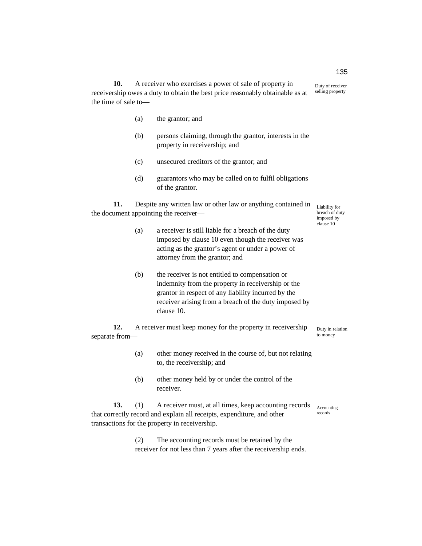**10.** A receiver who exercises a power of sale of property in receivership owes a duty to obtain the best price reasonably obtainable as at the time of sale to— Duty of receiver selling property

- (a) the grantor; and
- (b) persons claiming, through the grantor, interests in the property in receivership; and
- (c) unsecured creditors of the grantor; and
- (d) guarantors who may be called on to fulfil obligations of the grantor.

**11.** Despite any written law or other law or anything contained in the document appointing the receiver—

Liability for breach of duty imposed by clause 10

Duty in relation to money

- (a) a receiver is still liable for a breach of the duty imposed by clause 10 even though the receiver was acting as the grantor's agent or under a power of attorney from the grantor; and
- (b) the receiver is not entitled to compensation or indemnity from the property in receivership or the grantor in respect of any liability incurred by the receiver arising from a breach of the duty imposed by clause 10.

**12.** A receiver must keep money for the property in receivership separate from—

- (a) other money received in the course of, but not relating to, the receivership; and
- (b) other money held by or under the control of the receiver.

**13.** (1) A receiver must, at all times, keep accounting records that correctly record and explain all receipts, expenditure, and other transactions for the property in receivership. Accounting records

> (2) The accounting records must be retained by the receiver for not less than 7 years after the receivership ends.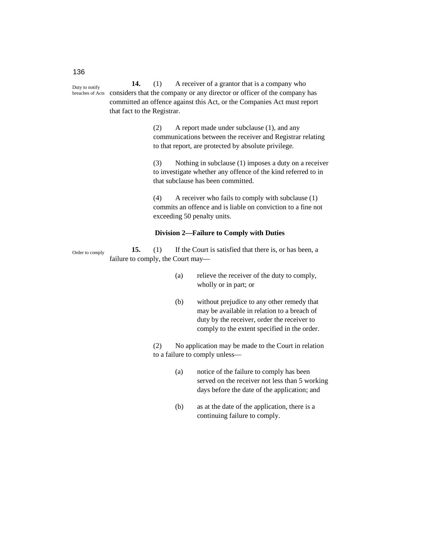**14.** (1) A receiver of a grantor that is a company who considers that the company or any director or officer of the company has committed an offence against this Act, or the Companies Act must report that fact to the Registrar. Duty to notify

> (2) A report made under subclause (1), and any communications between the receiver and Registrar relating to that report, are protected by absolute privilege.

(3) Nothing in subclause (1) imposes a duty on a receiver to investigate whether any offence of the kind referred to in that subclause has been committed.

(4) A receiver who fails to comply with subclause (1) commits an offence and is liable on conviction to a fine not exceeding 50 penalty units.

# **Division 2—Failure to Comply with Duties**

**15.** (1) If the Court is satisfied that there is, or has been, a failure to comply, the Court may— Order to comply

- (a) relieve the receiver of the duty to comply, wholly or in part; or
- (b) without prejudice to any other remedy that may be available in relation to a breach of duty by the receiver, order the receiver to comply to the extent specified in the order.

(2) No application may be made to the Court in relation to a failure to comply unless—

- (a) notice of the failure to comply has been served on the receiver not less than 5 working days before the date of the application; and
- (b) as at the date of the application, there is a continuing failure to comply.

136

breaches of Acts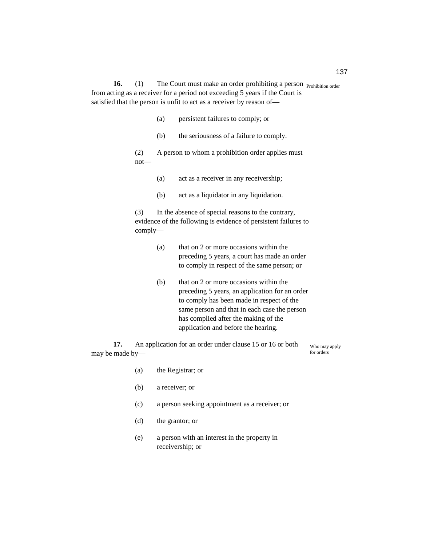**16.** (1) The Court must make an order prohibiting a person **Prohibition** order from acting as a receiver for a period not exceeding 5 years if the Court is satisfied that the person is unfit to act as a receiver by reason of—

- (a) persistent failures to comply; or
- (b) the seriousness of a failure to comply.
- (2) A person to whom a prohibition order applies must not—
	- (a) act as a receiver in any receivership;
	- (b) act as a liquidator in any liquidation.

(3) In the absence of special reasons to the contrary, evidence of the following is evidence of persistent failures to comply—

- (a) that on 2 or more occasions within the preceding 5 years, a court has made an order to comply in respect of the same person; or
- (b) that on 2 or more occasions within the preceding 5 years, an application for an order to comply has been made in respect of the same person and that in each case the person has complied after the making of the application and before the hearing.

**17.** An application for an order under clause 15 or 16 or both may be made by—

Who may apply for orders

| (a) | the Registrar; or                                                |
|-----|------------------------------------------------------------------|
| (b) | a receiver; or                                                   |
| (c) | a person seeking appointment as a receiver; or                   |
| (d) | the grantor; or                                                  |
| (e) | a person with an interest in the property in<br>receivership; or |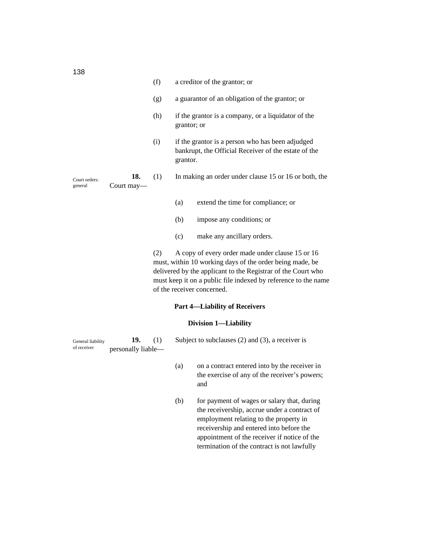|                          |                   | (f) | a creditor of the grantor; or                                                                                        |
|--------------------------|-------------------|-----|----------------------------------------------------------------------------------------------------------------------|
|                          |                   | (g) | a guarantor of an obligation of the grantor; or                                                                      |
|                          |                   | (h) | if the grantor is a company, or a liquidator of the<br>grantor; or                                                   |
|                          |                   | (i) | if the grantor is a person who has been adjudged<br>bankrupt, the Official Receiver of the estate of the<br>grantor. |
| Court orders:<br>general | 18.<br>Court may— | (1) | In making an order under clause 15 or 16 or both, the                                                                |
|                          |                   |     | extend the time for compliance; or<br>(a)                                                                            |

- (b) impose any conditions; or
- (c) make any ancillary orders.

(2) A copy of every order made under clause 15 or 16 must, within 10 working days of the order being made, be delivered by the applicant to the Registrar of the Court who must keep it on a public file indexed by reference to the name of the receiver concerned.

> receivership and entered into before the appointment of the receiver if notice of the termination of the contract is not lawfully

# **Part 4—Liability of Receivers**

# **Division 1—Liability**

| General liability<br>of receiver | 19.<br>personally liable— |     | Subject to subclauses $(2)$ and $(3)$ , a receiver is                                                                                 |  |  |
|----------------------------------|---------------------------|-----|---------------------------------------------------------------------------------------------------------------------------------------|--|--|
|                                  |                           | (a) | on a contract entered into by the receiver in<br>the exercise of any of the receiver's powers;<br>and                                 |  |  |
|                                  |                           | (b) | for payment of wages or salary that, during<br>the receivership, accrue under a contract of<br>employment relating to the property in |  |  |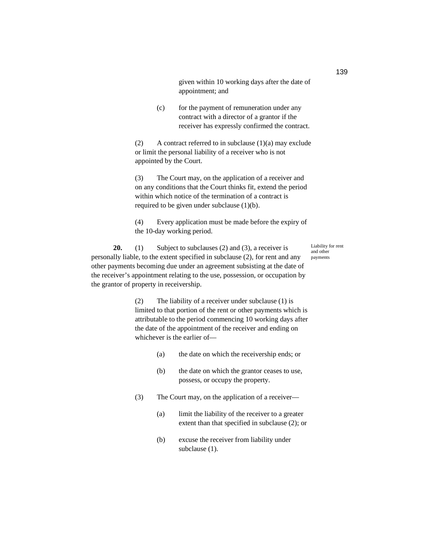given within 10 working days after the date of appointment; and

(c) for the payment of remuneration under any contract with a director of a grantor if the receiver has expressly confirmed the contract.

(2) A contract referred to in subclause  $(1)(a)$  may exclude or limit the personal liability of a receiver who is not appointed by the Court.

(3) The Court may, on the application of a receiver and on any conditions that the Court thinks fit, extend the period within which notice of the termination of a contract is required to be given under subclause (1)(b).

(4) Every application must be made before the expiry of the 10-day working period.

**20.** (1) Subject to subclauses (2) and (3), a receiver is personally liable, to the extent specified in subclause (2), for rent and any other payments becoming due under an agreement subsisting at the date of the receiver's appointment relating to the use, possession, or occupation by the grantor of property in receivership. Liability for rent and other payments

> (2) The liability of a receiver under subclause (1) is limited to that portion of the rent or other payments which is attributable to the period commencing 10 working days after the date of the appointment of the receiver and ending on whichever is the earlier of—

- (a) the date on which the receivership ends; or
- (b) the date on which the grantor ceases to use, possess, or occupy the property.
- (3) The Court may, on the application of a receiver—
	- (a) limit the liability of the receiver to a greater extent than that specified in subclause (2); or
	- (b) excuse the receiver from liability under subclause (1).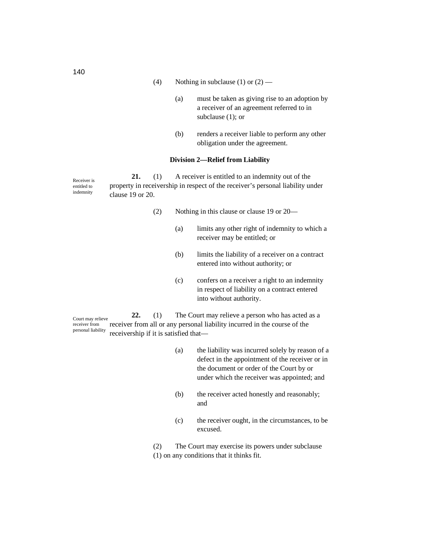(4) Nothing in subclause (1) or  $(2)$  —

- (a) must be taken as giving rise to an adoption by a receiver of an agreement referred to in subclause (1); or
- (b) renders a receiver liable to perform any other obligation under the agreement.

# **Division 2—Relief from Liability**

**21.** (1) A receiver is entitled to an indemnity out of the property in receivership in respect of the receiver's personal liability under clause 19 or 20. Receiver is entitled to indemnity

- (2) Nothing in this clause or clause 19 or 20—
	- (a) limits any other right of indemnity to which a receiver may be entitled; or
	- (b) limits the liability of a receiver on a contract entered into without authority; or
	- (c) confers on a receiver a right to an indemnity in respect of liability on a contract entered into without authority.

**22.** (1) The Court may relieve a person who has acted as a receiver from all or any personal liability incurred in the course of the receivership if it is satisfied that— Court may relieve receiver from personal liability

- (a) the liability was incurred solely by reason of a defect in the appointment of the receiver or in the document or order of the Court by or under which the receiver was appointed; and
- (b) the receiver acted honestly and reasonably; and
- (c) the receiver ought, in the circumstances, to be excused.

(2) The Court may exercise its powers under subclause (1) on any conditions that it thinks fit.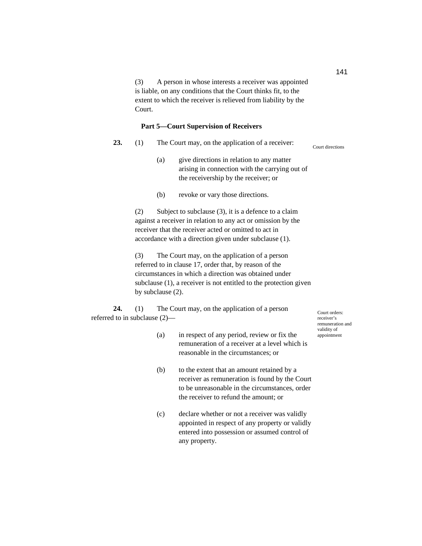(3) A person in whose interests a receiver was appointed is liable, on any conditions that the Court thinks fit, to the extent to which the receiver is relieved from liability by the Court.

# **Part 5—Court Supervision of Receivers**

| 23. | The Court may, on the application of a receiver: | Court directions |
|-----|--------------------------------------------------|------------------|
|     |                                                  |                  |

- (a) give directions in relation to any matter arising in connection with the carrying out of the receivership by the receiver; or
- (b) revoke or vary those directions.

(2) Subject to subclause (3), it is a defence to a claim against a receiver in relation to any act or omission by the receiver that the receiver acted or omitted to act in accordance with a direction given under subclause (1).

(3) The Court may, on the application of a person referred to in clause 17, order that, by reason of the circumstances in which a direction was obtained under subclause (1), a receiver is not entitled to the protection given by subclause (2).

**24.** (1) The Court may, on the application of a person referred to in subclause (2)—

Court orders: receiver's remuneration and validity of appointment

- (a) in respect of any period, review or fix the remuneration of a receiver at a level which is reasonable in the circumstances; or
- (b) to the extent that an amount retained by a receiver as remuneration is found by the Court to be unreasonable in the circumstances, order the receiver to refund the amount; or
- (c) declare whether or not a receiver was validly appointed in respect of any property or validly entered into possession or assumed control of any property.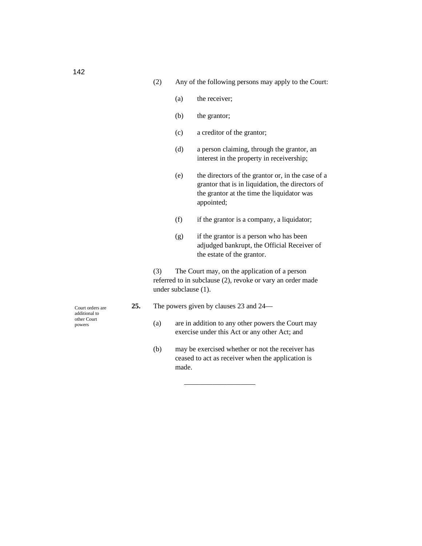- (2) Any of the following persons may apply to the Court:
	- (a) the receiver;
	- (b) the grantor;
	- (c) a creditor of the grantor;
	- (d) a person claiming, through the grantor, an interest in the property in receivership;
	- (e) the directors of the grantor or, in the case of a grantor that is in liquidation, the directors of the grantor at the time the liquidator was appointed;
	- (f) if the grantor is a company, a liquidator;
	- (g) if the grantor is a person who has been adjudged bankrupt, the Official Receiver of the estate of the grantor.

(3) The Court may, on the application of a person referred to in subclause (2), revoke or vary an order made under subclause (1).

- **25.** The powers given by clauses 23 and 24—
	- (a) are in addition to any other powers the Court may exercise under this Act or any other Act; and
	- (b) may be exercised whether or not the receiver has ceased to act as receiver when the application is made.

——————————

Court orders are additional to other Court powers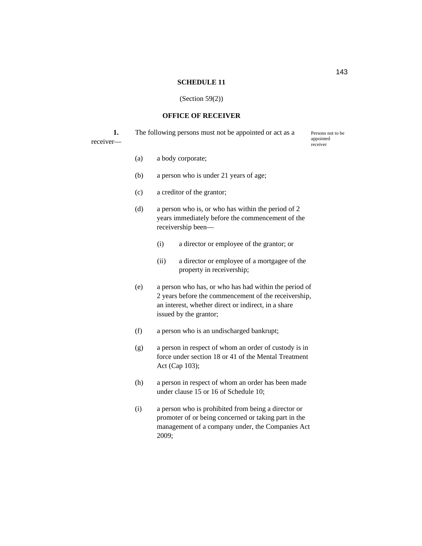#### **SCHEDULE 11**

#### (Section 59(2))

# **OFFICE OF RECEIVER**

|                       | The following persons must not be appointed or act as a | Persons not to be     |
|-----------------------|---------------------------------------------------------|-----------------------|
| rece <sub>1</sub> ver |                                                         | appointed<br>receiver |

- (a) a body corporate;
- (b) a person who is under 21 years of age;
- (c) a creditor of the grantor;
- (d) a person who is, or who has within the period of 2 years immediately before the commencement of the receivership been—
	- (i) a director or employee of the grantor; or
	- (ii) a director or employee of a mortgagee of the property in receivership;
- (e) a person who has, or who has had within the period of 2 years before the commencement of the receivership, an interest, whether direct or indirect, in a share issued by the grantor;
- (f) a person who is an undischarged bankrupt;
- (g) a person in respect of whom an order of custody is in force under section 18 or 41 of the Mental Treatment Act (Cap 103);
- (h) a person in respect of whom an order has been made under clause 15 or 16 of Schedule 10;
- (i) a person who is prohibited from being a director or promoter of or being concerned or taking part in the management of a company under, the Companies Act 2009;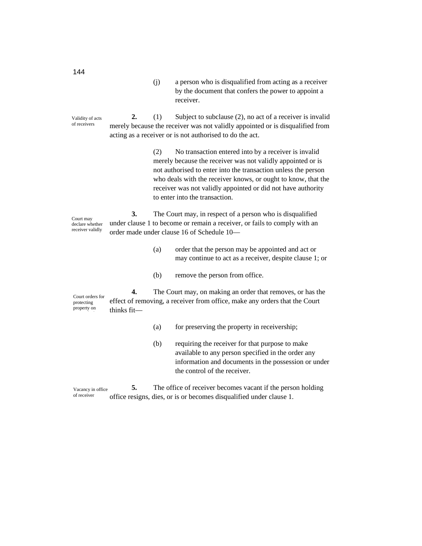| (i) | a person who is disqualified from acting as a receiver |
|-----|--------------------------------------------------------|
|     | by the document that confers the power to appoint a    |
|     | receiver.                                              |

**2.** (1) Subject to subclause (2), no act of a receiver is invalid merely because the receiver was not validly appointed or is disqualified from acting as a receiver or is not authorised to do the act. Validity of acts of receivers

> (2) No transaction entered into by a receiver is invalid merely because the receiver was not validly appointed or is not authorised to enter into the transaction unless the person who deals with the receiver knows, or ought to know, that the receiver was not validly appointed or did not have authority to enter into the transaction.

**3.** The Court may, in respect of a person who is disqualified under clause 1 to become or remain a receiver, or fails to comply with an order made under clause 16 of Schedule 10— Court may declare whether receiver validly appointed

- (a) order that the person may be appointed and act or may continue to act as a receiver, despite clause 1; or
- (b) remove the person from office.

**4.** The Court may, on making an order that removes, or has the effect of removing, a receiver from office, make any orders that the Court thinks fit— Court orders for protecting property on removal of

- (a) for preserving the property in receivership;
- (b) requiring the receiver for that purpose to make available to any person specified in the order any information and documents in the possession or under the control of the receiver.

**5.** The office of receiver becomes vacant if the person holding office resigns, dies, or is or becomes disqualified under clause 1. Vacancy in office of receiver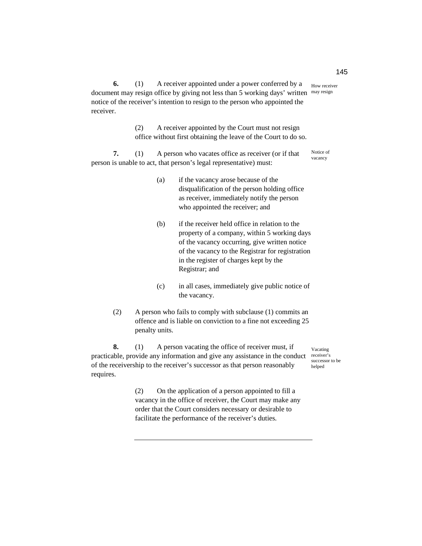**6.** (1) A receiver appointed under a power conferred by a document may resign office by giving not less than 5 working days' written may resign notice of the receiver's intention to resign to the person who appointed the receiver. How receiver

> (2) A receiver appointed by the Court must not resign office without first obtaining the leave of the Court to do so.

**7.** (1) A person who vacates office as receiver (or if that person is unable to act, that person's legal representative) must: Notice of vacancy

- (a) if the vacancy arose because of the disqualification of the person holding office as receiver, immediately notify the person who appointed the receiver; and
- (b) if the receiver held office in relation to the property of a company, within 5 working days of the vacancy occurring, give written notice of the vacancy to the Registrar for registration in the register of charges kept by the Registrar; and
- (c) in all cases, immediately give public notice of the vacancy.
- (2) A person who fails to comply with subclause (1) commits an offence and is liable on conviction to a fine not exceeding 25 penalty units.

**8.** (1) A person vacating the office of receiver must, if practicable, provide any information and give any assistance in the conduct receiver's of the receivership to the receiver's successor as that person reasonably requires.

Vacating successor to be helped

(2) On the application of a person appointed to fill a vacancy in the office of receiver, the Court may make any order that the Court considers necessary or desirable to facilitate the performance of the receiver's duties.